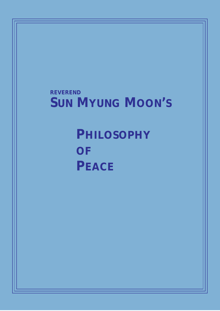## **REVEREND SUN MYUNG MOON'S**

# **PHILOSOPHY OF PEACE**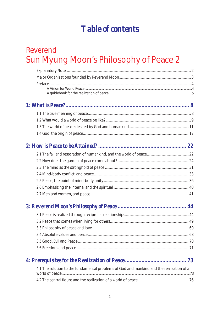## **Table of contents**

## Reverend Sun Myung Moon's Philosophy of Peace 2

## 

## 

## 

| 4.1 The solution to the fundamental problems of God and mankind and the realization of a |
|------------------------------------------------------------------------------------------|
|                                                                                          |
|                                                                                          |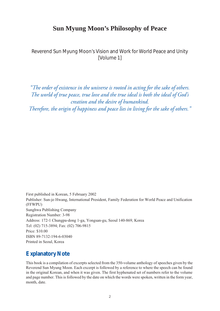## **Sun Myung Moon's Philosophy of Peace**

<span id="page-3-0"></span>Reverend Sun Myung Moon's Vision and Work for World Peace and Unity [Volume 1]

*"The order of existence in the universe is rooted in acting for the sake of others. The world of true peace, true love and the true ideal is both the ideal of God's creation and the desire of humankind.* 

*Therefore, the origin of happiness and peace lies in living for the sake of others."*

First published in Korean, 5 February 2002 Publisher: Sun-jo Hwang, International President, Family Federation for World Peace and Unification (FFWPU) Sunghwa Publishing Company Registration Number: 3-98 Address: 172-1 Chungpa-dong 1-ga, Yongsan-gu, Seoul 140-869, Korea Tel: (02) 715-3894; Fax: (02) 706-9815 Price: \$10.00 ISBN 89-7132-194-6-03040 Printed in Seoul, Korea

## **Explanatory Note**

This book is a compilation of excerpts selected from the 350-volume anthology of speeches given by the Reverend Sun Myung Moon. Each excerpt is followed by a reference to where the speech can be found in the original Korean, and when it was given. The first hyphenated set of numbers refer to the volume and page number. This is followed by the date on which the words were spoken, written in the form year, month, date.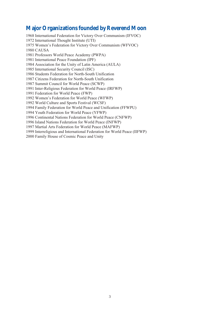### <span id="page-4-0"></span>**Major Organizations founded by Reverend Moon**

1968 International Federation for Victory Over Communism (IFVOC) 1972 International Thought Institute (UTI) 1975 Women's Federation for Victory Over Communism (WFVOC) 1980 CAUSA 1981 Professors World Peace Academy (PWPA) 1981 International Peace Foundation (IPF) 1984 Association for the Unity of Latin America (AULA) 1985 International Security Council (ISC) 1986 Students Federation for North-South Unification 1987 Citizens Federation for North-South Unification 1987 Summit Council for World Peace (SCWP) 1991 Inter-Religious Federation for World Peace (IRFWP) 1991 Federation for World Peace (FWP) 1992 Women's Federation for World Peace (WFWP) 1992 World Culture and Sports Festival (WCSF) 1994 Family Federation for World Peace and Unification (FFWPU) 1994 Youth Federation for World Peace (YFWP) 1996 Continental Nations Federation for World Peace (CNFWP) 1996 Island Nations Federation for World Peace (INFWP) 1997 Martial Arts Federation for World Peace (MAFWP) 1999 Interreligious and International Federation for World Peace (IIFWP) 2000 Family House of Cosmic Peace and Unity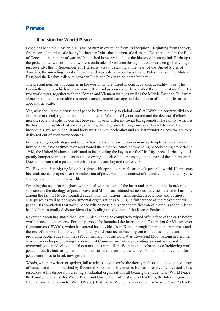## <span id="page-5-0"></span>**Preface**

#### **A Vision for World Peace**

<span id="page-5-1"></span>Peace has been the most crucial issue of human existence from its inception. Beginning from the very first recorded murder, of Abel by his brother Cain - the children of Adam and Eve mentioned in the Book of Genesis - the history of war and bloodshed is nearly as old as the history of humankind. Right up to the present day, we continue to witness outbreaks of violence throughout our war-torn global village: just recently, the 11 September 2001 terrorist assaults striking at the heart of the United States of America, the unending spiral of attacks and reprisals between Israelis and Palestinians in the Middle East, and the Kashmir dispute between India and Pakistan, to name but a few.

The present number of countries in the world that are mired in conflict stands at eighty-three. The twentieth century, which we have now left behind us, could rightly be called the century of warfare. The two world wars, together with the Korean and Vietnam wars, as well as the Middle East and Gulf wars, alone expended incalculable resources causing untold damage and destruction of human life on an apocalyptic scale.

Yet, why should the discussion of peace be limited only to global conflict? Within a country, divisions also arise at racial, regional and factional levels. Weakened by corruption and the decline of ethics and morals, society is split by conflict between those of different social backgrounds. The family, which is the basic building block of society, is facing disintegration through immorality and divorce. Even as individuals, we see our spirit and body warring with each other and are left wondering how we are to be delivered out of such wretchedness.

Politics, religion, ideology and science have all been drawn upon in man's attempts to end all wars; instead, they have at times even aggravated the situation. Since commencing peacekeeping activities in 1948, the United Nations has claimed to be "holding the key to conflict" in fifty-three districts; yet it is greatly hampered in its role as mediator owing to lack of understanding on the part of the superpowers. Does this mean that a peaceful world is remote and beyond our reach?

The Reverend Sun Myung Moon has given a blueprint to the realization of a peaceful world. He presents his fundamental proposal for the realization of peace within the context of the individual, the family, the society, the nation and the world.

Stressing the need for religions, which deal with matters of the heart and spirit, to unite in order to substantiate the ideology of peace, Reverend Moon has initiated numerous activities related to harmony among the faiths. He also founded educational institutions, mass media associations and business enterprises as well as non-governmental organizations (NGOs) in furtherance of the movement for peace. His conviction that world peace will be possible when the unification of Korea is accomplished has led him to totally dedicate himself to healing the division of the Korean Peninsula.

Reverend Moon has stated that Communism had to be completely wiped off the face of the earth before world peace could emerge. For this purpose, he launched the International Federation for Victory over Communism (IFVOC), which has spread its activities from Korea through Japan to the Americas and the rest of the world and covers both theory and practice in reaching out to the mass media and in providing public education. In 1985, at the height of the Cold War, Reverend Moon astonished eminent world leaders by prophesying the demise of Communism, while presenting a counterproposal for overcoming it, an ideology that also transcends capitalism. With recent declarations of achieving world peace through eliminating national boundaries and reforming the United Nations, the movement for peace continues to break new ground.

Words, whether written or spoken, fail to adequately describe the thorny path soaked in countless drops of tears, sweat and blood shed by Reverend Moon in his life course. He has unreservedly invested all the resources at his disposal in creating substantial organizations all bearing the trademark "World Peace" the Family Federation for World Peace and Unification International (FFWPUI), the Interreligious and International Federation for World Peace (IIFWP), the Women's Federation for World Peace (WFWP),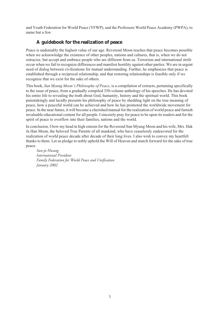and Youth Federation for World Peace (YFWP), and the Professors World Peace Academy (PWPA), to name but a few.

#### **A guidebook for the realization of peace**

<span id="page-6-0"></span>Peace is undeniably the highest value of our age. Reverend Moon teaches that peace becomes possible when we acknowledge the existence of other peoples, nations and cultures, that is, when we do not ostracize, but accept and embrace people who are different from us. Terrorism and international strife occur when we fail to recognize differences and manifest hostility against other parties. We are in urgent need of dialog between civilizations for mutual understanding. Further, he emphasizes that peace is established through a reciprocal relationship, and that restoring relationships is feasible only if we recognize that we exist for the sake of others.

This book, *Sun Myung Moon's Philosophy of Peace*, is a compilation of extracts, pertaining specifically to the issue of peace, from a gradually compiled 350-volume anthology of his speeches. He has devoted his entire life to revealing the truth about God, humanity, history and the spiritual world. This book painstakingly and lucidly presents his philosophy of peace by shedding light on the true meaning of peace, how a peaceful world can be achieved and how he has promoted the worldwide movement for peace. In the near future, it will become a cherished manual for the realization of world peace and furnish invaluable educational content for all people. I sincerely pray for peace to be upon its readers and for the spirit of peace to overflow into their families, nations and the world.

In conclusion, I bow my head in high esteem for the Reverend Sun Myung Moon and his wife, Mrs. Hak Ja Han Moon, the beloved True Parents of all mankind, who have ceaselessly endeavored for the realization of world peace decade after decade of their long lives. I also wish to convey my heartfelt thanks to them. Let us pledge to nobly uphold the Will of Heaven and march forward for the sake of true peace.

*Sun-jo Hwang International President Family Federation for World Peace and Unification January 2002*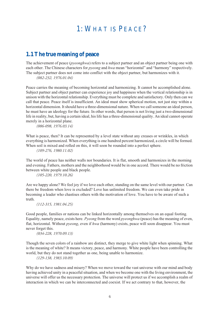## 1: WHAT IS PEACE?

## <span id="page-7-1"></span><span id="page-7-0"></span>**1.1 The true meaning of peace**

The achievement of peace (*pyeonghwa*) refers to a subject partner and an object partner being one with each other. The Chinese characters for *pyeong* and *hwa* mean "horizontal" and "harmony" respectively. The subject partner does not come into conflict with the object partner, but harmonizes with it.

*(082-232, 1976.01.04)*

Peace carries the meaning of becoming horizontal and harmonizing. It cannot be accomplished alone. Subject partner and object partner can experience joy and happiness when the vertical relationship is in unison with the horizontal relationship. Everything must be complete and satisfactory. Only then can we call that peace. Peace itself is insufficient. An ideal must show spherical motion, not just stay within a horizontal dimension. It should have a three-dimensional nature. When we call someone an ideal person, he must have an ideology for the future. In other words, that person is not living just a two-dimensional life in reality, but, having a certain ideal, his life has a three-dimensional quality. An ideal cannot operate merely in a horizontal plane.

*(086-098, 1976.03.14)*

What is peace, then? It can be represented by a level state without any creases or wrinkles, in which everything is harmonized. When everything is one hundred percent harmonized, a circle will be formed. When soil is mixed and rolled on this, it will soon be rounded into a perfect sphere.

*(109-276, 1980.11.02)*

The world of peace has neither walls nor boundaries. It is flat, smooth and harmonizes in the morning and evening. Fathers, mothers and the neighborhood would be in one accord. There would be no friction between white people and black people.

*(105-220, 1979.10.26)*

Are we happy alone? We feel joy if we love each other, standing on the same level with our partner. Can there be freedom when love is excluded? Love has unlimited freedom. We can even take pride in becoming a leader who chastises others with the motivation of love. You have to be aware of such a truth.

*(112-315, 1981.04.25)*

Good people, families or nations can be linked horizontally among themselves on an equal footing. Equality, namely peace, exists here. *Pyeong* from the word *pyeonghwa* (peace) has the meaning of even, flat, horizontal. Without *pyeong*, even if *hwa* (harmony) exists, peace will soon disappear. You must never forget this.

*(034-228, 1970.09.13)*

Though the seven colors of a rainbow are distinct, they merge to give white light when spinning. What is the meaning of white? It means victory, peace, and harmony. White people have been controlling the world, but they do not stand together as one, being unable to harmonize.

*(129-138, 1983.10.09)*

Why do we have sadness and misery? When we move toward the vast universe with our mind and body having achieved unity in a peaceful situation, and when we become one with the living environment, the universe will offer us the necessary protection. The universe will protect us if we accomplish a realm of interaction in which we can be interconnected and coexist. If we act contrary to that, however, the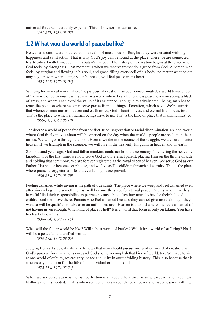universal force will certainly expel us. This is how sorrow can arise. *(141-271, 1986.03.02)*

### <span id="page-8-0"></span>**1.2 What would a world of peace be like?**

Heaven and earth were not created in a realm of uneasiness or fear, but they were created with joy, happiness and satisfaction. That is why God's joy can be found at the place where we are connected heart-to-heart with Him, even if it is Satan's hangout. The history of re-creation begins at the place where God feels joy through us. That moment is when we receive tremendous grace from God. A person who feels joy surging and flowing in his soul, and grace filling every cell of his body, no matter what others may say, or even when facing Satan's threats, will feel peace in his heart.

*(028-127, 1970.01.04)*

We long for an ideal world where the purpose of creation has been consummated, a world transcendent of the world of consciousness. I yearn for a world where I can feel endless peace, even on seeing a blade of grass, and where I can extol the value of its existence. Though a relatively small being, man has to reach the position where he can receive praise from all things of creation, which say, "We're surprised that whenever man moves, heaven and earth move, God's heart moves, and eternal life moves, too." That is the place to which all human beings have to go. That is the kind of place that mankind must go. *(009-319, 1960.06.19)*

The door to a world of peace free from conflict, tribal segregation or racial discrimination, an ideal world where God freely moves about will be opened on the day when the world's people are shaken in their minds. We will go in through the door. Even if we die in the course of the struggle, we are sure to enter heaven. If we triumph in the struggle, we will live in the heavenly kingdom in heaven and on earth.

Six thousand years ago, God and fallen mankind could not hold the ceremony for entering the heavenly kingdom. For the first time, we now serve God as our eternal parent, placing Him on the throne of jade and holding that ceremony. We are forever registered as the royal tribes of heaven. We serve God as our Father, His palace becomes our house, and we live as His children through all eternity. That is the place where praise, glory, eternal life and everlasting peace prevail.

*(086-214, 1976.03.29)*

Feeling ashamed while giving is the path of true saints. The place where we weep and feel ashamed even after sincerely giving something true will become the stage for eternal peace. Parents who think they have fulfilled their responsibility as parents because they often buy new clothes for their beloved children end their love there. Parents who feel ashamed because they cannot give more although they want to will be qualified to take over an unfinished task. Heaven is a world where one feels ashamed of not having given enough. What kind of place is hell? It is a world that focuses only on taking. You have to clearly know this.

*(036-084, 1970.11.15)*

What will the future world be like? Will it be a world of battles? Will it be a world of suffering? No. It will be a peaceful and unified world.

*(034-172, 1970.09.06)*

Judging from all sides, it naturally follows that man should pursue one unified world of creation, as God's purpose for mankind is one, and God should accomplish that kind of world, too. We have to aim at one world of culture, sovereignty, peace and unity in our unfolding history. This is so because that is a necessary condition for the life of an individual or humankind.

*(072-114, 1974.05.26)*

When we ask ourselves what human perfection is all about, the answer is simple - peace and happiness. Nothing more is needed. That is when someone has an abundance of peace and happiness-everything.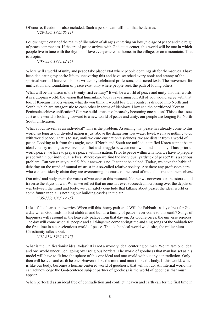Of course, freedom is also included. Such a person can fulfill all that he desires. *(128-130, 1983.06.11)*

Following the onset of the realm of liberation of all ages centering on love, the age of peace and the reign of peace commences. If the era of peace arrives with God at its center, this world will be one in which people live in tune with the rhythm of love everywhere - at home, in the village, or on a mountain. That is utopia.

#### *(135-339, 1985.12.15)*

Where will a world of unity and peace take place? Not where people do things all for themselves. I have been dedicating my entire life to uncovering this and have searched every nook and cranny of the spiritual world. I have read books written by celebrated professors, and sacred texts. The movement for unification and foundation of peace exist only where people seek the path of loving others.

What will be the vision of the twenty-first century? It will be a world of peace and unity. In other words, it is a utopian world, the vision that humankind today is yearning for. All of you would agree with that, too. If Koreans have a vision, what do you think it would be? Our country is divided into North and South, which are antagonistic to each other in terms of ideology. How can the partitioned Korean Peninsula achieve unification? Can we build a nation of peace by becoming one nation? This is the issue. Just as the world is looking forward to a new world of peace and unity, our people are longing for North-South unification.

What about myself as an individual? This is the problem. Assuming that peace has already come to this world, so long as our divided nation is just above the dangerous low-water level, we have nothing to do with world peace. That is to say, until we cure our nation's sickness, we are distant from a world of peace. Looking at it from this angle, even if North and South are unified, a unified Korea cannot be an ideal country as long as we live in conflict and struggle between our own mind and body. Thus, prior to world peace, we have to prepare peace within a nation. Prior to peace within a nation, we have to prepare peace within our individual selves. Where can we find the individual yardstick of peace? It is a serious problem. Can you trust yourself? Your answer is no. It cannot be helped. Today, we have the habit of debating on the trend of mutual mistrust in a so-called relative society. Are there any professors here who can confidently claim they are overcoming the cause of the trend of mutual distrust in themselves?

Our mind and body are in the vortex of war even at this moment. Neither we nor even our ancestors could traverse the abyss of war. When we reflect that no one has ever succeeded in crossing over the depths of war between the mind and body, we can safely conclude that talking about peace, the ideal world or some future utopia, is nothing but building castles in the air.

*(135-339, 1985.12.15)*

Life is full of cares and worries. When will this thorny path end? Will the Sabbath - a day of rest for God, a day when God finds his lost children and builds a family of peace - ever come to this earth? Songs of happiness will resound in the heavenly palace from that day on. As God rejoices, the universe rejoices. The day will come when all people and all things welcome springtime and sing songs of the Sabbath for the first time in a conscientious world of peace. That is the ideal world we desire, the millennium Christianity talks about.

#### *(151-219, 1962.12.15)*

What is the Unificationist ideal today? It is not a worldly ideal centering on man. We imitate one ideal and one world under God, going over religious borders. The world of goodness that man has set as his model will have to fit into the sphere of this one ideal and one world without any contradiction. Only then will heaven and earth be one. Heaven is like the mind and man is like the body. If this world, which is like our body, becomes a human-centered world of goodness, that will not do. An internal world that can acknowledge the God-centered subject partner of goodness is the world of goodness that must appear.

When perfected as an ideal free of contradiction and conflict, heaven and earth can for the first time in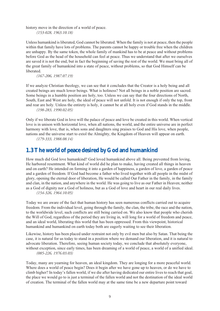history move in the direction of a world of peace.

*(153-028, 1963.10.18)*

Unless humankind is liberated, God cannot be liberated. When the family is not at peace, then the people within that family have lots of problems. The parents cannot be happy or trouble free when the children are unhappy. By the same token, the whole family of mankind has to be at peace and without problems before God as the head of the household can feel at peace. Thus we understand that after we ourselves are saved it is not the end, but in fact the beginning of saving the rest of the world. We must bring all of the great family of humankind into a state of peace, without problems, so that God Himself can be liberated.

*(167-206, 1987.07.19)*

If we analyze Christian theology, we can see that it concludes that the Creator is a holy being and all created beings are much lower beings. What is holiness? Not all beings in a noble position are sacred. Some beings in a humble position are holy, too. Unless we can say that the four directions of North, South, East and West are holy, the ideal of peace will not unfold. It is not enough if only the top, front and rear are holy. Unless the entirety is holy, it cannot be at all holy even if God stands in the middle.

*(198-283, 1990.02.05)*

Only if we liberate God in love will the palace of peace and love be created in this world. When vertical love is in unison with horizontal love, when all nations, the world, and the entire universe are in perfect harmony with love, that is, when sons and daughters sing praises to God and His love, when people, nations and the universe start to extol the Almighty, the Kingdom of Heaven will appear on earth.

*(179-333, 1988.08.14)*

## <span id="page-10-0"></span>**1.3 The world of peace desired by God and humankind**

How much did God love humankind? God loved humankind above all. Being prevented from loving, He harbored resentment. What kind of world did he plan to make, having created all things in heaven and on earth? He intended on forming it into a garden of happiness, a garden of love, a garden of peace and a garden of freedom. If God had become a father who lived together with all people in the midst of glory, opening the eternal door of liberation, He would be called Our Father in the family, in the family and clan, in the nation, and anywhere in the world. He was going to live as our Father in Heaven; neither as a God of dignity nor a God of holiness, but as a God of love and heart in our real daily lives. *(154-326, 1964.10.05)*

Today we are aware of the fact that human history has seen numerous conflicts carried out to acquire freedom. From the individual level, going through the family, the clan, the tribe, the race and the nation, to the worldwide level, such conflicts are still being carried on. We also know that people who cherish the Will of God, regardless of the period they are living in, will long for a world of freedom and peace, and an ideal world, liberating this world that has been oppressed. From this viewpoint, historical humankind and humankind on earth today both are eagerly waiting to see their liberation.

Likewise, history has been placed under restraint not only by evil men but also by Satan. That being the case, it is natural for us today to stand in a position where we demand our liberation, and it is natural to advocate liberation. Therefore, seeing human society today, we conclude that absolutely everyone, without exception, since early times, has been dreaming of a world of peace, a world of a unified ideal. *(085-226, 1976.03.03)*

Today, many are yearning for heaven, an ideal kingdom. They are longing for a more peaceful world. Where does a world of peace begin? Does it begin after we have gone up to heaven, or do we have to climb higher? In today's fallen world, if we die after having dedicated our entire lives to reach that goal, the place we would go to is just a terminal of the fallen world and not the destination of the ideal world of creation. The terminal of the fallen world may at the same time be a new departure point toward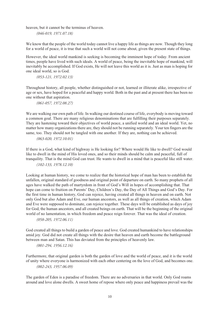heaven, but it cannot be the terminus of heaven.

*(046-019, 1971.07.18)*

We know that the people of the world today cannot live a happy life as things are now. Though they long for a world of peace, it is true that such a world will not come about, given the present state of things.

However, the ideal world mankind is seeking is becoming the imminent hope of today. From ancient times, people have lived with such ideals. A world of peace, being the inevitable hope of mankind, will inevitably be accomplished. If God exists, He will not leave this world as it is. Just as man is hoping for one ideal world, so is God.

*(053-121, 1972.02.13)*

Throughout history, all people, whether distinguished or not, learned or illiterate alike, irrespective of age or sex, have hoped for a peaceful and happy world. Both in the past and at present there has been no one without that aspiration.

*(061-057, 1972.08.27)*

We are walking our own path of life. In walking our destined course of life, everybody is moving toward a common goal. There are many religious denominations that are fulfilling their purposes separately. They are hastening toward their objectives of world peace, a unified world and an ideal world. Yet, no matter how many organizations there are, they should not be running separately. Your ten fingers are the same, too. They should not be tangled with one another. If they are, nothing can be achieved.

*(063-020, 1972.10.01)*

If there is a God, what kind of highway is He looking for? Where would He like to dwell? God would like to dwell in the mind of His loved ones, and so their minds should be calm and peaceful, full of tranquility. That is the mind God can trust. He wants to dwell in a mind that is peaceful like still water.

*(102-133, 1978.12.10)*

Looking at human history, we come to realize that the historical hope of man has been to establish the unfallen, original standard of goodness and original point of departure on earth. So many prophets of all ages have walked the path of martyrdom in front of God's Will in hopes of accomplishing that. That hope can come to fruition on Parents' Day, Children's Day, the Day of All Things and God's Day. For the first time in human history, God can rejoice, having created all things in heaven and on earth. Not only God but also Adam and Eve, our human ancestors, as well as all things of creation, which Adam and Eve were supposed to dominate, can rejoice together. These days will be established as days of joy for God, the human ancestors, and all created beings on earth. That will be the beginning of the original world of no lamentation, in which freedom and peace reign forever. That was the ideal of creation.

*(058-205, 1972.06.11)*

God created all things to build a garden of peace and love. God created humankind to have relationships amid joy. God did not create all things with the desire that heaven and earth become the battleground between man and Satan. This has deviated from the principles of heavenly law.

*(001-294, 1956.12.16)*

Furthermore, that original garden is both the garden of love and the world of peace, and it is the world of unity where everyone is harmonized with each other centering on the love of God, and becomes one. *(002-243, 1957.06.09)*

The garden of Eden is a paradise of freedom. There are no adversaries in that world. Only God roams around and love alone dwells. A sweet home of repose where only peace and happiness prevail was the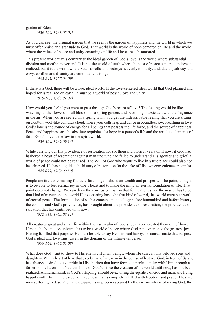garden of Eden. *(020-129, 1968.05.01)*

As you can see, the original garden that we seek is the garden of happiness and the world in which we must offer praise and gratitude to God. That world is the world of hope centered on life and the world where the values of peace and unity centering on life and love are substantiated.

This present world that is contrary to the ideal garden of God's love is the world where substantial division and conflict never end. It is not the world of truth where the idea of peace centered on love is realized, but it is the world where Satan dwells and destroys heavenly morality, and, due to jealousy and envy, conflict and disunity are continually arising.

*(002-245, 1957.06.09)*

If there is a God, there will be a true, ideal world. If the love-centered ideal world that God planned and hoped for is realized on earth, it must be a world of peace, love and unity. *(019-187, 1968.01.07)*

How would you feel if you were to pass through God's realm of love? The feeling would be like watching all the flowers in full blossom in a spring garden, and becoming intoxicated with the fragrance in the air. When you are seated on a spring lawn, you get the indescribable feeling that you are sitting on a cotton wool-like cumulus cloud. There your cells leap and dance in boundless joy, breathing in love. God's love is the source of energy for all beings that possess the life force, and the source of happiness. Peace and happiness are the absolute requisites for hope in a person's life and the absolute elements of faith. God's love is the law in the spirit world.

*(024-324, 1969.09.14)*

While carrying out His providence of restoration for six thousand biblical years until now, if God had harbored a heart of resentment against mankind who had failed to understand His agonies and grief, a world of peace could not be realized. The Will of God who wants to live in a true place could also not be achieved. He has not guided the history of restoration for the sake of His own convenience or comfort. *(025-099, 1969.09.30)*

People are tirelessly making frantic efforts to gain abundant wealth and prosperity. The point, though, is to be able to feel eternal joy in one's heart and to make the mind an eternal foundation of life. That point does not change. We can draw the conclusion that on that foundation, since the master has to be that kind of master and the world He is asserting has to be that kind of world, that world must be a world of eternal peace. The formulation of such a concept and ideology before humankind and before history, the cosmos and God's providence, has brought about the providence of restoration, the providence of salvation that has continued until now.

*(012-311, 1963.08.11)*

All creatures great and small lie within the vast realm of God's ideal. God created them out of love. Hence, the boundless universe has to be a world of peace where God can experience the greatest joy. Having fulfilled that purpose, He must be able to say He is indeed happy. To consummate that purpose, God's ideal and love must dwell in the domain of the infinite universe.

*(009-164, 1960.05.08)*

What does God want to show to His enemy? Human beings, whom He can call His beloved sons and daughters. With a heart of love that excels that of any man in the course of history, God, in front of Satan, has always desired to take pride in His children that have formed a perfect entity with Him through a father-son relationship. Yet, this hope of God's, since the creation of the world until now, has not been realized. All humankind, as God's offspring, should be extolling the equality of God and man, and living happily with Him in the garden of happiness that is completely filled with freedom and peace. They are now suffering in desolation and despair, having been captured by the enemy who is blocking God, the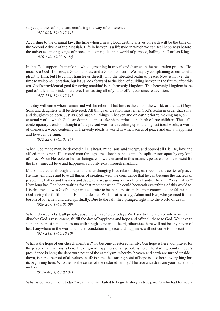subject partner of hope, and confusing the way of conscience. *(011-025, 1960.12.11)*

According to the original law, the time when a new global destiny arrives on earth will be the time of the Second Advent of the Messiah. Life in heaven is a lifestyle in which we can feel happiness before the universe, singing songs of peace, and can rejoice in a world of purpose, hailing the Lord as King. *(016-140, 1966.01.02)*

In that God supports humankind, who is groaning in travail and distress in the restoration process, He must be a God of sorrow, a God of anxiety and a God of concern. We may try complaining of our woeful plight to Him, but He cannot transfer us directly into the liberated realm of peace. Now is not yet the time to welcome liberation, but let us look forward to the ideal of building heaven in the future, after this era. God's providential goal for saving mankind is the heavenly kingdom. This heavenly kingdom is the goal of fallen mankind. Therefore, I am asking all of you to offer your sincere devotion.

*(017-113, 1966.12.11)*

The day will come when humankind will be reborn. That time is the end of the world, or the Last Days. Sons and daughters will be delivered. All things of creation must enter God's realm in order that sons and daughters be born. Just as God made all things in heaven and on earth prior to making man, an external world, which God can dominate, must take shape prior to the birth of true children. Thus, all contemporary trends of thought of the present world are reaching up to the highest ideal world, a world of oneness, a world centering on heavenly ideals, a world in which songs of peace and unity, happiness and love can be sung.

*(012-227, 1963.05.15)*

When God made man, he devoted all His heart, mind, soul and energy, and poured all His life, love and affection into man. He created man through a relationship that cannot be split or torn apart by any kind of force. When He looks at human beings, who were created in this manner, peace can come to exist for the first time; all love and happiness can only exist through mankind.

Mankind, created through an eternal and unchanging love relationship, can become the center of peace. He must embrace and love all things of creation, with the confidence that he can become the nucleus of peace. The Father and His sons and daughters are grasping one another's hands: "Adam!" "Yes, Father!" How long has God been waiting for that moment when He could bequeath everything of this world to His children? It was God's long-awaited desire to be in that position, but man committed the fall without God seeing the fulfillment of His long-desired Will. That is to say, Adam and Eve, who yearned for the bosom of love, fell and died spiritually. Due to the fall, they plunged right into the world of death. *(020-207, 1968.06.09)*

Where do we, in fact, all people, absolutely have to go today? We have to find a place where we can dissolve God's resentment, fulfill the day of happiness and hope and offer all these to God. We have to stand in the position of ancestors with a high standard of heart, otherwise there will not be any haven of heart anywhere in the world, and the foundation of peace and happiness will not come to this earth. *(015-218, 1965.10.10)*

What is the hope of our church members? To become a restored family. Our hope is here; our prayer for the peace of all nations is here; the origin of happiness of all people is here; the starting point of God's providence is here; the departure point of the cataclysm, whereby heaven and earth are turned upside down, is here; the root of all values in life is here; the starting point of hope is also here. Everything has its beginning here. Who then is the center of the restored family? The true ancestors are your father and mother.

*(021-046, 1968.09.01)*

What is our resentment today? Adam and Eve failed to begin history as true parents who had formed a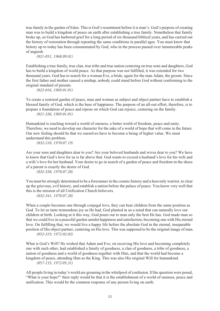true family in the garden of Eden. This is God's resentment before it is man's. God's purpose of creating man was to build a kingdom of peace on earth after establishing a true family. Nonetheless that family broke up, so God has harbored grief for a long period of six thousand biblical years, and has carried out the history of restoration through repeating the same conditions in parallel ages. You must know that history up to today has been consummated by God, who in the process passed over innumerable peaks of anguish.

*(021-051, 1968.09.01)*

Establishing a true family, true clan, true tribe and true nation centering on true sons and daughters, God has to build a kingdom of world peace. As that purpose was not fulfilled, it was extended for two thousand years. God has to search for a woman Eve, a bride, again for the man Adam, the groom. Since the first father and mother caused a mishap, nobody could stand before God without conforming to the original standard of parents.

*(022-016, 1969.01.01)*

To create a restored garden of peace, man and woman as subject and object partner have to establish a blessed family of God, which is the base of happiness. The purpose of an all-out effort, therefore, is to prepare a foundation of peace and repose on which God can rejoice, centering on the family.

*(021-336, 1969.01.01)*

Humankind is reaching toward a world of oneness, a better world of freedom, peace and unity. Therefore, we need to develop our character for the sake of a world of hope that will come in the future. Our new feeling should be that we ourselves have to become a being of higher value. We must understand this problem.

*(032-210, 1970.07.19)*

Are your sons and daughters dear to you? Are your beloved husbands and wives dear to you? We have to know that God's love for us is far above that. God wants to exceed a husband's love for his wife and a wife's love for her husband. Your desire to go in search of a garden of peace and freedom in the shoes of a parent is exactly the desire of God.

*(032-338, 1970.07.28)*

You must be strongly determined to be a forerunner in the cosmic history and a heavenly warrior, to clear up the grievous, evil history, and establish a nation before the palace of peace. You know very well that this is the mission of all Unification Church believers.

*(032-341, 1970.07.28)*

When a couple becomes one through conjugal love, they can bear children from the same position as God. To let us taste tremendous joy as He had, God planted in us a mind that can naturally love our children at birth. Looking at it this way, God pours out to man only the best He has. God made man so that we could live in a peaceful garden amidst happiness and satisfaction, becoming one with His eternal love. On fulfilling that, we would live a happy life before the absolute God in the eternal, inseparable position of His object partner, centering on His love. This was supposed to be the original image of man. *(052-319, 1972.02.03)*

What is God's Will? He wished that Adam and Eve, on receiving His love and becoming completely one with each other, had established a family of goodness, a clan of goodness, a tribe of goodness, a nation of goodness and a world of goodness together with Him, and that the world had become a kingdom of peace, attending Him as the King. This was also His original Will for humankind. *(057-153, 1972.05.31)*

All people living in today's world are groaning in the whirlpool of confusion. If the question were posed, "What is your hope?" their reply would be that it is the establishment of a world of oneness, peace and unification. This would be the common response of any person living on earth.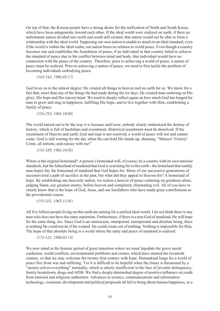On top of that, the Korean people have a strong desire for the unification of North and South Korea, which have been antagonistic toward each other. If the ideal world were realized on earth, if there an unfortunate nation divided into north and south still existed, that nation would not be able to form a relationship with the ideal world. Supposing our own nation is unable to stand on an ideal standard, even if the world is within the ideal realm, our nation bears no relation to world peace. Even though a country becomes one and establishes the foundation of peace, if an individual in that country failed to achieve the standard of peace due to the conflict between mind and body, that individual would have no connection with the peace of the country. Therefore, prior to achieving a world of peace, a nation of peace must be realized. Prior to achieving a nation of peace, we need to first tackle the problem of becoming individuals embodying peace.

*(143-144, 1986.03.17)*

God loves us to the utmost degree: He created all things in heaven and on earth for us. We know for a fact that, more than any of the things He had made during the six days, He created man centering on His glory, His hope and His sincere heart. We need to deeply reflect again on how much God has longed for man to grow and sing in happiness, fulfilling His hope, and to live together with Him, establishing a family of peace.

#### *(154-253, 1964.10.03)*

The world turned out to be the way it is because until now, nobody clearly understood the destiny of history, which is full of hardships and resentment. Historical resentment must be dissolved. If the resentment of Heaven and earth, God and man is not resolved, a world of peace will not and cannot come. God is still waiting for the day when He can hold His hands up, shouting, "Mansei! Victory! Come, all nations, and rejoice with me!"

*(154-339, 1964.10.05)*

Where is the original homeland? A person's homeland will, of course, be a country with its own national standards, but the fatherland of mankind that God is searching for is this earth - the homeland that earthly man hopes for, the homeland of mankind that God hopes for. Many of our successive generations of ancestors trod a path of sacrifice in the past, but what did they appeal to Heaven for? A homeland of hope. By establishing one heavenly nation, we realize a heaven of peace centering on goodness alone, judging Satan, our greatest enemy, before heaven and completely eliminating evil. All of you have to clearly know that is the hope of God, Jesus, and our forefathers who have made great contributions to the providential course.

*(155-321, 1965.11.01)*

All five billion people living on this earth are aiming for a unified ideal world. I do not think there is any man who does not have the same aspiration. Furthermore, if there is a true God of mankind, He will hope for the same thing, too. Since God is an omniscient, omnipotent, omnipresent and absolute being, there is nothing He could not do if He wanted. He could create out of nothing. Nothing is impossible for Him. The hope of that absolute being is a world where the unity and peace of mankind is realized.

#### *(173-122, 1988.02.14)*

We now stand in the historic period of great transition where we must liquidate the grave moral confusion, world conflicts, environmental problems and crimes, which have stained the twentieth century, so that we may welcome the twenty-first century with hope. Humankind longs for a world of peace free from war and suffering. Yet it is difficult to be hopeful when the future is threatened by a "money-solves-everything" mentality, which is utterly insufficient in the face of juvenile delinquency, family breakdown, drugs and AIDS. We find a deeply diminished degree of positive influence on youth from national and religious authorities. Advances in science, communications and information technology, economic development and political proposals all fail to bring about human happiness, or a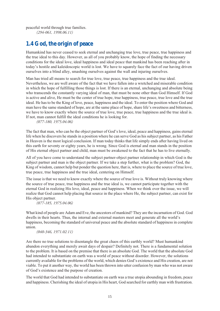peaceful world through true families. *(294-061, 1998.06.11)*

## <span id="page-16-0"></span>**1.4 God, the origin of peace**

Humankind has never ceased to seek eternal and unchanging true love, true peace, true happiness and the true ideal to this day. However, as all of you probably know, the hope of finding the necessary conditions for the ideal love, ideal happiness and ideal peace that mankind has been reaching after in today's hostile and kaleidoscopic world is lost. We have to squarely face the fact of our having driven ourselves into a blind alley, smashing ourselves against the wall and injuring ourselves.

Man has tried all means to search for true love, true peace, true happiness and the true ideal. Nevertheless, we are well aware of the fact that we have fallen into a wretched and miserable condition in which the hope of fulfilling those things is lost. If there is an eternal, unchanging and absolute being who transcends the constantly varying ideal of man, that must be none other than God Himself. If God is active and alive, He must be the center of true hope, true happiness, true peace, true love and the true ideal. He has to be the King of love, peace, happiness and the ideal. To enter the position where God and man have the same standard of hope, are at the same place of hope, share life's sweetness and bitterness, we have to know exactly where the source of true love, true peace, true happiness and the true ideal is. If not, man cannot fulfill the ideal conditions he is looking for.

*(077-180, 1975.04.06)*

The fact that man, who can be the object partner of God's love, ideal, peace and happiness, gains eternal life when he discovers he stands in a position where he can serve God as his subject partner, as his Father in Heaven is the most logical conclusion. If man today thinks that life simply ends after having lived on this earth for seventy or eighty years, he is wrong. Since God is eternal and man stands in the position of His eternal object partner and child, man must be awakened to the fact that he has to live eternally.

All of you have come to understand the subject partner-object partner relationship in which God is the subject partner and man is the object partner. If we take a step further, what is the problem? God, the King of wisdom, cannot help but ponder the question here, that is, where to place the source of true love, true peace, true happiness and the true ideal, centering on Himself.

The issue is that we need to know exactly where the source of true love is. Without truly knowing where the source of true peace, true happiness and the true ideal is, we cannot participate together with the eternal God in realizing His love, ideal, peace and happiness. When we think over the issue, we will realize that God cannot help placing that source in the place where He, the subject partner, can exist for His object partner.

*(077-185, 1975.04.06)*

What kind of people are Adam and Eve, the ancestors of mankind? They are the incarnation of God. God dwells in their hearts. Thus, the internal and external masters meet and generate all the world's happiness, becoming the standard of universal peace and the absolute standard of happiness in complete union.

*(040-346, 1971.02.11)*

Are there no true solutions to disentangle the great chaos of this earthly world? Must humankind abandon everything and merely await days of despair? Definitely not. There is a fundamental solution to the problem. It is based on the premise that there is an absolute God. The world that the absolute God had intended to substantiate on earth was a world of peace without disorder. However, the solutions currently available for the problems of the world, which denies God's existence and His creation, are not viable. To put it another way, the world has been thrown into utter confusion by man who was not aware of God's existence and the purpose of creation.

The world that God had intended to substantiate on earth was a true utopia abounding in freedom, peace and happiness. Cherishing the ideal of utopia in His heart, God searched for earthly man with frustration.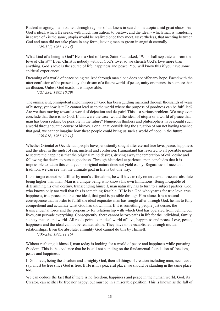Racked in agony, man roamed through regions of darkness in search of a utopia amid great chaos. As God's ideal, which He seeks, with much frustration, to bestow, and the ideal - which man is wandering in search of - is the same, utopia would be realized once they meet. Nevertheless, that meeting between God and man did not take place in any form, leaving man to groan in anguish eternally.

*(129-327, 1983.12.14)*

What kind of a being is God? He is a God of Love. Saint Paul asked, "Who shall separate us from the love of Christ?" Even Christ is nobody without God's love, so we cherish God's love more than anything. God's love is the source of life, happiness and peace. You will know this if you have some spiritual experiences.

Dreaming of a world of peace being realized through man alone does not offer any hope. Faced with the utter confusion of the present day, the dream of a future world of peace, unity or oneness is no more than an illusion. Unless God exists, it is impossible.

*(121-284, 1982.10.29)*

The omniscient, omnipotent and omnipresent God has been guiding mankind through thousands of years of history; yet how is it He cannot lead us to the world where the purpose of goodness can be fulfilled? Are we then moving toward a world of dejection and despair? This is a serious problem. We may even conclude that there is no God. If that were the case, would the ideal of utopia or a world of peace that man has been seeking be possible in the future? Numerous thinkers and philosophers have sought such a world throughout the course of history. For all that, considering the situation of our not having reached that goal, we cannot imagine how these people could bring us such a world of hope in the future. *(130-018, 1983.12.11)*

Whether Oriental or Occidental, people have persistently sought after eternal true love, peace, happiness and the ideal in the midst of sin, mistrust and confusion. Humankind has resorted to all possible means to secure the happiness that the original mind desires, driving away the temptation of evil desire and following the desire to pursue goodness. Through historical experience, man concludes that it is impossible to attain this end, yet his original nature does not yield easily. Regardless of race and tradition, we can see that the ultimate goal in life is but one way.

If this target cannot be fulfilled by man's effort alone, he will have to rely on an eternal, true and absolute being higher than man. Man is a unique being who knows his own limitations. Being incapable of determining his own destiny, transcending himself, man naturally has to turn to a subject partner, God, who knows only too well that this is something feasible. If He is a God who yearns for true love, true happiness, true peace and the true ideal, that goal is possible through Him alone. It is a natural consequence that in order to fulfill the ideal requisites man has sought after through God, he has to fully comprehend and actualize what God has shown him. If it is something people just desire, the transcendental force and the propensity for relationship with which God has operated from behind our lives, can pervade everything. Consequently, there cannot be two paths in life for the individual, family, society, nation and world. All roads point to an ideal world of love, happiness and peace. Love, peace, happiness and the ideal cannot be realized alone. They have to be established through mutual relationships. Even the absolute, almighty God cannot do this by Himself.

#### *(135-218, 1985.11.16)*

Without realizing it himself, man today is looking for a world of peace and happiness while pursuing freedom. This is the evidence that he is still not standing on the fundamental foundation of freedom, peace and happiness.

If God lives, being the absolute and almighty God, then all things of creation including man, needless to say, must be free since God is free. If He is in a peaceful place, we should be standing in the same place, too.

We can deduce the fact that if there is no freedom, happiness and peace in the human world, God, its Creator, can neither be free nor happy, but must be in a miserable position. This is known as the fall of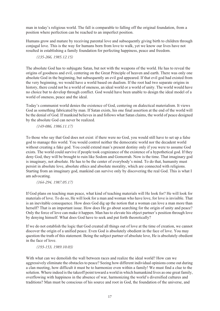man in today's religious world. The fall is comparable to falling off the original foundation, from a position where perfection can be reached to an imperfect position.

Humans grow and mature by receiving parental love and subsequently giving birth to children through conjugal love. This is the way for humans born from love to walk, yet we know our lives have not resulted in establishing a family foundation for perfecting happiness, peace and freedom.

*(135-266, 1985.12.15)*

The absolute God has to subjugate Satan, but not with the weapons of the world. He has to reveal the origins of goodness and evil, centering on the Great Principle of heaven and earth. There was only one absolute God in the beginning, but subsequently an evil god appeared. If that evil god had existed from the very beginning, we would have a world based on dualism. If the root had two separate origins in history, there could not be a world of oneness, an ideal world or a world of unity. The world would have no choice but to develop through conflict. God would have been unable to design the ideal model of a world of oneness, peace and the ideal.

Today's communist world denies the existence of God, centering on dialectical materialism. It views God as something fabricated by man. If Satan exists, his one final assertion at the end of the world will be the denial of God. If mankind believes in and follows what Satan claims, the world of peace designed by the absolute God can never be realized.

*(149-086, 1986.11.17)*

To those who say that God does not exist: if there were no God, you would still have to set up a false god to manage this world. You would control neither the democratic world nor the decadent world without creating a fake god. You could extend man's present destiny only if you were to assume God exists. The world could survive if people took cognizance of the existence of a hypothetical god. If they deny God, they will be brought to ruin like Sodom and Gomorrah. Now is the time. That imaginary god is imaginary, not absolute. He has to be the center of everybody's mind. To do that, humanity must persist in absolute love, absolute ethics and absolute morality, which are connected with religions. Starting from an imaginary god, mankind can survive only by discovering the real God. This is what I am advocating.

*(164-294, 1987.05.17)*

If God plans on teaching man peace, what kind of teaching materials will He look for? He will look for materials of love. To do so, He will look for a man and woman who have love, for love is invisible. That is an inevitable consequence. How does God dig up the notion that a woman can love a man more than herself? That is an important issue. How does He go about searching for the origin of unity and peace? Only the force of love can make it happen. Man has to elevate his object partner's position through love by denying himself. What does God have to seek and put forth theoretically?

If we do not establish the logic that God created all things out of love at the time of creation, we cannot discover the origin of a unified peace. Even God is absolutely obedient in the face of love. You may question the truth of this statement. Being the subject partner of absolute love, He is absolutely obedient in the face of love.

*(193-153, 1989.10.03)*

With what can we demolish the wall between races and realize the ideal world? How can we aggressively eliminate the obstacles to peace? Seeing how different individual opinions come out during a clan meeting, how difficult it must be to harmonize even within a family! We must find a clue to the solution. Where indeed is the takeoff point toward a world in which humankind lives as one great family, overflowing with happiness in the absence of war, harmonizing the world's diversified cultures and traditions? Man must be conscious of his source and root in God, the foundation of the universe, and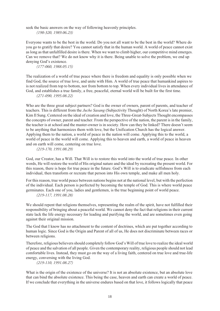seek the basic answers on the way of following heavenly principles. *(190-320, 1989.06.23)*

Everyone wants to be the best in the world. Do you not all want to be the best in the world? Where do you go to gratify that desire? You cannot satisfy that in the human world. A world of peace cannot exist as long as that unfulfilled desire is there. When we want to climb higher, our competitive mind emerges. Can we remove that? We do not know why it is there. Being unable to solve the problem, we end up denying God's existence.

*(177-060, 1988.05.15)*

The realization of a world of true peace where there is freedom and equality is only possible when we find God, the source of true love, and unite with Him. A world of true peace that humankind aspires to is not realized from top to bottom, nor from bottom to top. When every individual lives in attendance of God, and establishes a true family, a free, peaceful, eternal world will be built for the first time.

*(271-090, 1995.08.22)*

Who are the three great subject partners? God is the owner of owners, parent of parents, and teacher of teachers. This is different from the *Juche Sasang* (Subjectivity Thought) of North Korea's late premier, Kim Il Sung. Centered on the ideal of creation and love, the Three-Great-Subjects Thought encompasses the concepts of owner, parent and teacher. From the perspective of the nation, the parent is in the family, the teacher is at school and the master-owner is in society. How can they be linked? There doesn't seem to be anything that harmonizes them with love, but the Unification Church has the logical answer. Applying them to the nation, a world of peace in the nation will come. Applying this to the world, a world of peace in the world will come. Applying this to heaven and earth, a world of peace in heaven and on earth will come, centering on true love.

*(219-170, 1991.08.29)*

God, our Creator, has a Will. That Will is to restore this world into the world of true peace. In other words, He will restore the world of His original nature and the ideal by recreating the present world. For this reason, there is hope for true peace in the future. God's Will is to eradicate selfishness from each individual, then transform or recreate that person into His own temple, and make all men holy.

For this reason, true world peace between nations begins not at the national level, but with the perfection of the individual. Each person is perfected by becoming the temple of God. This is where world peace germinates. Each one of you, ladies and gentlemen, is the true beginning point of world peace. *(219-117, 1991.08.28)*

We should repent that religions themselves, representing the realm of the spirit, have not fulfilled their responsibility of bringing about a peaceful world. We cannot deny the fact that religions in their current state lack the life energy necessary for leading and purifying the world, and are sometimes even going against their original mission.

The God that I know has no attachment to the content of doctrines, which are put together according to human logic. Since God is the Origin and Parent of all of us, He does not discriminate between races or between religions.

Therefore, religious believers should completely follow God's Will of true love to realize the ideal world of peace and the salvation of all people. Given the contemporary reality, religious people should not lead comfortable lives. Instead, they must go on the way of a living faith, centered on true love and true-life energy, conversing with the living God.

*(219-110, 1991.08.27)*

What is the origin of the existence of the universe? It is not an absolute existence, but an absolute love that can bind the absolute existence. This being the case, heaven and earth can create a world of peace. If we conclude that everything in the universe endures based on that love, it follows logically that peace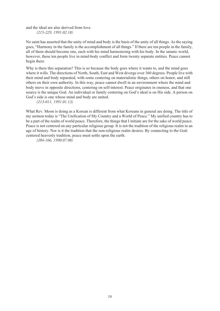and the ideal are also derived from love.

*(215-229, 1991.02.18)*

No saint has asserted that the unity of mind and body is the basis of the unity of all things. As the saying goes, "Harmony in the family is the accomplishment of all things." If there are ten people in the family, all of them should become one, each with his mind harmonizing with his body. In the satanic world, however, these ten people live in mind-body conflict and form twenty separate entities. Peace cannot begin there.

Why is there this separation? This is so because the body goes where it wants to, and the mind goes where it wills. The directions of North, South, East and West diverge over 360 degrees. People live with their mind and body separated, with some centering on materialistic things, others on honor, and still others on their own authority. In this way, peace cannot dwell in an environment where the mind and body move in opposite directions, centering on self-interest. Peace originates in oneness, and that one source is the unique God. An individual or family centering on God's ideal is on His side. A person on God's side is one whose mind and body are united.

*(213-011, 1991.01.13)*

What Rev. Moon is doing as a Korean is different from what Koreans in general are doing. The title of my sermon today is "The Unification of My Country and a World of Peace." My unified country has to be a part of the realm of world peace. Therefore, the things that I initiate are for the sake of world peace. Peace is not centered on any particular religious group. It is not the tradition of the religious realm in an age of history. Nor is it the tradition that the non-religious realm desires. By connecting to the Godcentered heavenly tradition, peace must settle upon the earth.

*(204-166, 1990.07.08)*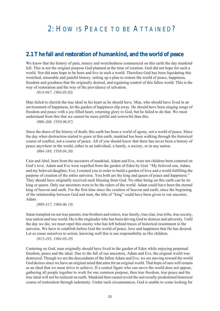## <span id="page-21-0"></span>2: HOW IS PEACE TO BE ATTAINED?

### <span id="page-21-1"></span>**2.1 The fall and restoration of humankind, and the world of peace**

We know that the history of pain, misery and wretchedness commenced on this earth the day mankind fell. This is not the original purpose God planned at the time of creation. God did not hope for such a world. Nor did man hope to be born and live in such a world. Therefore God has been liquidating this wretched, miserable and painful history, setting up a plan to restore the world of peace, happiness, freedom and goodness that He originally desired, and regaining control of this fallen world. This is the way of restoration and the way of the providence of salvation.

*(014-047, 1964.05.03)*

Man failed to cherish the true ideal in his heart as he should have. Man, who should have lived in an environment of happiness, let the garden of happiness slip away. He should have been singing songs of freedom and peace with a joy-filled heart, returning glory to God, but he failed to do that. We must understand from this that we cannot be more pitiful and sorrowful than this.

*(006-268, 1959.06.07)*

Since the dawn of the history of death, this earth has been a world of agony, not a world of peace. Since the day when destruction started to gnaw at this earth, mankind has been walking through the historical course of conflict, not a course of peace. All of you should know that there has never been a history of peace anywhere in the world, either in an individual, a family, a society, or in any nation. *(004-189, 1958.04.20)*

Cain and Abel, born from the ancestors of mankind, Adam and Eve, were not children born centered on God's love. Adam and Eve were expelled from the garden of Eden by God. "My beloved son, Adam, and my beloved daughter, Eve, I created you in order to build a garden of love and a world fulfilling the purpose of creation of the entire universe. You both are the king and queen of peace and happiness." They should have originally received such blessing from God. No other being on this earth can be its king or queen. Only our ancestors were to be the rulers of the world. Adam could have been the eternal king of heaven and earth. For the first time since the creation of heaven and earth, since the beginning of the relationship between God and man, the title of "king" could have been given to our ancestor, Adam.

*(009-317, 1960.06.19)*

Satan trampled on our true parents, true brothers and sisters, true family, true clan, true tribe, true society, true nation and true world. He is the ringleader who has been driving God to distress and adversity. Until the day we die, we must repel this enemy who has left behind traces of historical resentment in the universe. We have to establish before God the world of peace, love and happiness that He has desired. Let us rouse ourselves to action, knowing well this is our responsibility as His children.

*(013-245, 1964.03.29)*

Centering on God, man originally should have lived in the garden of Eden while enjoying perpetual freedom, peace and the ideal. Due to the fall of our ancestors, Adam and Eve, the original world was destroyed. Though we are the descendants of the fallen Adam and Eve, we are moving toward the world God desires since we have an original mind that aims for an original world. That hope of ours will remain as an ideal that we must strive to achieve. If a central figure who can move the world does not appear, gathering all people together to work for one common purpose, then true freedom, true peace and the true ideal will not be realized on earth. Mankind then cannot avoid the universally predestined historical course of restoration through indemnity. Under such circumstances, God is unable to come looking for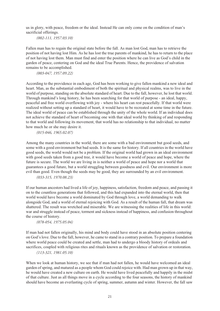us in glory, with peace, freedom or the ideal. Instead He can only come on the condition of man's sacrificial offerings.

*(002-111, 1957.03.10)*

Fallen man has to regain the original state before the fall. As man lost God, man has to retrieve the position of not having lost Him. As he has lost the true parents of mankind, he has to return to the place of not having lost them. Man must find and enter the position where he can live as God's child in the garden of peace, centering on God and the ideal True Parents. Hence, the providence of salvation remains to be accomplished.

*(003-047, 1957.09.22)*

According to the providence in each age, God has been working to give fallen mankind a new ideal and heart. Man, as the substantial embodiment of both the spiritual and physical realms, was to live in the world of purpose, standing on the absolute standard of heart. Due to the fall, however, he lost that world. Through mankind's long history, he has been searching for that world of purpose - an ideal, happy, peaceful and free world overflowing with joy - where his heart can rest peacefully. If that world were realized without setting up a standard of heart, it would have to be recreated at some time in the future. The ideal world of peace can be established through the unity of the whole world. If an individual does not achieve the standard of heart of becoming one with that ideal world by thinking of and responding to that world and following its movement, that world has no relationship to that individual, no matter how much he or she may desire it.

*(015-046, 1965.02.07)*

Among the many countries in the world, there are some with a bad environment but good seeds, and some with a good environment but bad seeds. It is the same for history. If all countries in the world have good seeds, the world would not be a problem. If the original world had grown in an ideal environment with good seeds taken from a good tree, it would have become a world of peace and hope, where the future is secure. The world we are living in is neither a world of peace and hope nor a world that guarantees a good future, but a world struggling between goodness and evil. Our environment is more evil than good. Even though the seeds may be good, they are surrounded by an evil environment.

*(033-315, 1970.08.23)*

If our human ancestors had lived a life of joy, happiness, satisfaction, freedom and peace, and passing it on to the countless generations that followed, and this had expanded into the eternal world, then that world would have become a world dominated by God through love, a world demanding to walk alongside God, and a world of eternal rejoicing with God. As a result of the human fall, that dream was shattered. The result was wretched and miserable. We are witnessing the realities of life in this world: war and struggle instead of peace, torment and sickness instead of happiness, and confusion throughout the course of history.

*(078-054, 1975.05.04)*

If man had not fallen originally, his mind and body could have stood in an absolute position centering on God's love. Due to the fall, however, he came to stand in a contrary position. To prepare a foundation where world peace could be created and settle, man had to undergo a bloody history of ordeals and sacrifices, coupled with religious rites and rituals known as the providence of salvation or restoration.

*(113-321, 1981.05.10)*

When we look at human history, we see that if man had not fallen, he would have welcomed an ideal garden of spring, and matured as a people whom God could rejoice with. Had man grown up in that way, he would have created a new culture on earth. He would have lived peacefully and happily in the midst of that culture. Just as all things move in a cycle according to the four seasons, the history of mankind should have become an everlasting cycle of spring, summer, autumn and winter. However, the fall saw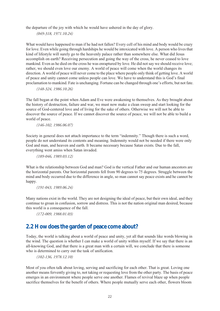the departure of the joy with which he would have ushered in the day of glory.

*(049-318, 1971.10.24)*

What would have happened to man if he had not fallen? Every cell of his mind and body would be crazy for love. Even while going through hardships he would be intoxicated with love. A person who lives that kind of lifestyle will surely go to the heavenly palace rather than somewhere else. What did Jesus accomplish on earth? Receiving persecution and going the way of the cross, he never ceased to love mankind. Even as he died on the cross he was enraptured by love. He did not say we should receive love; rather, we should even love our enemy. A world of peace will come when the world changes its direction. A world of peace will never come to the place where people only think of getting love. A world of peace and unity cannot come unless people can love. We have to understand this is God's final proclamation to mankind. Fate is unchanging. Fortune can be changed through one's efforts, but not fate.

*(148-324, 1986.10.26)*

The fall began at the point when Adam and Eve were awakening to themselves. As they brought about the history of destruction, failure and war, we must now make a clean sweep and start looking for the source of God-centered love and of living for the sake of others. Otherwise we will not be able to discover the source of peace. If we cannot discover the source of peace, we will not be able to build a world of peace.

*(146-102, 1986.06.07)*

Society in general does not attach importance to the term "indemnity." Though there is such a word, people do not understand its contents and meaning. Indemnity would not be needed if there were only God and man, and heaven and earth. It became necessary because Satan exists. Due to the fall, everything went amiss when Satan invaded.

*(189-046, 1989.03.12)*

What is the relationship between God and man? God is the vertical Father and our human ancestors are the horizontal parents. Our horizontal parents fell from 90 degrees to 75 degrees. Struggle between the mind and body occurred due to the difference in angle, so man cannot say peace exists and he cannot be happy.

*(191-043, 1989.06.24)*

Many nations exist in the world. They are not designing the ideal of peace, but their own ideal, and they continue to groan in confusion, sorrow and distress. This is not the nation original man desired, because this world is a consequence of the fall.

*(172-009, 1988.01.03)*

## <span id="page-23-0"></span>**2.2 How does the garden of peace come about?**

Today, the world is talking about a world of peace and unity, yet all that sounds like words blowing in the wind. The question is whether I can make a world of unity within myself. If we say that there is an all-knowing God, and that there is a great man with a certain will, we conclude that there is someone who is determined to carry out the task of unification.

*(102-136, 1978.12.10)*

Most of you often talk about loving, serving and sacrificing for each other. That is great. Loving one another means fervently giving to, not taking or requesting love from the other party. The basis of peace emerges in an environment where people serve one another. Flames of revival blaze up when people sacrifice themselves for the benefit of others. Where people mutually serve each other, flowers bloom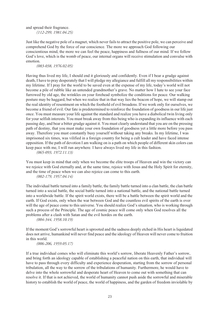and spread their fragrance. *(112-299, 1981.04.25)*

Just like the negative pole of a magnet, which never fails to attract the positive pole, we can perceive and comprehend God by the force of our conscience. The more we approach God following our conscientious mind, the more we can feel the peace, happiness and fullness of our mind. If we follow God's love, which is the womb of peace, our internal organs will receive stimulation and convulse with emotion.

*(083-038, 1976.02.05)*

Having thus lived my life, I should end it gloriously and confidently. Even if I bear a grudge against death, I have to pray desperately that I will pledge my allegiance and fulfill all my responsibilities within my lifetime. If I pray for the world to be saved even at the expense of my life, today's world will not become a pile of rubble like an untended grandmother's grave. No matter how I hate to see your face furrowed by old age, the wrinkles on your forehead symbolize the conditions for peace. Our walking posture may be haggard, but when we realize that in that way lies the beacon of hope, we will stamp out the real identity of resentment on which the foothold of evil broadens. If we work only for ourselves, we become a friend of evil. Our fate is predetermined to reinforce the foundation of goodness in our life just once. You must measure your life against the standard and realize you have a diabolical twin living only for your selfish interests. You must break away from this being who is expanding its influence with each passing day, and bear a bitter grudge against it. You must clearly understand that you are on the pressing path of destiny, that you must make your own foundation of goodness yet a little more before you pass away. Therefore you must constantly busy yourself without taking any breaks. In my lifetime, I was imprisoned six times, was vilified in a foreign country for being a cult leader and have faced intense opposition. If the path of devotion I am walking on is a path on which people of different skin colors can keep pace with me, I will run anywhere. I have always lived my life in this fashion.

*(065-093, 1972.11.13)*

You must keep in mind that only when we become the elite troops of Heaven and win the victory can we rejoice with God eternally and, at the same time, rejoice with Jesus and the Holy Spirit for eternity, and the time of peace when we can also rejoice can come to this earth. *(002-179, 1957.04.14)*

The individual battle turned into a family battle, the family battle turned into a clan battle, the clan battle turned into a social battle, the social battle turned into a national battle, and the national battle turned into a worldwide battle. If the spirit world exists, there will be a battle between the spirit world and the earth. If God exists, only when the war between God and the countless evil spirits of the earth is over will the age of peace come to this universe. You should realize God's situation, who is working through such a process of the Principle. The age of cosmic peace will come only when God resolves all the problems after a clash with Satan and the evil hordes on the earth.

*(004-344, 1958.10.19)*

If the moment God's sorrowful heart is uprooted and the sadness deeply etched in His heart is liquidated does not arrive, humankind will never find peace and the ideology of Heaven will never come to fruition in this world.

#### *(006-206, 1959.05.17)*

If a true individual comes who will eliminate this world's sorrow, liberate Heavenly Father's sorrow, and bring forth an ideology capable of establishing a peaceful nation on this earth, that individual will have to pass through every difficulty and experience desperation, starting from the sorrow of personal tribulation, all the way to the sorrow of the tribulations of humanity. Furthermore, he would have to delve into the whole sorrowful and desperate heart of Heaven to come out with something that can resolve it. If that is not achieved, the world of humanity cannot push aside the sorrowful and miserable history to establish the world of peace, the world of happiness, and the garden of freedom inviolable by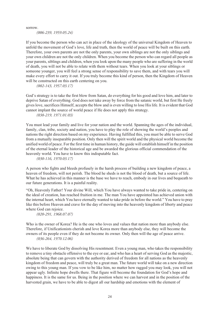sorrow.

*(006-239, 1959.05.24)*

If you become the person who can act in place of the ideology of the universal Kingdom of Heaven to unfold the movement of God's love, life and truth, then the world of peace will be built on this earth. Therefore, your own parents are not the only parents, your own siblings are not the only siblings and your own children are not the only children. When you become the person who can regard all people as your parents, siblings and children, when you look upon the many people who are suffering in the world of death, you will not be able to relate with them without tears. When you look at your siblings or someone younger, you will feel a strong sense of responsibility to save them, and with tears you will make every effort to carry it out. If you truly become this kind of person, then the Kingdom of Heaven will be constructed on this earth centering on you.

*(002-143, 1957.03.17)*

God's strategy is to take the first blow from Satan, do everything for his good and love him, and later to deprive Satan of everything. God does not take away by force from the satanic world, but first He freely gives love, sacrifices Himself, accepts the blow and is even willing to lose His life. It is evident that God cannot implant the source of world peace if He does not apply this strategy.

*(038-219, 1971.01.03)*

You must lead your family and live for your nation and the world. Spanning the ages of the individual, family, clan, tribe, society and nation, you have to play the role of showing the world's peoples and nations the right direction based on my experience. Having fulfilled this, you must be able to serve God from a mutually inseparable position. Only then will the spirit world and the physical world become the unified world of peace. For the first time in human history, the guide will establish himself in the position of the eternal leader of the historical age and be awarded the glorious official commendation of the heavenly world. You have to know this indisputable fact.

*(030-116, 1970.03.17)*

A person who fights and bleeds profusely in the harsh process of building a new kingdom of peace, a heaven of freedom, will not perish. The blood he sheds is not the blood of death, but a source of life. What he has achieved in this manner is the base we have to reach, embody in our lives and bequeath to our future generations. It is a painful reality.

"Oh, Heavenly Father! Your divine Will, which You have always wanted to take pride in, centering on the ideal of creation, has reached fruition in me. The man You have appointed has achieved union with the internal heart, which You have eternally wanted to take pride in before the world." You have to pray like this before Heaven and crave for the day of moving into the heavenly kingdom of liberty and peace where God can rejoice.

*(020-291, 1968.07.07)*

Who is the owner of Korea? He is the one who loves and values that nation more than anybody else. Therefore, if Unificationists cherish and love Korea more than anybody else, they will become the owners of its people even if they do not become its owner. Only then will the age of peace arrive. *(036-264, 1970.12.06)*

We have to liberate God by dissolving His resentment. Even a young man, who takes the responsibility to remove a tiny obstacle offensive to the eye or ear, and who has a heart of serving God as the majestic, absolute being that can govern with the authority derived of freedom for all nations as the heavenly kingdom of freedom and peace, will truly be a great man. The future world will take on a new direction owing to this young man. If you vow to be like him, no matter how ragged you may look, you will not appear ugly. Infinite hope dwells there. That figure will become the foundation for God's hope and happiness. It is the same for us. Being in the position where we can harvest and in the position of the harvested grain, we have to be able to digest all our hardship and emotions with the element of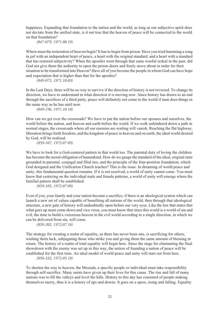happiness. Expanding that foundation to the nation and the world, as long as our subjective spirit does not deviate from the unified state, is it not true that the heaven of peace will be connected to the world on that foundation?

*(047-079, 1971.08.19)*

Where must the restoration of heaven begin? It has to begin from prison. Have you tried humming a song in jail with an independent heart of peace, a heart with the original standard, and a heart with a standard that has restored subjectivity? When the apostles went through that same woeful ordeal in the past, did God not give them the authority to open the prison doors and freely move about in order for their situation to be transformed into Heaven? Have all of you become the people in whom God can have hope and expectation that is higher than that for the apostles?

*(049-072, 1971.10.03)*

In the Last Days, there will be no way to survive if the direction of history is not reversed. To change its direction, we have to understand in what direction it is moving now. Since history has drawn to an end through the sacrifices of a third party, peace will definitely not come to the world if man does things in the same way as he has until now.

*(049-196, 1971.10.10)*

How can we get over the crossroads? We have to put the nation before our spouses and ourselves, the world before the nation, and heaven and earth before the world. If we walk unhindered down a path in normal stages, the crossroads where all our enemies are waiting will vanish. Reaching the flat highway, liberation brings forth freedom, and the kingdom of peace in heaven and on earth, the ideal world desired by God, will be realized.

*(059-107, 1972.07.09)*

We have to look for a God-centered pattern in that world too. The parental duty of loving the children has become the moral obligation of humankind. How do we gauge the standard of the ideal, original state grounded in parental, conjugal and filial ties, and the principle of the four-position foundation, which God designed and the Unification Church teaches? This is the issue. In dreaming of world peace and unity, this fundamental question remains. If it is not resolved, a world of unity cannot come. You must know that centering on the individual male and female patterns, a world of unity will emerge where the familial pattern shall be established.

*(059-105, 1972.07.09)*

Even if you, your family and your nation become a sacrifice, if there is an ideological system which can launch a new set of values capable of benefiting all nations of the world, then through that ideological structure, a new gate of history will undoubtedly open before our very eyes. Like the law that states that what goes up must come down and vice versa, you must know that since this world is a world of sin and evil, the time to build a victorious heaven in the evil world according to a single direction, in which we can be delivered from sin, will come.

*(059-202, 1972.07.16)*

The strategy for creating a realm of equality, as there has never been one, is sacrificing for others, wishing them luck, subjugating those who strike you and giving them the same amount of blessing in return. The history of a realm of total equality will begin here. Since the stage for eliminating the final showdown with the enemy was set up in this way, the notion of founding a nation of peace will be established for the first time. An ideal model of world peace and unity will start out from here.

*(056-332, 1972.05.18)*

To shorten the way to heaven, the Messiah, a specific people or individual must take responsibility through self-sacrifice. Many saints have given up their lives for this cause. The rise and fall of many nations was to fill the valleys and level the hills. History to this day has consisted of people making themselves merry, thus it is a history of ups and downs. It goes on a spree, rising and falling. Equality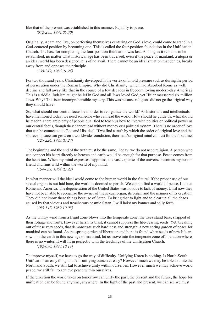like that of the present was established in this manner. Equality is peace. *(072-253, 1974.06.30)*

Originally, Adam and Eve, on perfecting themselves centering on God's love, could come to stand in a God-centered position by becoming one. This is called the four-position foundation in the Unification Church. The base for completing the four-position foundation was lost. As long as it remains to be established, no matter what historical age has been traversed, even if the peace of mankind, a utopia or an ideal world has been designed, it is of no avail. There cannot be an ideal situation that denies, breaks away from and opposes the principle.

*(138-249, 1986.01.24)*

For two thousand years, Christianity developed in the vortex of untold pressure such as during the period of persecution under the Roman Empire. Why did Christianity, which had absorbed Rome as well, decline and fall away like that in the course of a few decades in freedom loving modern-day America? This is a riddle. Judaism taught belief in God and all Jews loved God, yet Hitler massacred six million Jews. Why? This is an incomprehensible mystery. This was because religions did not go the original way they should have.

So, what should our central focus be in order to reorganize the world? As historians and intellectuals have mentioned today, we need someone who can lead the world. How should he guide us, what should he teach? There are plenty of people qualified to teach us how to live with politics or political power as our central focus, though they cannot lead without money or a political system. There is no order of love that can be connected to God and His ideal. If we find a truth by which the order of original love and the source of peace can grow on a worldwide foundation, then man's original mind can rest for the first time. *(125-226, 1983.03.27)*

The beginning and the end of the truth must be the same. Today, we do not need religion. A person who can connect his heart directly to heaven and earth would be enough for that purpose. Peace comes from the heart too. When my mind expresses happiness, the vast expanse of the universe becomes my bosom friend and runs wild within the world of my mind.

*(154-052, 1964.03.23)*

In what manner will the ideal world come to the human world in the future? If the proper use of our sexual organs is not laid bare, the world is doomed to perish. We cannot find a world of peace. Look at Rome and America. The degeneration of the United States was not due to lack of money. Until now they have not been able to recognize the owner of the sexual organ, its origin and the manner of its creation. They did not know these things because of Satan. To bring that to light and to clear up all the chaos caused by that vicious and treacherous cosmic Satan, I will hoist my banner and sally forth.

*(193-147, 1989.10.03)*

As the wintry wind from a frigid zone blows into the temperate zone, the trees stand bare, stripped of their foliage and fruits. However harsh its blast, it cannot suppress the life-bearing seeds. Yet, breaking out of these very seeds, that demonstrate such hardiness and strength, a new spring garden of peace for mankind can be found. As the spring garden of liberation and hope is found when seeds of new life are sown on the earth in this new age of mankind, let us move into the temperate zone of liberation where there is no winter. It will fit in perfectly with the teachings of the Unification Church.

*(182-090, 1988.10.14)*

To improve myself, we have to go the way of difficulty. Unifying Korea is nothing. Is North-South Unification an easy thing to do? Is unifying ourselves easy? However much we may be able to unite the North and South, we still fail to achieve unity within ourselves. However much we may achieve world peace, we still fail to achieve peace within ourselves.

If the direction the world takes on tomorrow can unify the past, the present and the future, the hope for unification can be found anytime, anywhere. In the light of the past and present, we can see we must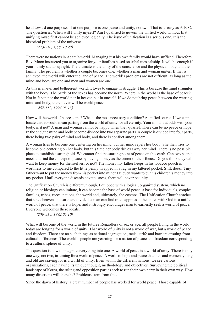head toward one purpose. That one purpose is one peace and unity, not two. That is as easy as A-B-C. The question is: When will I unify myself? Am I qualified to govern the unified world without first unifying myself? It cannot be achieved logically. The issue of unification is a serious one. It is the historical problem of the universe.

*(273-218, 1995.10.29)*

There were no nations in Adam's world. Managing just his own family would have sufficed. Therefore, Rev. Moon instructed you to organize for your families based on tribal messiahship. It will be enough if your family stands upright. The ultimate is the unity of the conscience and the physical body and the family. The problem is whether a couple becomes one, whether a man and woman unites. If that is achieved, the world will enter the land of peace. The world's problems are not difficult, as long as the mind and body are one and men and women are one.

As this is an evil and belligerent world, it loves to engage in struggle. This is because the mind struggles with the body. The battle of the sexes has become the norm. Where in the world is the base of peace? Not in Japan nor the world nor in heaven but in oneself. If we do not bring peace between the warring mind and body, there never will be world peace.

*(257-112, 1994.03.13)*

How will the world of peace come? What is the most necessary condition? A unified source. If we cannot locate this, it would mean parting from the world of unity for all eternity. Your mind is at odds with your body, is it not? A man and woman cannot be happy when they quarrel. There can be no peace or hope. In the end, the mind and body become divided into two separate parts. A couple is divided into four parts, there being two pairs of mind and body, and there is conflict among them.

A woman tries to become one centering on her mind, but her mind repels her body. She then tries to become one centering on her body, but this time her body drives away her mind. There is no possible place to establish a stronghold. We cannot find the starting point of peace on this earth. Can two people meet and find the concept of peace by having money as the center of their focus? Do you think they will want to keep money for themselves, or not? The money my father keeps in his tobacco pouch is worthless to me compared to the little penny wrapped in a rag in my tattered pocket. Still, doesn't my father want to put the money from his pocket into mine? He even wants to put his children's money into my pocket. Until everyone discards covetousness, there will never be unity.

The Unification Church is different, though. Equipped with a logical, organized system, which no religion or ideology can imitate, it can become the base of world peace, a base for individuals, couples, families, tribes, races, nations, the world and, ultimately, the cosmos. The Unification Church teaches that since heaven and earth are divided, a man can find true happiness if he unites with God in a unified world of peace; that there is hope; and it strongly encourages man to earnestly seek a world of peace. Everyone welcomes these ideals.

*(230-315, 1992.05.10)*

What will become of the world in the future? Regardless of sex or age, all people living in the world today are longing for a world of unity. That world of unity is not a world of war, but a world of peace and freedom. There are no such things as national segregation, racial strife and barriers ensuing from cultural differences. The world's people are yearning for a nation of peace and freedom corresponding to a cultural sphere of unity.

The question is how to integrate everything into one. A world of peace is a world of unity. There is only one way, not two, in aiming for a world of peace. A world of hope and peace that men and women, young and old are craving for is a world of unity. Even within the different nations, we see various organizations, each having its unique thought, methodology and objectives. Surveying the political landscape of Korea, the ruling and opposition parties seek to run their own party in their own way. How many directions will there be? Problems stem from this.

Since the dawn of history, a great number of people has worked for world peace. Those capable of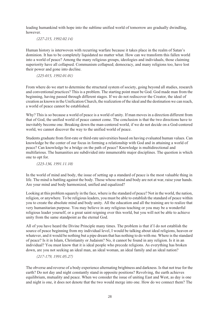leading humankind with hope into the sublime unified world of tomorrow are gradually dwindling, however.

*(227-215, 1992.02.14)*

Human history is interwoven with recurring warfare because it takes place in the realm of Satan's dominion. It has to be completely liquidated no matter what. How can we transform this fallen world into a world of peace? Among the many religious groups, ideologies and individuals, those claiming superiority have all collapsed. Communism collapsed; democracy, and many religions too, have lost their power and gone into decline.

*(225-015, 1992.01.01)*

From where do we start to determine the structural system of society, going beyond all studies, research and conventional practices? This is a problem. The starting point must be God. God made man from the beginning, having passed through different stages. If we do not rediscover the Creator, the ideal of creation as known in the Unification Church, the realization of the ideal and the destination we can reach, a world of peace cannot be established.

Why? This is so because a world of peace is a world of unity. If man moves in a direction different from that of God, the unified world of peace cannot come. The conclusion is that the two directions have to inevitably become one. Breaking down the man-centered world, if we do not decide on a God-centered world, we cannot discover the way to the unified world of peace.

Students graduate from first-rate or third-rate universities based on having evaluated human values. Can knowledge be the center of our focus in forming a relationship with God and in attaining a world of peace? Can knowledge be a bridge on the path of peace? Knowledge is multidirectional and multifarious. The humanities are subdivided into innumerable major disciplines. The question is which one to opt for.

*(223-136, 1991.11.10)*

In the world of mind and body, the issue of setting up a standard of peace is the most valuable thing in life. The mind is battling against the body. Those whose mind and body are not at war, raise your hands. Are your mind and body harmonized, unified and equalized?

Looking at this problem squarely in the face, where is the standard of peace? Not in the world, the nation, religion, or anywhere. To be religious leaders, you must be able to establish the standard of peace within you to create the absolute mind and body unity. All the education and all the training are to realize that very humanitarian purpose. You may believe in any religious teaching or you may be a wonderful religious leader yourself, or a great saint reigning over this world, but you will not be able to achieve unity from the same standpoint as the eternal God.

All of you have heard the Divine Principle many times. The problem is that if I do not establish the source of peace beginning from my individual level, I would be talking about ideal religions, heaven or whatever, and it would be nothing but a pipe dream that has nothing to do with me. Where is the standard of peace? Is it in Islam, Christianity or Judaism? No, it cannot be found in any religion. Is it in an individual? You must know that it is ideal people who precede religions. As everything has broken down, are you not seeking an ideal man, an ideal woman, an ideal family and an ideal nation?

*(217-179, 1991.05.27)*

The obverse and reverse of a body experience alternating brightness and darkness. Is that not true for the earth? Do not day and night constantly stand in opposite positions? Revolving, the earth achieves equilibrium, mutuality and peace. When we consider the issue of uniting East and West, as day is one and night is one, it does not denote that the two would merge into one. How do we connect them? The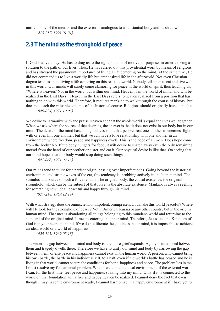unified body of the interior and the exterior is analogous to a substantial body and its shadow. *(213-217, 1991.01.21)*

### <span id="page-30-0"></span>**2.3 The mind as the stronghold of peace**

If God is alive today, He has to drag us to the right position of motive, of purpose, in order to bring a solution to the path of our lives. Thus, He has carried out this providential work by means of religions, and has stressed the paramount importance of living a life centering on the mind. At the same time, He did not command us to live a worldly life but emphasized life in the afterworld. Not even Christian dogma teaches about living a life centering on this realistic world. Nobody tells men to eat and live well in this world. Our minds will surely come clamoring for peace in the world of spirit, thus teaching us, "Where is heaven? Not in the world, but within our mind. Heaven is in the world of mind, and will be realized in the Last Days." Heaven in the Last Days refers to heaven realized from a position that has nothing to do with this world. Therefore, it requires mankind to walk through the course of history, but does not teach the valuable contents of the historical course. Religions should originally have done that. *(049-024, 1971.10.03)*

We desire to harmonize with and praise Heaven and that the whole world is equal and lives well together. When we ask where the source of that desire is, the answer is that it does not exist in our body but in our mind. The desire of the mind based on goodness is not that people treat one another as enemies, fight with or even kill one another, but that we can have a love relationship with one another in an environment where freedom, peace and happiness dwell. This is the hope of all men. Does hope come from the body? No. If the body hungers for food, it will desire to snatch away even the only remaining morsel from the hand of our brother or sister and eat it. Our physical desire is like that. On seeing that, our mind hopes that our body would stop doing such things.

*(041-068, 1971.02.13)*

Our minds tend to thirst for a perfect origin, passing over imperfect ones. Going beyond the historical environment and strong waves of the era, this tendency is throbbing actively in the human mind. The stimulus and source of such a force remain. The original body, the causal existence, the original stronghold, which can be the subject of that force, is the absolute existence. Mankind is always seeking for something new, ideal, peaceful and happy through his mind.

*(027-218, 1969.12.14)*

With what strategy does the omniscient, omnipotent, omnipresent God make this world peaceful? Where will He look for the stronghold of peace? Not in America, Russia or any other country but in the original human mind. That means abandoning all things belonging to this mundane world and returning to the standard of the original mind. It means entering the inner mind. Therefore, Jesus said the Kingdom of God is in your heart and mind. If we do not liberate the goodness in our mind, it is impossible to achieve an ideal world or a world of happiness.

*(023-125, 1969.05.18)*

The wider the gap between our mind and body is, the more grief expands. Agony is interposed between them and tragedy dwells there. Therefore we have to unify our mind and body by narrowing the gap between them, or else peace and happiness cannot exist in the human world. A person, who cannot bring his own battle, the battle in his individual self, to a halt, even if the world's battle has ceased and he is living in that world, cannot secure the conditions for hope, happiness and peace. The problem lies in me. I must resolve my fundamental problem. When I welcome the ideal environment of the external world, I can, for the first time, feel peace and happiness soaking into my mind. Only if it is connected to the world on that foundation will a free and happy heaven be realized. I cannot deny the fact that even though I may have the environment ready, I cannot harmonize in a happy environment if I have yet to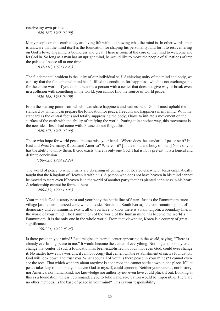resolve my own problem. *(020-167, 1968.06.09)*

Many people on this earth today are living life without knowing what the mind is. In other words, man is unaware that the mind itself is the foundation for shaping his personality, and for it to rest centering on God's love. The mind is boundless and great. There is room at the core of the mind to welcome and let God in. So long as a man has an upright mind, he would like to move the people of all nations of into the palace of peace all at one time.

*(037-116, 1970.12.23)*

The fundamental problem is the unity of our individual self. Achieving unity of the mind and body, we can say that the fundamental mind has fulfilled the condition for happiness, which is not exchangeable for the entire world. If you do not become a person with a center that does not give way or break even in a collision with something in the world, you cannot find the source of world peace.

*(020-168, 1968.06.09)*

From the starting point from which I can share happiness and sadness with God, I must uphold the standard by which I can prepare the foundation for peace, freedom and happiness in my mind. With that standard as the central focus and totally suppressing the body, I have to initiate a movement on the surface of the earth with the ability of unifying the world. Putting it in another way, this movement is the new ideal Jesus had come with. Please do not forget this.

*(020-173, 1968.06.09)*

Those who hope for world peace: please raise your hands. Where does the standard of peace start? In East and West Germany, Russia and America? Where is it? [In the mind and body of man.] None of you has the ability to unify them. If God exists, there is only one God. That is not a pretext; it is a logical and definite conclusion.

*(196-029, 1989.12.24)*

The world of peace to which many are dreaming of going is not located elsewhere. Jesus emphatically taught that the Kingdom of Heaven is within us. A person who does not have heaven in his mind cannot be moved to tears even if heaven is in the world of another party that has planted happiness in his heart. A relationship cannot be formed there.

*(206-059, 1990.10.03)*

Your mind is God's sentry post and your body the battle line of Satan. Just as the Panmunjom truce village [at the demilitarized zone which divides North and South Korea], the confrontation point of democracy and communism, exists, all of you have to know there is a Panmunjom, a boundary line, in the world of your mind. The Panmunjom of the world of the human mind has become the world's Panmunjom. It is the only one in the whole world. From that viewpoint, Korea is a country of great significance.

*(156-221, 1966.05.25)*

Is there peace in your mind? Just imagine an eternal center appearing in the world, saying, "There is already everlasting peace in me." It would become the center of everything. Nothing and nobody could change that center. If such a foundation has been established, nobody, not even God, could ever change it. No matter how evil a world is, it cannot occupy that center. On the establishment of such a foundation, God will look down and trust you. What about all of you? Is there peace in your minds? I cannot even see the root! That which wanders about anytime is not a root and cannot settle down in one place. If I let peace take deep root, nobody, not even God or myself, could uproot it. Neither your parents, nor history, nor America, nor humankind, nor knowledge nor authority-not even love could pluck it out. Looking at this as a foundation, unless I commanded you to follow me, re-creation would be impossible. There are no other methods. Is the base of peace in your mind? This is your responsibility.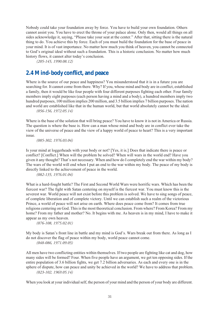Nobody could take your foundation away by force. You have to build your own foundation. Others cannot assist you. You have to erect the throne of your palace alone. Only then, would all things on all sides acknowledge it, saying, "Please take your seat at the center." After that, sitting there is the natural thing to do. You achieve this by force. Each of you must build the foundation for the base of peace in your mind. It is of vast importance. No matter how much you think of heaven, you cannot be connected to God's original ideal without such a foundation. This is a historic conclusion. No matter how much history flows, it cannot alter today's conclusion.

*(205-145, 1990.08.12)*

### <span id="page-32-0"></span>**2.4 Mind-body conflict, and peace**

Where is the source of our peace and happiness? You misunderstood that it is in a future you are searching for. It cannot come from there. Why? If you, whose mind and body are in conflict, established a family, then it would be like four people with four different purposes fighting each other. Four family members imply eight purposes (each person having a mind and a body), a hundred members imply two hundred purposes, 100 million implies 200 million, and 3.5 billion implies 7 billion purposes. The nation and world are established like that in the human world, but that world absolutely cannot be the ideal.

*(056-156, 1972.05.14)*

Where is the base of the solution that will bring peace? You have to know it is not in America or Russia. The question is where the base is. How can a man whose mind and body are in conflict ever take the view of the universe of peace and the view of a happy world of peace to heart? This is a very important issue.

*(085-302, 1976.03.04)*

Is your mind at loggerheads with your body or not? [Yes, it is.] Does that indicate there is peace or conflict? [Conflict.] When will the problem be solved? When will wars in the world end? Have you given it any thought? That's not necessary. When and how do I completely end the war within my body? The wars of the world will end when I put an end to the war within my body. The peace of my body is directly linked to the achievement of peace in the world.

*(082-135, 1976.01.04)*

What is a hard-fought battle? The First and Second World Wars were horrific wars. Which has been the fiercest war? The fight with Satan centering on myself is the fiercest war. You must know this is the severest war. World peace will not exist before this problem is solved. We have to sing songs of peace, of complete liberation and of complete victory. Until we can establish such a realm of the victorious Prince, a world of peace will not arise on earth. Where does peace come from? It comes from true religions centering on God. This is the most theoretical conclusion. From where? From Korea? From my home? From my father and mother? No. It begins with me. As heaven is in my mind, I have to make it appear as my own heaven.

*(076-108, 1975.02.01)*

My body is Satan's front line in battle and my mind is God's. Wars break out from there. As long as I do not discover the flag of peace within my body, world peace cannot come. *(048-086, 1971.09.05)*

All men have two conflicting entities within themselves. If two people are fighting like cat and dog, how many sides will be formed? Four. When five people have an argument, we get ten opposing sides. If the entire population of 3.6 billion fights, we get 7.2 billion adversaries. As each and every one is in the sphere of dispute, how can peace and unity be achieved in the world? We have to address that problem. *(023-102, 1969.05.14)*

When you look at your individual self, the person of your mind and the person of your body are different.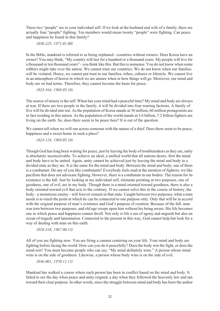These two "people" are in your individual self. If we look at the husband and wife of a family, there are actually four "people" fighting. Ten members would mean twenty "people" were fighting. Can peace and happiness be found in that family?

*(038-225, 1971.01.08)*

In the Bible, mankind is referred to as being orphaned - countries without owners. Does Korea have an owner? You may think, "My country will last for a hundred or a thousand years. My people will live for a thousand or ten thousand years" - you think like this. But this is nonsense. You do not know when some robbers might take over the nation. We cannot trust our countries. We do not know when our families will be violated. Hence, we cannot put trust in our families, tribes, cultures or lifestyle. We cannot live in an atmosphere of horror in which we are unsure when or how things will go. Moreover, our mind and body are on bad terms. Therefore, they cannot become the basis for peace.

*(023-164, 1969.05.18)*

The source of misery is the self. When has your mind had a peaceful time? My mind and body are always at war. If there are two people in the family, it will be divided into four warring factions. A family of five will be divided into ten. As the population of Korea stands at 30 million, 60 million protagonists are in fact residing in this nation. As the population of the world stands at 3.6 billion, 7.2 billion fighters are living on the earth. So, does there seem to be peace here? It is out of the question.

We cannot tell when we will run across someone with the nature of a thief. Does there seem to be peace, happiness and a sweet home in such a place?

*(023-124, 1969.05.18)*

Though God has long been waiting for peace, just by leaving the body of troublemakers as they are, unity is absolutely inconceivable. To achieve an ideal, a unified world that all nations desire, first the mind and body have to be united. Again, unity cannot be achieved just by leaving the mind and body in a divided state as they are. It is the same for the mind and body. Between the mind and body, one of them is a combatant. Do any of you like combatants? Everybody feels mad at the mention of fighters; we like pacifism that does not advocate fighting. However, there is a combatant in our bodies. The reason for its existence is the fall. Just by looking at my individual self, elements pointing at two purposes, one of goodness, one of evil, are in my body. Though there is a mind oriented toward goodness, there is also a body oriented toward evil that acts to the contrary. If we cannot solve this in the course of history, the body - a monstrous enemy - will forever remain in that state. Caught between two purposes, what a man needs is to reach the point at which he can be connected to one purpose only. Only that will be in accord with the original purpose of man's existence and God's purpose of creation. Because of the fall, man was torn between two purposes, and old age creeps upon him without his being aware. His life becomes one in which peace and happiness cannot dwell. Not only is life a sea of agony and anguish but also an ocean of tragedy and lamentation. Connected to the present in this way, God cannot help but look for a way of dealing with man on this earth.

*(018-318, 1967.08.13)*

All of you are fighting now. You are firing a cannon centering on your life. Your mind and body are fighting before facing the world. How can you do it peacefully? Does the body win the fight, or does the mind win? You must become people who can say, "My mind definitely wins." A person whose mind wins is on the side of goodness. Likewise, a person whose body wins is on the side of evil.

*(036-061, 1970.11.15)*

Mankind has walked a course where each person has been in conflict based on the mind and body. It failed to see the day when peace and unity reigned, a day when they followed the heavenly law and ran toward their clear purpose. In other words, since the struggle between mind and body has been the author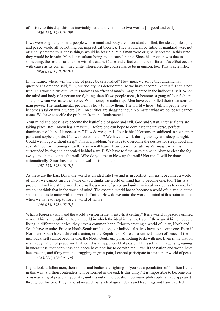of history to this day, this has inevitably let to a division into two worlds [of good and evil]. *(020-165, 1968.06.09)* 

If we were originally born as people whose mind and body are in constant conflict, the ideal, philosophy and peace would all be nothing but impractical theories. They would all be futile. If mankind were not originally created thus, these things would be feasible, but if man were originally created in this state, they would be in vain. Man is a resultant being, not a causal being. Since his creation was due to something, the result must be one with the cause. Cause and effect cannot be different. As effect occurs with cause as its content, they unite. Therefore, the course has to be in unison, too. This is scientific. *(086-035, 1976.03.04)*

In the future, where will the base of peace be established? How must we solve the fundamental questions? Someone said, "Oh, our society has deteriorated, so we have become like this." That is not true. This world turns out like it is today as an effect of man's image planted in the individual self. When the mind and body of a person are fighting, then if two people meet, it becomes a gang of four fighters. Then, how can we make them one? With money or authority? Men have even killed their own sons to gain power. The fundamental problem is how to unify them. The world where 4 billion people live becomes a fallen world where 8 billion entities are slogging it out. No matter what we do, peace cannot come. We have to tackle the problem from the fundamentals.

Your mind and body have become the battlefield of good and evil, God and Satan. Intense fights are taking place. Rev. Moon has a maxim, "Before one can hope to dominate the universe, perfect domination of the self is necessary." How do we get rid of our habits? Koreans are addicted to hot pepper paste and soybean paste. Can we overcome this? We have to work during the day and sleep at night. Could we not go without sleep? This is a problem. We have to overcome the desires for sleep, food and sex. Without overcoming myself, heaven will leave. How do we liberate man's image, which is surrounded by fog and concealed behind a wall? We have to first make the wind blow to clear the fog away, and then detonate the wall. Who do you ask to blow up the wall? Not me. It will be done automatically. Satan has erected the wall; it is his to demolish.

*(137-155, 1986.01.01)*

As these are the Last Days, the world is divided into two and is in conflict. Unless it becomes a world of unity, we cannot survive. None of you thinks the world of mind has to become one, too. This is a problem. Looking at the world externally, a world of peace and unity, an ideal world, has to come; but we do not think that in the world of mind. The external world has to become a world of unity and at the same time has to unite with the world of mind. How do we unite the world of mind at this point in time when we have to leap toward a world of unity?

*(140-013, 1986.02.01)*

What is Korea's vision and the world's vision in the twenty-first century? It is a world of peace, a unified world. This is the sublime utopian world in which the ideal is reality. Even if there are 4 billion people living in different countries, they have a common hope. Prior to creating a world of unity, North and South have to unite. Prior to North-South unification, our individual selves have to become one. Even if North and South have achieved a union, or the Republic of Korea is a unified nation of peace, if the individual self cannot become one, the North-South unity has nothing to do with me. Even if that nation is a happy nation of peace and that world is a happy world of peace, if I myself am in agony, groaning in uneasiness, that happiness and peace have nothing to do with me. Even if the nation and world have become one, and if my mind is struggling in great pain, I cannot participate in a nation or world of peace.

*(143-206, 1986.03.18)*

If you look at fallen men, their minds and bodies are fighting. If you see a population of 4 billion living in this way, 8 billion contenders will be formed in the end. Is this unity? It is impossible to become one. You may sing of peace all you like; unity is out of the question. So many philosophers have appeared throughout history. They have advocated many ideologies, ideals and teachings and have exerted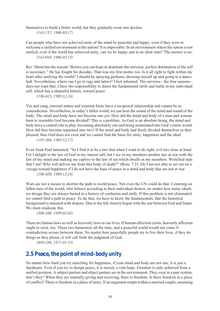themselves to build a better world, but they gradually went into decline.

*(143-157, 1986.03.17)*

Can people who have not achieved unity of the mind be peaceful and happy, even if they were to welcome a unified environment in the nation? It is impossible. In an environment where the nation is not unified, even if the world has achieved unity, can we be happy and in an ideal state? The answer is no. *(143-045, 1986.03.15)*

Rev. Moon has the maxim "Before you can hope to dominate the universe, perfect domination of the self is necessary." He has fought for decades. That was my first motto, too. Is it all right to fight within my heart after unifying the world? I should be spraying perfume, dressing myself up and going to a dance hall. Nevertheless, where can I go in rags and tatters? I feel ashamed. The universe - the four seasons does not want that. I have the responsibility to direct the fundamental strife and battle in my individual self, which has a shameful history, toward peace.

*(196-023, 1989.12.24)*

Yin and yang, internal nature and external form, have a reciprocal relationship and cannot be in contradiction. Nevertheless, in today's fallen world, we can hear the sound of the mind and sound of the body. The mind and body have not become one yet. How did the mind and body of a man and woman born to resemble God become divided? This is a problem. As God is an absolute being, the mind and body have a central role to play, becoming absolutely one and being assimilated into God's entire world. How did they become separated into two? If the mind and body had freely divided themselves as they pleased, then God does not exist and we cannot find the basis for unity, happiness and the ideal. *(195-304, 1989.12.17)*

Even Saint Paul lamented, "So I find it to be a law that when I want to do right, evil lies close at hand. For I delight in the law of God in my inmost self, but I see in my members another law at war with the law of my mind and making me captive to the law of sin which dwells in my members. Wretched man that I am! Who will deliver me from this body of death?" (Rom. 7:21-24) I am not able to set out on a voyage toward happiness if I do not have the base of peace in a mind and body that are not at war. *(196-020, 1989.12.24)*

Wars are not a means to shorten the path to world peace. Not even the UN could do that. Centering on fallen men of the world, who behave according to their individual desires, no matter how many ideals we design they are always buried in a history of confusion and strife. If this problem is not eliminated, we cannot find a path to peace. To do that, we have to know the fundamentals, that the historical background is smeared with dispute. Due to the fall, history began with the war between God and Satan. We must eradicate this.

*(300-108, 1999.03.02)*

There are human laws as well as heavenly laws in our lives. If human affection exists, heavenly affection ought to exist, too. These two harmonize all the time, and a peaceful world would not come if contradiction occurs between them. No matter how peacefully people try to live their lives, if they do things as they please, it will call forth the judgment of God.

*(039-238, 1971.01.15)*

## <span id="page-35-0"></span>**2.5 Peace, the point of mind-body unity**

No matter how hard you try searching for happiness, if your mind and body are not one, it is just a daydream. Even if you try to design peace, it is merely a vain hope. Freedom is only achieved from a unified position. A subject partner and object partner are in the environment. They exist in a pair system, don't they? When they are mutually giving and receiving, there is freedom. Is there freedom in a place of conflict? There is freedom in a place of unity. If an argument erupts within a married couple, assuming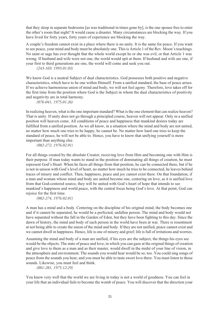that they sleep in separate bedrooms [as was traditional in times gone by], is the one spouse free to enter the other's room that night? It would cause a disaster. Many circumstances are blocking the way. If you have lived for forty years, forty years of experience are blocking the way.

A couple's freedom cannot exist in a place where there is no unity. It is the same for peace. If you want to see peace, your mind and body must be absolutely one. This is Article 1 of the Rev. Moon's teachings. No saint or sage has ever thought that the whole world except he or she was evil, or that Article 1 was wrong. If husband and wife were not one, the world would spit at them. If husband and wife are one, if your first to third generations are one, the world will come and seek you out.

*(243-169, 1993.01.03)*

We know God is a neutral Subject of dual characteristics. God possesses both positive and negative characteristics, which have to be one within Himself. From a unified standard, the base of peace arises. If we achieve harmonious union of mind and body, we will not feel agony. Therefore, love takes off for the first time from the position where God is the Subject in whom the dual characteristics of positivity and negativity are in total harmony.

*(076-041, 1975.01.26)*

In realizing heaven, what is the one important standard? What is the one element that can realize heaven? That is unity. If unity does not go through a principled course, heaven will not appear. Only in a unified position will heaven come. All conditions of peace and happiness that mankind desires today are fulfilled from a unified position. As we all know, in a situation where the mind and body are not united, no matter how much one tries to be happy, he cannot be. No matter how hard one tries to keep the standard of peace, he will not be able to. Hence, you have to know that unifying yourself is more important than anything else.

*(082-272, 1976.02.01)*

For all things created by the absolute Creator, receiving love from Him and becoming one with Him is their purpose. If man today wants to stand in the position of dominating all things of creation, he must represent God's Heart. When he faces all things from that position, he can be connected there, but if he is not in unison with God's level of heart, no matter how much he tries to be connected, he leaves behind traces of misery and conflict. Then, happiness, peace and joy cannot exist there. On that foundation, if a man and woman whose mind and body are united become one, centering on love, as it is unified love from that God-centered source, they will be united with God's heart of hope that intends to see mankind's happiness and world peace, with the central focus being God's love. At that point, God can rejoice for the first time.

*(082-274, 1976.02.01)*

A man has a mind and a body. Centering on the discipline of his original mind, the body becomes one and if it cannot be separated, he would be a perfected, unfallen person. The mind and body would not have separated without the fall in the Garden of Eden, but they have been fighting to this day. Since the dawn of history, the mind and body of each person in the world have been at war. There is resentment at not being able to create the union of the mind and body. If they are not unified, peace cannot exist and we cannot dwell in happiness. Hence, life is one of misery and grief; life is full of irritations and worries.

Assuming the mind and body of a man are unified, if his eyes are the subject, the things his eyes see would be the objects. The state of peace and love, in which you can gaze at the original things of creation and give love to them as a man and as their master, would dwell in the midst of your line of vision, in the atmosphere and environment. The sounds you would hear would be so, too. You could sing songs of peace from the sounds you hear, and you must be able to taste sweet love there. You must listen to those sounds. Likewise, you must feel and think.

*(081-281, 1975.12.29)*

You know very well that the world we are living in today is not a world of goodness. You can feel in your life that an individual fails to become the womb of peace. You will discover that the direction your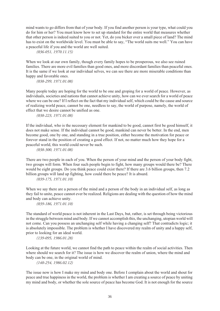mind wants to go differs from that of your body. If you find another person is your type, what could you do for him or her? You must know how to set up standard for the entire world that measures whether that other person is indeed suited to you or not. Yet, do you bicker over a small piece of land? The mind has to exist on the worldwide level. You must be able to say, "The world suits me well." You can have a peaceful life if you and the world are well suited.

*(036-051, 1970.11.15)*

When we look at our own family, though every family hopes to be prosperous, we also see ruined families. There are more evil families than good ones, and more discordant families than peaceful ones. It is the same if we look at our individual selves, we can see there are more miserable conditions than happy and favorable ones.

*(038-299, 1971.01.08)*

Many people today are hoping for the world to be one and groping for a world of peace. However, as individuals, societies and nations that cannot achieve unity, how can we ever search for a world of peace where we can be one? If I reflect on the fact that my individual self, which could be the cause and source of realizing world peace, cannot be one, needless to say, the world of purpose, namely, the world of effect that we desire cannot be unified as one.

*(038-223, 1971.01.08)*

If the individual, who is the necessary element for mankind to be good, cannot first be good himself, it does not make sense. If the individual cannot be good, mankind can never be better. In the end, men become good, one by one, and standing in a true position, either become the motivation for peace or forever stand in the position of creating a good effect. If not, no matter much how they hope for a peaceful world, this world could never be such.

*(038-300, 1971.01.08)*

There are two people in each of you. When the person of your mind and the person of your body fight, two groups will form. When four such people begin to fight, how many groups would there be? There would be eight groups. Do you think peace could exist there? If there are 3.6 billion groups, then 7.2 billion groups will land up fighting, how could there be peace? It is absurd.

*(039-175, 1971.01.10)*

When we say there are a person of the mind and a person of the body in an individual self, as long as they fail to unite, peace cannot ever be realized. Religions are dealing with the question of how the mind and body can achieve unity.

*(039-186, 1971.01.10)*

The standard of world peace is not inherent in the Last Days, but, rather, is set through being victorious in the struggle between mind and body. If we cannot accomplish this, the unchanging, utopian world will not come. Can you possess an unchanging self while having a changing self? That contradicts logic; it is absolutely impossible. The problem is whether I have discovered my realm of unity and a happy self, prior to looking for an ideal world.

*(139-095, 1986.01.28)*

Looking at the future world, we cannot find the path to peace within the realm of social activities. Then where should we search for it? The issue is how we discover the realm of union, where the mind and body can be one, in the original world of mind.

*(140-254, 1986.02.12)*

The issue now is how I make my mind and body one. Before I complain about the world and shout for peace and true happiness in the world, the problem is whether I am creating a source of peace by uniting my mind and body, or whether the sole source of peace has become God. It is not enough for the source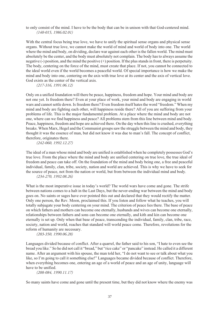to only consist of the mind. I have to be the body that can be in unison with that God-centered mind. *(140-015, 1986.02.01)*

With the central focus being true love, we have to unify the spiritual sense organs and physical sense organs. Without true love, we cannot make the world of mind and world of body into one. The world where the mind and body, on dividing, declare war against each other is the fallen world. The mind must absolutely be the center, and the body must absolutely not complain. The body has to always assume the negative (-) position, and the mind the positive (+) position. If the plus stands in front, there is perpetuity. The body, centering on the force of the mind, must create that place. If not, you cannot be connected to the ideal world even if the world becomes a peaceful world. Of special importance is how we make the mind and body into one, centering on the axis with true love at its center and the axis of vertical love. God exists as the center of the vertical axis.

*(217-316, 1991.06.12)*

Only on a unified foundation will there be peace, happiness, freedom and hope. Your mind and body are not one yet. Is freedom there? Even at your place of work, your mind and body are engaging in world wars and cannot settle down. Is freedom there? Even freedom itself hates the word "freedom." When my mind and body are fighting each other, will happiness reside there? All of you are suffering from your problems of life. This is the major fundamental problem. At a place where the mind and body are not one, where can we find happiness and peace? All problems stem from this line between mind and body. Peace, happiness, freedom and hope are achieved there. On the day when this line is crushed, everything breaks. When Marx, Hegel and the Communist groups saw the struggle between the mind and body, they thought it was the essence of man, but did not know it was due to man's fall. The concept of conflict, therefore, originates there.

*(242-060, 1992.12.27)*

The ideal of a man whose mind and body are unified is established when he completely possesses God's true love. From the place where the mind and body are unified centering on true love, the true ideal of freedom and peace can take off. On the foundation of the mind and body being one, a free and peaceful individual, family, clan, tribe, society, nation and world are achieved. This is why we have to seek for the source of peace, not from the nation or world, but from between the individual mind and body. *(234-270, 1992.08.26)*

What is the most imperative issue in today's world? The world wars have come and gone. The strife between nations comes to a halt in the Last Days, but the never-ending war between the mind and body goes on. No saints or sages have ever pointed this out and declared that they would rectify the matter. Only one person, the Rev. Moon, proclaimed this. If you listen and follow what he teaches, you will totally subjugate your body centering on your mind. The criterion of peace lies there. The base of peace on which fathers and mothers can become one eternally, husbands and wives can become one eternally, relationships between fathers and sons can become one eternally, and kith and kin can become one eternally is set up. Only when that base of peace, transcending the individual, family, clan, tribe, race, society, nation and world, reaches that standard will world peace come. Therefore, revolutions for the reform of humanity are necessary.

*(203-350, 1990.06.28)*

Languages divided because of conflict. After a quarrel, the father said to his son, "I hate to even see the bread you like." So he did not call it "bread," but "rice cake" or "pancake" instead. He called it a different name. After an argument with his spouse, the man told her, "I do not want to see or talk about what you like, so I'm going to call it something else!" Languages became divided because of conflict. Therefore, when everything becomes one, entering an age of a world of peace and an age of unity, language will have to be unified.

*(208-084, 1990.11.17)*

So many saints have come and gone until the present time, but they did not know where the enemy was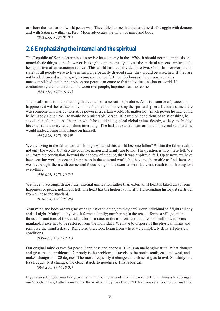or where the standard of world peace was. They failed to see that the battlefield of struggle with demons and with Satan is within us. Rev. Moon advocates the union of mind and body.

*(202-088, 1990.05.06)*

## **2.6 Emphasizing the internal and the spiritual**

The Republic of Korea determined to revive its economy in the 1970s. It should not put emphasis on materialistic things alone, however, but ought to more greatly elevate the spiritual aspects - which could be supportive of an economic revival. This world has been divided into two. Can it last forever in this state? If all people were to live in such a perpetually divided state, they would be wretched. If they are not headed toward a clear goal, no purpose can be fulfilled. So long as the purpose remains unaccomplished, neither happiness nor peace can come to that individual, nation or world. If contradictory elements remain between two people, happiness cannot come.

*(028-156, 1970.01.11)*

The ideal world is not something that centers on a certain hope alone. As it is a source of peace and happiness, it will be realized only on the foundation of stressing the spiritual sphere. Let us assume there was someone who has authoritative power in a certain world. No matter how much power he had, could he be happy alone? No. He would be a miserable person. If, based on conditions of relationships, he stood on the foundation of heart on which he could pledge ideal global values deeply, widely and highly, his external authority would shine internally. If he had an external standard but no internal standard, he would instead bring misfortune on himself.

*(048-208, 1971.09.19)*

We are living in the fallen world. Through what did this world become fallen? Within the fallen realm, not only the world, but also the country, nation and family are found. The question is how these fell. We can form the conclusion, beyond the shadow of a doubt, that it was a spiritual fall. Up to now, we have been seeking world peace and happiness in the external world, but have not been able to find them. As we have sought them with our central focus being on the external world, the end result is our having lost everything.

*(050-021, 1971.10.24)*

We have to accomplish absolute, internal unification rather than external. If heart is taken away from happiness or peace, nothing is left. The heart has the highest authority. Transcending history, it starts out from an absolute standard.

*(016-274, 1966.06.26)*

Your mind and body are waging war against each other, are they not? Your individual self fights all day and all night. Multiplied by two, it forms a family; numbering in the tens, it forms a village; in the thousands and tens of thousands, it forms a race; in the millions and hundreds of millions, it forms mankind. Peace has to be restored from the individual. We have to dispose of the physical things and reinforce the mind's desire. Religions, therefore, begin from where we completely deny all physical conditions.

*(035-057, 1970.10.03)*

Our original mind craves for peace, happiness and oneness. This is an unchanging truth. What changes and gives rise to problems? Our body is the problem. It travels to the north, south, east and west, and makes changes of 180 degrees. The more frequently it changes, the closer it gets to evil. Similarly, the less frequently it changes, the closer it gets to goodness. This is logical.

*(094-250, 1977.10.01)*

If you can subjugate your body, you can unite your clan and tribe. The most difficult thing is to subjugate one's body. Thus, Father's motto for the work of the providence: "Before you can hope to dominate the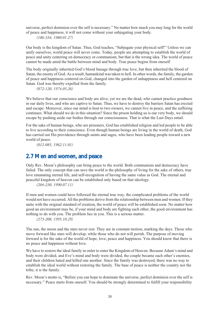universe, perfect dominion over the self is necessary." No matter how much you may long for the world of peace and happiness, it will not come without your subjugating your body. *(106-334, 1980.01.27)*

Our body is the kingdom of Satan. Thus, God teaches, "Subjugate your physical self!" Unless we can unify ourselves, world peace will never come. Today, people are attempting to establish the world of peace and unity centering on democracy or communism, but that is the wrong idea. The world of peace cannot be made amid the battle between mind and body. True peace begins from oneself.

The body originally inherited God's blood lineage through true love, but then inherited the blood of Satan, the enemy of God. As a result, humankind was taken to hell. In other words, the family, the garden of peace and happiness centered on God, changed into the garden of unhappiness and hell centered on Satan. God was thereby expelled from the family.

*(072-120, 1974.05.26)*

We believe that our conscience and body are alive; yet we are the dead, who cannot practice goodness in our daily lives, and who are captive to Satan. Thus, we have to destroy the barriers Satan has erected and escape. Moreover, since our mind is host to two owners, we cannot live in peace, and the suffering continues. What should we do in this situation? Since the prison holding us is our very body, we should escape by pushing aside our bodies through our consciousness. That is what the Last Days entail.

For the sake of human beings, who are prisoners, God has established religion and led people to be able to live according to their conscience. Even though human beings are living in the world of death, God has carried out His providence through saints and sages, who have been leading people toward a new world of peace.

*(012-085, 1962.11.01)*

### **2.7 Men and women, and peace**

Only Rev. Moon's philosophy can bring peace to the world. Both communism and democracy have failed. The only concept that can save the world is the philosophy of living for the sake of others, true love emanating eternal life, and self-recognition of having the same value as God. The eternal and peaceful kingdom of heaven can be established only based on that ideology.

*(204-230, 1990.07.11)*

If men and women could have followed the eternal true way, the complicated problems of the world would not have occurred. All the problems derive from the relationship between men and women. If they unite with the original standard of creation, the world of peace will be established soon. No matter how good an environment may be, if your mind and body are fighting each other, the good environment has nothing to do with you. The problem lies in you. This is a serious matter.

*(273-208, 1995.10.29)*

The sun, the moon and the stars never rest. They are in constant motion, marking the days. Those who move forward like stars will develop, while those who do not will perish. The purpose of moving forward is for the sake of the world of hope, love, peace and happiness. You should know that there is no peace and happiness without love.

We have to restore the ideal family in order to enter the Kingdom of Heaven. Because Adam's mind and body were divided, and Eve's mind and body were divided, the couple became each other's enemies, and their children hated and killed one another. Since the family was destroyed, there was no way to establish the ideal world without restoring the family. The base of peace is neither the country nor the tribe; it is the family.

Rev. Moon's motto is, "Before you can hope to dominate the universe, perfect dominion over the self is necessary." Peace starts from oneself. You should be strongly determined to fulfill your responsibility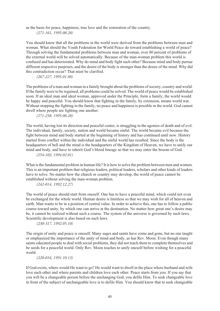as the basis for peace, happiness, true love and the restoration of the country. *(271-161, 1995.08.28)*

You should know that all the problems in the world were derived from the problems between man and woman. What should the Youth Federation for World Peace do toward establishing a world of peace? Through solving the fundamental problems between man and woman, over 80 percent of problems of the external world will be solved automatically. Because of the man-woman problem this world is confused and has deteriorated. Why do mind and body fight each other? Because mind and body pursue different respective purposes, and the desire of the body is stronger than the desire of the mind. Why did this contradiction occur? That must be clarified.

*(267-227, 1995.01.08)*

The problems of a man and woman in a family brought about the problems of society, country and world. If the family were to be regained, all problems could be solved. The world of peace would be established soon. If an ideal man and ideal woman, approved under the Principle, form a family, the world would be happy and peaceful. You should know that fighting in the family, by extension, means world war. Without stopping the fighting in the family, no peace and happiness is possible in the world. God cannot dwell where people are fighting one another.

*(271-258, 1995.08.28)*

The world, having lost its direction and peaceful center, is struggling in the agonies of death and of evil. The individual, family, society, nation and world became sinful. The world became evil because the fight between mind and body started at the beginning of history and has continued until now. History started from conflict within the individual and the sinful world has resulted. Since the body is the headquarters of hell and the mind is the headquarters of the Kingdom of Heaven, we have to unify our mind and body, and have to inherit God's blood lineage so that we may enter the bosom of God.

*(254-102, 1994.02.01)*

What is the fundamental problem in human life? It is how to solve the problem between men and women. This is an important problem that religious leaders, political leaders, scholars and other kinds of leaders have to solve. No matter how the church or country may develop, the world of peace cannot be established without solving the man-woman problem.

*(242-014, 1992.12.27)*

The world of peace should start from oneself. One has to have a peaceful mind, which could not even be exchanged for the whole world. Human desire is limitless so that we may wish for all of heaven and earth. Man wants to be in a position of central value. In order to achieve this, one has to follow a public course toward unity, by which one can arrive at the destination. No matter how great one's desire may be, it cannot be realized without such a course. The system of the universe is governed by such laws. Scientific development is also based on such laws.

*(230-317, 1992.05.10)*

The origin of unity and peace is oneself. Many sages and saints have come and gone, but no one taught or emphasized the importance of the unity of mind and body, as has Rev. Moon. Even though many saints educated people to deal with social problems, they did not teach them to complete themselves and be seeds for a peaceful world. Only Rev. Moon teaches to unify oneself before wishing for a peaceful world.

*(220-016, 1991.10.13)*

If God exists, where would He want to go? He would want to dwell in the place where husband and wife love each other and where parents and children love each other. Peace starts from you. If you say that you will be a changeable person before the unchanging God, you defile Him. To seek changeable love in front of the subject of unchangeable love is to defile Him. You should know that to seek changeable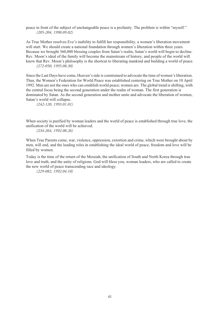peace in front of the subject of unchangeable peace is a profanity. The problem is within "myself." *(205-204, 1990.09.02)*

As True Mother resolves Eve's inability to fulfill her responsibility, a women's liberation movement will start. We should create a national foundation through women's liberation within three years. Because we brought 360,000 blessing couples from Satan's realm, Satan's world will begin to decline. Rev. Moon's ideal of the family will become the mainstream of history, and people of the world will know that Rev. Moon's philosophy is the shortcut to liberating mankind and building a world of peace. *(272-050, 1995.08.30)*

Since the Last Days have come, Heaven's side is constrained to advocate the time of women's liberation. Thus, the Women's Federation for World Peace was established centering on True Mother on 10 April 1992. Men are not the ones who can establish world peace; women are. The global trend is shifting, with the central focus being the second generation under the realm of woman. The first generation is dominated by Satan. As the second generation and mother unite and advocate the liberation of women, Satan's world will collapse.

*(242-120, 1993.01.01)*

When society is purified by woman leaders and the world of peace is established through true love, the unification of the world will be achieved.

*(234-264, 1992.08.26)*

When True Parents come, war, violence, oppression, extortion and crime, which were brought about by men, will end, and the leading roles in establishing the ideal world of peace, freedom and love will be filled by women.

Today is the time of the return of the Messiah, the unification of South and North Korea through true love and truth, and the unity of religions. God will bless you, woman leaders, who are called to create the new world of peace transcending race and ideology.

*(229-082, 1992.04.10)*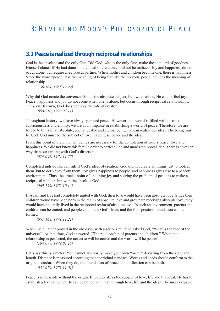# 3: REVEREND MOON'S PHILOSOPHY OF PEACE

### **3.1 Peace is realized through reciprocal relationships**

God is the absolute and the only One. Did God, who is the only One, make the standard of goodness Himself alone? If He had done so, the ideal of creation could not be realized. Joy and happiness do not occur alone, but require a reciprocal partner. When mother and children become one, there is happiness. Since the word "peace" has the meaning of being flat like the horizon, peace includes the meaning of relationship.

*(136-104, 1985.12.22)*

Why did God create the universe? God is the absolute subject, but, when alone. He cannot feel joy. Peace, happiness and joy do not come when one is alone, but occur through reciprocal relationships. Thus, on His own, God does not play the role of creator.

*(058-210, 1972.06.11)*

Throughout history, we have always pursued peace. However, this world is filled with distrust, capriciousness and enmity; we are at an impasse in establishing a world of peace. Therefore, we are forced to think of an absolute, unchangeable and eternal being that can realize our ideal. The being must be God. God must be the subject of love, happiness, peace and the ideal.

From this point of view, human beings are necessary for the completion of God's peace, love and happiness. We did not know this fact. In order to perfect God and man's reciprocal ideal, there is no other way than our uniting with God's direction.

*(074-046, 1974.11.27)*

Completed individuals can fulfill God's ideal of creation. God did not create all things just to look at them, but to derive joy from them. Joy gives happiness to people, and happiness gives rise to a peaceful environment. Thus, the crucial point of obtaining joy and solving the problem of peace is to make a reciprocal relationship with the absolute God.

*(063-155, 1972.10.14)*

If Adam and Eve had completely united with God, their love would have been absolute love. Since their children would have been born in the realm of absolute love and grown up receiving absolute love, they would have naturally lived in the reciprocal realm of absolute love. In such an environment, parents and children can be united, and people can praise God's love, and the four-position foundation can be formed.

*(051-168, 1971.11.21)*

When True Father prayed in the old days, with a serious mind he asked God, "What is the root of the universe?" At that time, God answered, "The relationship of parents and children." When that relationship is perfected, the universe will be united and the world will be peaceful. *(104-099, 1979.04.15)*

Let's say this is a meter. You cannot arbitrarily make your own "meter" deviating from the standard length. Distance is measured according to that original standard. Words and deeds should conform to the original standard. When they do, the foundation of peace and unification can be built. *(051-079, 1971.11.01)*

Peace is impossible without the origin. If God exists as the subject of love, life and the ideal, He has to establish a level at which He can be united with man through love, life and the ideal. The most valuable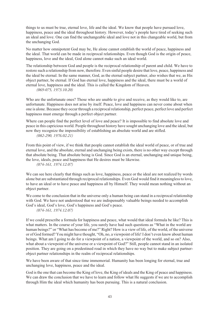things to us must be true, eternal love, life and the ideal. We know that people have pursued love, happiness, peace and the ideal throughout history. However, today's people have tired of seeking such an ideal and love. One can find the unchangeable ideal and love not in this changeable world, but from the unchanging God.

No matter how omnipotent God may be, He alone cannot establish the world of peace, happiness and the ideal. That world can be made in reciprocal relationships. Even though God is the origin of peace, happiness, love and the ideal, God alone cannot make such an ideal world.

The relationship between God and people is the reciprocal relationship of parent and child. We have to restore such a relationship from now, therefore. Even sinful people desire that love, peace, happiness and the ideal be eternal. In the same manner, God, as the eternal subject partner, also wishes that we, as His object partner, be eternal. If God has eternal love, happiness and the ideal, there must be a world of eternal love, happiness and the ideal. This is called the Kingdom of Heaven.

*(069-075, 1973.10.20)*

Who are the unfortunate ones? Those who are unable to give and receive, as they would like to, are unfortunate. Happiness does not arise by itself. Peace, love and happiness can never come about when one is alone. Because they occur through a reciprocal relationship, perfect peace, perfect love and perfect happiness must emerge through a perfect object partner.

Where can people find the perfect level of love and peace? It is impossible to find absolute love and peace in this capricious world. People throughout history have sought unchanging love and the ideal, but now they recognize the impossibility of establishing an absolute world and are stifled. *(082-290, 1976.02.21)*

From this point of view, if we think that people cannot establish the ideal world of peace, or of true and eternal love, and the absolute, eternal and unchanging being exists, there is no other way except through that absolute being. That absolute being is God. Since God is an eternal, unchanging and unique being, the love, ideals, peace and happiness that He desires must be likewise.

*(074-161, 1974.12.07)*

We can see here clearly that things such as love, happiness, peace or the ideal are not realized by words alone but are substantiated through reciprocal relationships. Even God would find it meaningless to love, to have an ideal or to have peace and happiness all by Himself. They would mean nothing without an object partner.

We come to the conclusion that in the universe only a human being can stand in a reciprocal relationship with God. We have not understood that we are indispensably valuable beings needed to accomplish God's ideal, God's love, God's happiness and God's peace.

*(074-161, 1974.12.07)*

If we could prescribe a formula for happiness and peace, what would that ideal formula be like? This is what matters. In the course of your life, you surely have had such questions as "What in the world are human beings?" or "What has become of me?" Right? How is a view of life, of the world, of the universe or of God formed? You might have thought, "Oh, no, a viewpoint of life! I don't even know about human beings. What am I going to do for a viewpoint of a nation, a viewpoint of the world, and so on? Also, what about a viewpoint of the universe or a viewpoint of God?" Still, people cannot stand in an isolated position. They are going on a predestined road in which they have no way but to make subject partnerobject partner relationships in the realm of reciprocal relationships.

We have been aware of that since time immemorial. Humanity has been longing for eternal, true and unchanging love, happiness, peace and the ideal.

God is the one that can become the King of love, the King of ideals and the King of peace and happiness. We can draw the conclusion that we have to learn and follow what He suggests if we are to accomplish through Him the ideal which humanity has been pursuing. This is a natural conclusion.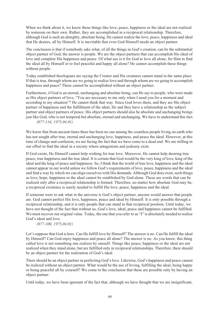When we think about it, we know those things like love, peace, happiness or the ideal are not realized by someone on their own. Rather, they are accomplished in a reciprocal relationship. Therefore, although God is such an almighty, absolute being, He cannot realize the love, peace, happiness and ideal that He desires, all by Himself. It is inevitable that even God Himself needs an object partner.

The conclusion is that if somebody asks what, of all the things in God's creation, can be the substantial object partner of God, the answer is people. We are the object partners that can accomplish His ideal of love and complete His happiness and peace. Of what use is it for God to love all alone, for Him to find the ideal all by Himself or to feel peaceful and happy all alone? He cannot accomplish these things without people.

Today established theologians are saying the Creator and His creatures cannot stand in the same place. If that is true, through whom are we going to realize love and through whom are we going to accomplish happiness and peace? These cannot be accomplished without an object partner.

Furthermore, if God is an eternal, unchanging and absolute being, can He say to people, who were made as His object partners of love, "You are necessary to me only when I need you for a moment and according to my situation"? He cannot think that way. Since God loves them, and they are His object partner of happiness and the fulfillment of the ideal, He and they have a relationship as the subject partner and object partners of peace. His object partners should also be absolute and unchanging beings just like God, who is not temporal but absolute, eternal and unchanging. We have to understand this fact. *(077-116, 1975.04.01)*

We know that from ancient times there has been no one among the countless people living on earth who has not sought after true, eternal and unchanging love, happiness, and peace the ideal. However, at this time of change and confusion, we are facing the fact that we have come to a dead end. We are stifling in our effort to find the ideal in a society where antagonism and jealousy exist.

If God exists, He Himself cannot help wishing for true love. Moreover, He cannot help desiring true peace, true happiness and the true ideal. It is certain that God would be the very king of love, king of the ideal and the king of peace and happiness. So, I think that the world of true love, happiness and the ideal cannot appear in our world unless we follow God's requirements of love, peace, happiness and the ideal and find a way by which we can align ourselves with His demands. Although God does exist, such things as love, hope, happiness or the ideal cannot be established by God alone. These are words that can be realized only after a reciprocal relationship is formed. Therefore, no matter how absolute God may be, a reciprocal existence is surely needed to fulfill His love, peace, happiness and the ideal.

If someone were to ask what in the universe is God's object partner, anyone would answer that people are. God cannot perfect His love, happiness, peace and ideal by Himself. It is only possible through a reciprocal relationship, and it is only people that can stand in that reciprocal position. Until today, we have not thought of the fact that without us, God's love, ideal, peace and happiness cannot be fulfilled. We must recover our original value. Today, the one that you refer to as "I" is absolutely needed to realize God's ideal and love.

*(077-100, 1975.04.01)*

Let's suppose that God is here. Can He fulfill love by Himself? The answer is no. Can He fulfill the ideal by Himself? Can God enjoy happiness and peace all alone? The answer is no. As you know, this thing called love is not something one realizes by oneself. Things like peace, happiness or the ideal are not realized when they stand alone, but are fulfilled only in reciprocal relationships. Therefore, there should be an object partner for the realization of God's ideal.

There should be an object partner in perfecting God's love. Likewise, God's happiness and peace cannot be realized without an object partner. What would be the use of loving, fulfilling the ideal, being happy or being peaceful all by yourself? We come to the conclusion that these are possible only by having an object partner.

Until today, we have been ignorant of the fact that, although we have thought that we are insignificant,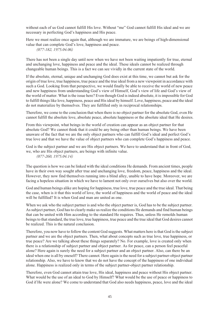without each of us God cannot fulfill His love. Without "me" God cannot fulfill His ideal and we are necessary in perfecting God's happiness and His peace.

Here we must realize once again that, although we are immature, we are beings of high-dimensional value that can complete God's love, happiness and peace. *(077-182, 1975.04.06)*

There has not been a single day until now when we have not been waiting impatiently for true, eternal and unchanging love, happiness and peace and the ideal. These ideals cannot be realized through changeable human beings. This is a fact we can see vividly in the current state of the world.

If the absolute, eternal, unique and unchanging God does exist at this time, we cannot but ask for the origin of true love, true happiness, true peace and the true ideal from a new viewpoint in accordance with such a God. Looking from that perspective, we would finally be able to receive the world of new peace and new happiness from understanding God's view of Himself, God's view of life and God's view of the world of matter. What is the issue here? Even though God is indeed absolute, it is impossible for God to fulfill things like love, happiness, peace and His ideal by himself. Love, happiness, peace and the ideal do not materialize by themselves. They are fulfilled only in reciprocal relationships.

Therefore, we come to the conclusion that when there is no object partner for the absolute God, even He cannot fulfill the absolute love, absolute peace, absolute happiness or the absolute ideal that He desires.

From this viewpoint, what beings in the world of creation can appear as an object partner for that absolute God? We cannot think that it could be any being other than human beings. We have been unaware of the fact that we are the only object partners who can fulfill God's ideal and perfect God's true love and that we have the value of object partners who can complete God's happiness and peace.

God is the subject partner and we are His object partners. We have to understand that in front of God, we, who are His object partners, are beings with infinite value.

*(077-260, 1975.04.14)*

The question is how we can be linked with the ideal conditions He demands. From ancient times, people have in their own way sought after true and unchanging love, freedom, peace, happiness and the ideal. However, they now find themselves running into a blind alley, unable to have hope. Moreover, we are facing a hopeless situation in which we have to lament not only over ourselves but also over the world.

God and human beings alike are hoping for happiness, true love, true peace and the true ideal. That being the case, when is it that this world of love, the world of happiness and the world of peace and the ideal will be fulfilled? It is when God and man are united as one.

When we ask who the subject partner is and who the object partner is, God has to be the subject partner. As subject partner, God has to clearly make us realize the conditions He demands and find human beings that can be united with Him according to the standard He requires. Thus, unless He remolds human beings to that standard, the true love, true happiness, true peace and the true ideal that God desires cannot be realized. This is the natural conclusion.

Therefore, you now have to follow the content God suggests. What matters here is that God is the subject partner and we are the object partners. Then, what about concepts such as true love, true happiness, or true peace? Are we talking about these things separately? No. For example, love is created only when there is a relationship of subject partner and object partner. As for peace, can a person feel peaceful alone? Here again is surely the need for a subject partner and an object partner. Also, can there be an ideal when one is all by oneself? There cannot. Here again is the need for a subject partner-object partner relationship. Also, we have to know that we do not have the concept of the happiness of one individual alone. Happiness is realized only in terms of the subject partner-object partner relationship.

Therefore, even God cannot attain true love, His ideal, happiness and peace without His object partner. What would be the use of an ideal to God by Himself? What would be the use of peace or happiness to God if He were alone? We come to understand that God also needs happiness, peace, love and the ideal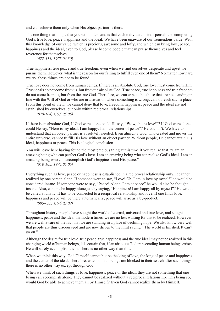and can achieve them only when His object partner is there.

The one thing that I hope that you will understand is that each individual is indispensable in completing God's true love, peace, happiness and the ideal. We have been unaware of our tremendous value. With this knowledge of our value, which is precious, awesome and lofty, and which can bring love, peace, happiness and the ideal, even to God, please become people that can praise themselves and feel reverence for themselves.

*(077-313, 1975.04.30)*

True happiness, true peace and true freedom: even when we find ourselves desperate and upset we pursue them. However, what is the reason for our failing to fulfill even one of them? No matter how hard we try, these things are not to be found.

True love does not come from human beings. If there is an absolute God, true love must come from Him. True ideals do not come from us, but from the absolute God. True peace, true happiness and true freedom do not come from us, but from the true God. Therefore, we can expect that those that are not standing in line with the Will of God or who are in a situation where something is wrong, cannot reach such a place. From this point of view, we cannot deny that love, freedom, happiness, peace and the ideal are not established by ourselves, but only within reciprocal relationships.

```
(078-104, 1975.05.06)
```
If there is an absolute God, If God were alone could He say, "Wow, this is love!"? If God were alone, could He say, "Here is my ideal. I am happy. I am the center of peace"? He couldn't. We have to understand that an object partner is absolutely needed. Even almighty God, who created and moves the entire universe, cannot fulfill His love without an object partner. Without people, He cannot attain His ideal, happiness or peace. This is a logical conclusion.

You will leave here having found the most precious thing at this time if you realize that, "I am an amazing being who can perfect God's love. I am an amazing being who can realize God's ideal. I am an amazing being who can accomplish God's happiness and His peace."

*(078-103, 1975.05.06)*

Everything such as love, peace or happiness is established in a reciprocal relationship only. It cannot realized by one person alone. If someone were to say, "Love! Oh, I am in love by myself" he would be considered insane. If someone were to say, "Peace! Alone, I am at peace" he would also be thought insane. Also, can one be happy alone just by saying, "Happiness! I am happy all by myself"? He would be called a lunatic. It has to be connected to a reciprocal relationship and love. If one finds love, happiness and peace will be there automatically; peace will arise as a by-product.

```
(085-055, 1976.03.02)
```
Throughout history, people have sought the world of eternal, universal and true love, and sought happiness, peace and the ideal. In modern times, we are no less waiting for this to be realized. However, we are well aware of the fact that we are standing in a place of declining hope. We also know very well that people are thus discouraged and are now driven to the limit saying, "The world is finished. It can't go on."

Although the desire for true love, true peace, true happiness and the true ideal may not be realized in this changing world of human beings, it is certain that, if an absolute God transcending human beings exists, He will surely accomplish them. There is no other way than this.

When we think this way, God Himself cannot but be the king of love, the king of peace and happiness and the center of the ideal. Therefore, when human beings are blocked in their search after such things, there is no other way except through God.

When we think of such things as love, happiness, peace or the ideal, they are not something that one being can accomplish alone. They cannot be realized without a reciprocal relationship. This being so, would God be able to achieve them all by Himself? Even God cannot realize them by Himself.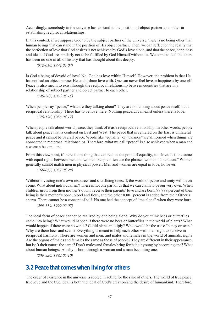Accordingly, somebody in the universe has to stand in the position of object partner to another in establishing reciprocal relationships.

In this context, if we suppose God to be the subject partner of the universe, there is no being other than human beings that can stand in the position of His object partner. Then, we can reflect on the reality that the perfection of love that God desires is not achieved by God's love alone, and that the peace, happiness and ideal of God are similarly not to be fulfilled by God Himself without us. We come to feel that there has been no one in all of history that has thought about this deeply.

*(072-010, 1974.05.07)*

Is God a being of devoid of love? No. God has love within Himself. However, the problem is that He has not had an object partner He could share love with. One can never feel love or happiness by oneself. Peace is also meant to exist through the reciprocal relationship between countries that are in a relationship of subject partner and object partner to each other.

*(145-267, 1986.05.15)*

When people say "peace," what are they talking about? They are not talking about peace itself, but a reciprocal relationship. There has to be love there. Nothing peaceful can exist unless there is love. *(175-196, 1988.04.17)*

When people talk about world peace, they think of it as a reciprocal relationship. In other words, people talk about peace that is centered on East and West. The peace that is centered on the East is unilateral peace and it cannot be overall peace. Words like "equality" or "balance" are all formed when things are connected in reciprocal relationships. Therefore, what we call "peace" is also achieved when a man and a woman become one.

From this viewpoint, if there is one thing that can realize the point of equality, it is love. It is the same with equal rights between men and women. People often use the phrase "women's liberation." Women generally cannot match men in physical power. Men and women are equal in love, however.

*(166-037, 1987.05.28)*

Without investing one's own resources and sacrificing oneself, the world of peace and unity will never come. What about individualism? There is not one part of us that we can claim to be our very own. When children grow from their mother's ovum, receive their parents' love and are born, 99.999 percent of their being is their mother's bone, blood and flesh, and the other 0.001 percent is added from their father's sperm. There cannot be a concept of self. No one had the concept of "me alone" when they were born.

*(299-119, 1999.02.07)*

The ideal form of peace cannot be realized by one being alone. Why do you think bees or butterflies came into being? What would happen if there were no bees or butterflies in the world of plants? What would happen if there were no winds? Could plants multiply? What would be the use of honey or scent? Why are there bees and scent? Everything is meant to help each other with their right to survive in reciprocal harmony. There are women and men, and males and females in the world of animals, right? Are the organs of males and females the same as those of people? They are different in their appearance, but isn't their nature the same? Don't males and females bring forth their young by becoming one? What about human beings? A baby is born through a woman and a man becoming one.

*(230-320, 1992.05.10)*

### **3.2 Peace that comes when living for others**

The order of existence in the universe is rooted in acting for the sake of others. The world of true peace, true love and the true ideal is both the ideal of God's creation and the desire of humankind. Therefore,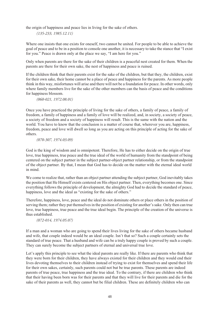the origin of happiness and peace lies in living for the sake of others.

*(135-233, 1985.12.11)*

Where one insists that one exists for oneself, two cannot be united. For people to be able to achieve the goal of peace and to be in a position to console one another, it is necessary to take the stance that "I exist for you." Peace is drawn only at the place we say, "I am here for you."

Only when parents are there for the sake of their children is a peaceful nest created for them. When the parents are there for their own sake, the nest of happiness and peace is ruined.

If the children think that their parents exist for the sake of the children, but that they, the children, exist for their own sake, their home cannot be a place of peace and happiness for the parents. As more people think in this way, misfortunes will arise and there will not be a foundation for peace. In other words, only where family members live for the sake of the other members can the basis of peace and the conditions for happiness blossom.

*(060-021, 1972.08.01)*

Once you have practiced the principle of living for the sake of others, a family of peace, a family of freedom, a family of happiness and a family of love will be realized, and, in society, a society of peace, a society of freedom and a society of happiness will result. This is the same with the nation and the world. You have to know that the conclusion is a matter of course that, wherever you are, happiness, freedom, peace and love will dwell so long as you are acting on this principle of acting for the sake of others.

#### *(070-307, 1974.03.09)*

God is the king of wisdom and is omnipotent. Therefore, He has to either decide on the origin of true love, true happiness, true peace and the true ideal of the world of humanity from the standpoint of being centered on the subject partner in the subject partner-object partner relationship, or from the standpoint of the object partner. By that, I mean that God has to decide on the matter with the eternal ideal world in mind.

We come to realize that, rather than an object partner attending the subject partner, God inevitably takes the position that He Himself exists centered on His object partner. Then, everything becomes one. Since everything follows the principle of development, the almighty God had to decide the standard of peace, happiness, love and the ideal as "existing for the sake of others."

Therefore, happiness, love, peace and the ideal do not dominate others or place others in the position of serving them; rather they put themselves in the position of existing for another's sake. Only then can true love, true happiness, true peace and the true ideal begin. The principle of the creation of the universe is thus established.

#### *(072-014, 1974.05.07)*

If a man and a woman who are going to spend their lives living for the sake of others became husband and wife, that couple indeed would be an ideal couple. Isn't that so? Such a couple certainly sets the standard of true peace. That a husband and wife can be a truly happy couple is proved by such a couple. They can surely become the subject partners of eternal and universal true love.

Let's apply this principle to see what the ideal parents are really like. If there are parents who think that they were born for their children, they have always existed for their children and they would end their lives devoting themselves to their children instead of trying to exist for themselves and spend their life for their own sakes, certainly, such parents could not but be true parents. These parents are indeed parents of true peace, true happiness and the true ideal. To the contrary, if there are children who think that their having been born was for their parents and that they will live for their parents and die for the sake of their parents as well, they cannot but be filial children. These are definitely children who can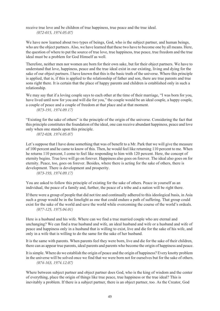receive true love and be children of true happiness, true peace and the true ideal. *(072-015, 1974.05.07)*

We have now learned about two types of beings, God, who is the subject partner, and human beings. who are the object partners. Also, we have learned that these two have to become one by all means. Here, the question of where to put the source of true love, true happiness, true peace, true freedom and the true ideal must be a problem for God Himself as well.

Therefore, neither men nor women are born for their own sake, but for their object partners. We have to understand that love, happiness, peace and the true ideal exist in our existing, living and dying for the sake of our object partners. I have known that this is the basic truth of the universe. Where this principle is applied, that is, if this is applied to the relationship of father and son, there are true parents and true sons right there. It is certain that the place of happy parents and children is established only in such a relationship.

We may say that if a loving couple says to each other at the time of their marriage, "I was born for you, have lived until now for you and will die for you," the couple would be an ideal couple, a happy couple, a couple of peace and a couple of freedom at that place and at that moment.

*(073-191, 1974.09.17)*

"Existing for the sake of others" is the principle of the origin of the universe. Considering the fact that this principle constitutes the foundation of the ideal, one can receive abundant happiness, peace and love only when one stands upon this principle.

*(072-028, 1974.05.07)*

Let's suppose that I have done something that was of benefit to a Mr. Park that we will give the measure of 100 percent and he came to know of this. Then, he would feel like returning 110 percent to me. When he returns 110 percent, I come to feel like responding to him with 120 percent. Here, the concept of eternity begins. True love will go on forever. Happiness also goes on forever. The ideal also goes on for eternity. Peace, too, goes on forever. Besides, where there is acting for the sake of others, there is development. There is development and prosperity.

*(073-193, 1974.09.17)*

You are asked to follow this principle of existing for the sake of others. Peace in yourself as an individual, the peace of a family and, further, the peace of a tribe and a nation will be right there.

If there were a group of people that did not tire and continually adhered to this ideological basis, in Asia such a group would be in the limelight as one that could endure a path of suffering. That group could exist for the sake of the world and save the world while overcoming the course of the world's ordeals. *(077-125, 1975.04.01)*

Here is a husband and his wife. Where can we find a true married couple who are eternal and unchanging? We can find a true husband and wife, an ideal husband and wife or a husband and wife of peace and happiness only in a husband that is willing to exist, live and die for the sake of his wife, and only in a wife that is willing to do the same for the sake of her husband.

It is the same with parents. When parents feel they were born, live and die for the sake of their children, there can as appear true parents, ideal parents and parents who become the origin of happiness and peace.

It is simple. Where do we establish the origin of peace and the origin of happiness? Every knotty problem in the universe will be solved once we find that we were born not for ourselves but for the sake of others. *(074-163, 1974.12.07)*

Where between subject partner and object partner does God, who is the king of wisdom and the center of everything, place the origin of things like true peace, true happiness or the true ideal? This is inevitably a problem. If there is a subject partner, there is an object partner, too. As the Creator, God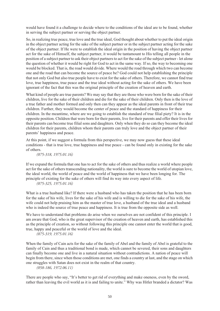would have found it a challenge to decide where to the conditions of the ideal are to be found, whether in serving the subject partner or serving the object partner.

So, in realizing true peace, true love and the true ideal, God thought about whether to put the ideal origin in the object partner acting for the sake of the subject partner or in the subject partner acting for the sake of the object partner. If He were to establish the ideal origin in the position of having the object partner act for the sake of Himself, the subject partner, it would be tantamount to His telling all people in the position of a subject partner to ask their object partners to act for the sake of the subject partner - let alone the question of whether it would be right for God to act in the same way. If so, the way to becoming one would be blocked. That is, the road would divide. Where would the road through which two can become one and the road that can become the source of peace be? God could not help establishing the principle that not only God but also true people have to exist for the sake of others. Therefore, we cannot find true love, true happiness, true peace and the true ideal without acting for the sake of others. We have been ignorant of the fact that this was the original principle of the creation of heaven and earth.

What kind of people are true parents? We may say that they are those who were born for the sake of their children, live for the sake of their children and die for the sake of their children. Only then is the love of a true father and mother formed and only then can they appear as the ideal parents in front of their true children. Further, they would become the center of peace and the standard of happiness for their children. In the meantime, where are we going to establish the standard of true filial piety? It is in the opposite position. Children that were born for their parents, live for their parents and offer their lives for their parents can become true filial sons and daughters. Only when they do so can they become the ideal children for their parents, children whom their parents can truly love and the object partner of their parents' happiness and peace.

At this point, if we suggest a formula from this perspective, we may now guess that these ideal conditions - that is true love, true happiness and true peace - can be found only in existing for the sake of others.

*(075-318, 1975.01.16)*

If we expand the formula that one has to act for the sake of others and thus realize a world where people act for the sake of others transcending nationality, the world is sure to become the world of utopian love, the ideal world, the world of peace and the world of happiness that we have been longing for. The principle of existing for the sake of others will find its way into every aspect of life.

*(075-325, 1975.01.16)*

What is a true husband like? If there were a husband who has taken the position that he has been born for the sake of his wife, lives for the sake of his wife and is willing to die for the sake of his wife, the wife could not help praising him as the master of true love, a husband of the true ideal and a husband who is indeed the source of true peace and happiness. It is true from the opposite side as well.

We have to understand that problems do arise when we ourselves are not confident of this principle. I am aware that God, who is the great supervisor of the creation of heaven and earth, has established this as the principle of creation, so without following this principle one cannot enter the world that is good, true, happy and peaceful or the world of love and the ideal.

*(075-319, 1975.01.16)*

When the family of Cain acts for the sake of the family of Abel and the family of Abel is grateful to the family of Cain and thus a traditional bond is made, which cannot be severed, their sons and daughters can finally become one and live in a natural situation without contradictions. A nation of peace will begin from there, since when those conditions are met, one finds a country at last, and the stage on which one struggles with Satan does not exist in the realm of that country.

*(058-186, 1972.06.11)*

There are people who say, "It's better to get rid of everything and make oneness, even by the sword, rather than leaving the evil world as it is and failing to unite." Why was Hitler branded a dictator? Was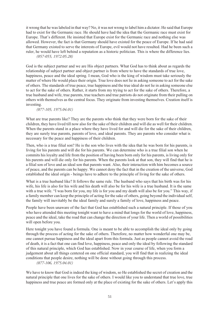it wrong that he was labeled in that way? No, it was not wrong to label him a dictator. He said that Europe had to exist for the Germanic race. He should have had the idea that the Germanic race must exist for Europe. That's different. He insisted that Europe exist for the Germanic race and nothing else was allowed. However, the fact is that Germany should have existed for the peace of Europe. If he had said that Germany existed to serve the interests of Europe, evil would not have resulted. Had he been such a ruler, he would have left behind a reputation as a historic politician. This is where the difference lies. *(057-055, 1972.05.28)*

God is the subject partner and we are His object partners. What God has to think about as regards the relationship of subject partner and object partner is from where to have the standards of true love, happiness, peace and the ideal spring. I mean, God who is the king of wisdom must take seriously the matter of where He would place their origin. True love does not lie in asking someone to act for the sake of others. The standards of true peace, true happiness and the true ideal do not lie in asking someone else to act for the sake of others. Rather, it starts from my trying to act for the sake of others. Therefore, a true husband and wife, true parents, true teachers and true patriots do not originate from their pulling on others with themselves as the central focus. They originate from investing themselves. Creation itself is investing.

#### *(077-105, 1975.04.01)*

What are true parents like? They are the parents who think that they were born for the sake of their children, they have lived till now also for the sake of their children and will die as well for their children. When the parents stand in a place where they have lived for and will die for the sake of their children, they are surely true parents, parents of love, and ideal parents. They are parents who consider what is necessary for the peace and happiness of their children.

Then, who is a true filial son? He is the son who lives with the idea that he was born for his parents, is living for his parents and will die for his parents. We can determine who is a true filial son when he commits his loyalty and life from the position of having been born only for his parents, is living only for his parents and will die only for his parents. When the parents look at that son, they will find that he is a filial son of love and an ideal son that parents want. Also, their interaction with him becomes a source of peace, and the parents can be happy. We cannot deny the fact that in the creation of the universe, God established the ideal origin - beings have to adhere to the principle of living for the sake of others.

What is a true husband like? It follows the same rule. The husband who says that his birth was for his wife, his life is also for his wife and his death will also be for his wife is a true husband. It is the same with a true wife. "I was born for you, my life is for you and my death will also be for you." This way, if a family member can keep the principle of acting for the sake of others, going beyond the individual self, the family will inevitably be the ideal family and surely a family of love, happiness and peace.

People have been unaware of the fact that God has established such a natural principle. If those of you who have attended this meeting tonight want to have a mind that longs for the world of love, happiness, peace and the ideal, take the road that can change the direction of your life. Then a world of possibilities will open before you.

Here tonight you have found a formula. One is meant to be able to accomplish the ideal only by going through the process of acting for the sake of others. Therefore, no matter how wonderful one may be, one cannot pursue happiness and the ideal apart from this formula. Just as people cannot avoid the road of death, it is a fact that one can find love, happiness, peace and only the ideal by following the standard of this natural principle, which God has established. Now in your course of life, when you form a judgement about all things centered on one official standard, you will find that in realizing the ideal conditions that people desire, nothing will be done without going through this process. *(077-106, 1975.04.01)*

We have to know that God is indeed the king of wisdom, so He established the secret of creation and the natural principle that one lives for the sake of others. I would like you to understand that true love, true happiness and true peace are formed only at the place of existing for the sake of others. Let's apply this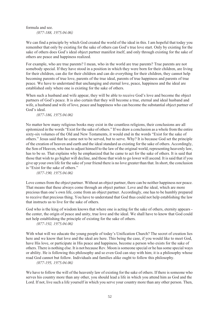formula and see. *(077-188, 1975.04.06)*

We can find a principle by which God created the world of the ideal in this. I am hopeful that today you remember that only by existing for the sake of others can God's true love start. Only by existing for the sake of others does God's ideal object partner manifest itself, and only through existing for the sake of others are peace and happiness realized.

For example, who are true parents? I mean, who in the world are true parents? True parents are not somebody special. If they have stood in a position in which they were born for their children, are living for their children, can die for their children and can do everything for their children, they cannot help becoming parents of true love, parents of the true ideal, parents of true happiness and parents of true peace. We have to understand that unchanging and eternal love, peace, happiness and the ideal are established only where one is existing for the sake of others.

When such a husband and wife appear, they will be able to receive God's love and become the object partners of God's peace. It is also certain that they will become a true, eternal and ideal husband and wife, a husband and wife of love, peace and happiness who can become the substantial object partner of God's ideal.

#### *(077-186, 1975.04.06)*

No matter how many religious books may exist in the countless religions, their conclusions are all epitomized in the words "Exist for the sake of others." If we draw a conclusion as a whole from the entire sixty-six volumes of the Old and New Testaments, it would end in the words "Exist for the sake of others." Jesus said that he came not to be served, but to serve. Why? It is because God set the principle of the creation of heaven and earth and the ideal standard as existing for the sake of others. Accordingly, the Son of Heaven, who has to adjust himself to the law of the original world, representing heavenly law, has to be so. That explains why he emphasized that he came to act for the sake of others. It is said that those that wish to go higher will decline, and those that wish to go lower will ascend. It is said that if you give up your own life for the sake of your friend there is no love greater than that. In short, the conclusion is "Exist for the sake of others."

*(077-190, 1975.04.06)*

Love comes from the object partner. Without an object partner, there can be neither happiness nor peace. That means that these always come through an object partner. Love and the ideal, which are more precious than one's own life, come from an object partner. Accordingly, one has to be humbly prepared to receive that precious thing. You have to understand that God thus could not help establishing the law that instructs us to live for the sake of others.

God who is the king of wisdom knows that where one is acting for the sake of others, eternity appears the center, the origin of peace and unity, true love and the ideal. We shall have to know that God could not help establishing the principle of existing for the sake of others.

*(077-192, 1975.04.06)*

With what will we educate the young people of today's Unification Church? The secret of creation lies here and we know that love and the ideal are here. This being the case, if you would like to meet God, have His love, or participate in His peace and happiness, become a person who exists for the sake of others. There is nothing else. It is not because Rev. Moon is someone special or he has some special ways or ability. He is following this philosophy and so even God can stay with him; it is a philosophy whose road God cannot but follow. Individuals and families alike ought to follow this philosophy. *(077-195, 1975.04.06)*

We have to follow the will of the heavenly law of existing for the sake of others. If there is someone who serves his country more than any other, you should lead a life in which you attend him as God and the Lord. If not, live such a life yourself in which you serve your country more than any other person. Then,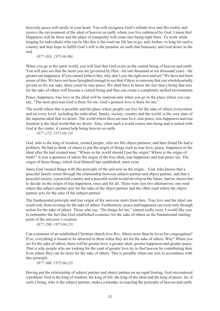heavenly peace will nestle in your heart. You will recognize God's infinite love and His reality and receive the environment of the ideal of heaven on earth, where you live embraced by God. I mean this! Happiness will be there and the place of tranquility will come into being right there. To work while longing for individuals who can be like this is the road our life has to go, and, further, to long for such a country and thus hope to fulfill God's will is the paradise on earth that humanity and God desire in the end.

#### *(077-203, 1975.04.06)*

When you go to the spirit world, you will find that God exists as the central being of heaven and earth. You will also see that the more you are governed by Him - for one thousand or ten thousand years - the greater our happiness. If you cannot believe this, why don't you die right now and see? We have not been aware of this. We have not been farsighted enough to see that if there is someone that can wholeheartedly govern us for our sake, there could be true peace. We shall have to know the fact that a being that acts for the sake of others will become a central being and thus can create a completely unified environment.

Peace, happiness, true love or the ideal will be realized only when you go to the place where you can say, "The most precious God is there for me. God's greatest love is there for me."

The world where this is possible and the place where people can live for the sake of others everywhere and on every level, including the individual, family, society, country and the world, is the very state of the supreme ideal that we desire. The world where there are true love, true peace, true happiness and true freedom is the ideal world that we desire. Also, when such a world comes into being and is united with God at the center, it cannot help being heaven on earth.

*(077-272, 1975.04.14)*

God, who is the king of wisdom, created people, who are His object partners, and then found He had a problem. He had to think of where to put the origin of things such as true love, peace, happiness or the ideal after He had created man. "Where in the world should I put the origin? Where is the origin of truth?" It was a question of where the origin of the true ideal, true happiness and true peace lay. The origin of these things, which God Himself has established, must exist.

Since God created things with this principle of the universe as the origin... God, who knows that a peaceful family exists through the relationship between subject partner and object partner, and that a peaceful society, a peaceful country and a peaceful world would develop in the future, had no choice but to decide on the origin of true happiness, once and for all. There were just two alternatives; one road where the subject partner acts for the sake of the object partner and the other road where the object partner acts for the sake of the subject partner.

The fundamental principle and true origin of the universe starts from here. True love and the ideal can result only from existing for the sake of others. Furthermore, peace and happiness can exist only through action for the sake of others. Those who say, "Do things for me," cannot really exist. I would like you to remember the fact that God established existence for the sake of others as the fundamental starting point of the universe's creation.

*(077-290, 1975.04.25)*

Can a minister of an established Christian church love Rev. Moon more than he loves his congregation? If so, everything is bound to be attracted to them when they act for the sake of others. Why? When you act for the sake of others, there will be greater love, a greater ideal, greater happiness and greater peace. That is why people who are looking for the road of greater love try to find heaven by contributing their lives where they can do more for the sake of others. This is possible when one acts in accordance with this principle.

*(077-300, 1975.04.25)*

Having put the relationship of subject partner and object partner on an equal footing, God encountered a problem. God is the king of wisdom, the king of life, the king of the ideal and the king of peace. So, if such a being, who is the subject partner, makes a mistake in enacting the principle of heaven and earth,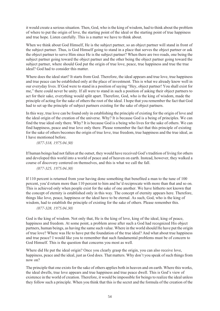it would create a serious situation. Then, God, who is the king of wisdom, had to think about the problem of where to put the origin of love, the starting point of the ideal or the starting point of true happiness and true hope. Listen carefully. This is a matter we have to think about.

When we think about God Himself, He is the subject partner, so an object partner will stand in front of the subject partner. Thus, is God Himself going to stand in a place that serves the object partner or ask the object partner to serve Him since He is the subject partner? When there are two roads, one being the subject partner going toward the object partner and the other being the object partner going toward the subject partner, where should God put the origin of true love, peace, true happiness and true the true ideal? God had to consider this matter.

Where does the ideal start? It starts from God. Therefore, the ideal appears and true love, true happiness and true peace can be established only at the place of investment. This is what we already know well in our everyday lives. If God were to stand in a position of saying "Hey, object partner! You shall exist for me," there could never be unity. If all were to stand in such a position of asking their object partners to act for their sake, everything would split apart. Therefore, God, who is the king of wisdom, made the principle of acting for the sake of others the root of the ideal. I hope that you remember the fact that God had to set up the principle of subject partners existing for the sake of object partners.

In this way, true love can be found only in establishing the principle of existing for the origin of love and the ideal origin of the creation of the universe. Why? It is because God is a being of principles. We can find the true ideal only there. Why? It is because God is a being who lives for the sake of others. We can find happiness, peace and true love only there. Please remember the fact that this principle of existing for the sake of others becomes the origin of true love, true freedom, true happiness and the true ideal, as I have mentioned before.

*(077-318, 1975.04.30)*

If human beings had not fallen at the outset, they would have received God's tradition of living for others and developed this world into a world of peace and of heaven on earth. Instead, however, they walked a course of discovery centered on themselves, and this is what we call the fall.

*(077-325, 1975.04.30)*

If 110 percent is returned from your having done something that benefited a man to the tune of 100 percent, you'd return more than 110 percent to him and he'd reciprocate with more than that and so on. This is achieved only when people exist for the sake of one another. We have hitherto not known that the concept of eternity is established only in this way. The concept of eternity appears here. Therefore, things like love, peace, happiness or the ideal have to be eternal. As such, God, who is the king of wisdom, had to establish the principle of existing for the sake of others. Please remember this.

*(077-328, 1975.04.30)*

God is the king of wisdom. Not only that, He is the king of love, king of the ideal, king of peace, happiness and freedom. At some point, a problem arose after such a God had recognized His object partners, human beings, as having the same such value. Where in the world should He have put the origin of true love? Where was He to have put the foundation of the true ideal? And what about true happiness and true peace? I would like you to remember that such fundamental problems must be of concern to God Himself. This is the question that concerns you most as well.

Where did He put the ideal origin? Once you clearly grasp the origin, you can also receive love, happiness, peace and the ideal, just as God does. That matters. Why don't you speak of such things from now on?

The principle that one exists for the sake of others applies both in heaven and on earth. Where this works, the ideal dwells, true love appears and true happiness and true peace dwell. This is God's view of existence in the world of creation. Therefore, it would be impossible for beings to realize the ideal unless they follow such a principle. When you think that this is the secret and the formula of the creation of the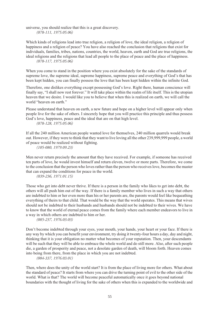universe, you should realize that this is a great discovery. *(078-111, 1975.05.06)*

Which kinds of religions lead into true religion, a religion of love, the ideal religion, a religion of happiness and a religion of peace? You have also reached the conclusion that religions that exist for individuals, families, tribes, nations, countries, the world, heaven, earth and God are true religions, the ideal religions and the religions that lead all people to the place of peace and the place of happiness. *(078-117, 1975.05.06)*

When you come to stand in the position where you exist absolutely for the sake of the standards of supreme love, the supreme ideal, supreme happiness, supreme peace and everything of God's that has been kept hidden, you can finally possess the love that has been kept hidden within the infinite God.

Therefore, one dislikes everything except possessing God's love. Right there, human conscience will finally say, "I shall now rest forever." It will take place within the realm of life itself. This is the utopian heaven that we desire. I would like you to believe that when this is realized on earth, we will call the world "heaven on earth."

Please understand that heaven on earth, a new future and hope on a higher level will appear only when people live for the sake of others. I sincerely hope that you will practice this principle and thus possess God's love, happiness, peace and the ideal that are on that high level.

*(078-128, 1975.05.06)*

If all the 240 million American people wanted love for themselves, 240 million quarrels would break out. However, if they were to think that they want to live loving all the other 239,999,999 people, a world of peace would be realized without fighting.

*(105-080, 1979.09.23)*

Men never return precisely the amount that they have received. For example, if someone has received ten parts of love, he would invest himself and return eleven, twelve or more parts. Therefore, we come to the conclusion that the person who loves rather than the person who receives love, becomes the master that can expand the conditions for peace in the world.

*(039-236, 1971.01.15)*

Those who get into debt never thrive. If there is a person in the family who likes to get into debt, the others will all push him out of the way. If there is a family member who lives in such a way that others are indebted to him or her even more than his or her parents are, the parents would feel like bequeathing everything of theirs to that child. That would be the way that the world operates. This means that wives should not be indebted to their husbands and husbands should not be indebted to their wives. We have to know that the world of eternal peace comes from the family where each member endeavors to live in a way in which others are indebted to him or her.

*(085-237, 1976.03.03)*

Don't become indebted through your eyes, your mouth, your hands, your heart or your face. If there is any way by which you can benefit your environment, try doing it twenty-four hours a day, day and night, thinking that it is your obligation no matter what becomes of your reputation. Then, your descendants will be such that they will be able to embrace the whole world and do still more. Also, after such people die, a garden of prosperity and peace, not a desolate garden of death, will bloom forth. Heaven comes into being from there, from the place in which you are not indebted.

*(084-337, 1976.03.01)*

Then, where does the unity of the world start? It is from the place of living more for others. What about the standard of peace? It starts from where you can drive the turning point of evil to the other side of the world. What is that? The world will become peaceful automatically once it goes beyond national boundaries with the thought of living for the sake of others when this is expanded to the worldwide and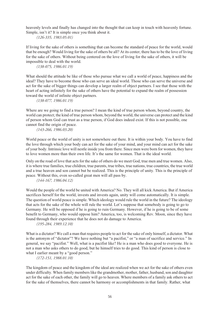heavenly levels and finally has changed into the thought that can keep in touch with heavenly fortune. Simple, isn't it? It is simple once you think about it.

*(126-335, 1983.05.01)*

If living for the sake of others is something that can become the standard of peace for the world, would that be enough? Would living for the sake of others be all? At its center, there has to be the love of living for the sake of others. Without being centered on the love of living for the sake of others, it will be impossible to deal with the world.

*(138-075, 1986.01.19)*

What should the attitude be like of those who pursue what we call a world of peace, happiness and the ideal? They have to become those who can serve an ideal world. Those who can serve the universe and act for the sake of bigger things can develop a larger realm of object partners. I see that those with the heart of acting infinitely for the sake of others have the potential to expand the realm of possession toward the world of infinite object partners.

*(138-077, 1986.01.19)*

Where are we going to find a true person? I mean the kind of true person whom, beyond country, the world can protect; the kind of true person whom, beyond the world, the universe can protect and the kind of person whom God can trust as a true person, if God does indeed exist. If this is not possible, one cannot find the origin of peace.

*(143-266, 1986.03.20)*

World peace or the world of unity is not somewhere out there. It is within your body. You have to find the love through which your body can act for the sake of your mind, and your mind can act for the sake of your body. Intrinsic love will nestle inside you from there. Since men were born for women, they have to love women more than their own life. It's the same for women. That is the ideal world.

Only on the road of love that acts for the sake of others do we meet God, true men and true women. Also, it is where true families, true children, true parents, true tribes, true nations, true countries, the true world and a true heaven and son cannot but be realized. This is the principle of unity. This is the principle of peace. Without this, even so-called great men will all pass by.

*(144-167, 1986.04.12)*

Would the people of the world be united with America? No. They will all kick America. But if America sacrifices herself for the world, invests and invests again, unity will come automatically. It is simple. The question of world peace is simple. Which ideology would rule the world in the future? The ideology that acts for the sake of the whole will rule the world. Let's suppose that somebody is going to go to Germany. He will be opposed if he is going to ruin Germany. However, if he is going to be of some benefit to Germany, who would oppose him? America, too, is welcoming Rev. Moon, since they have found through their experience that he does not do damage to America.

```
(195-284, 1989.12.10)
```
What is a dictator? We call a man that requires people to act for the sake of only himself, a dictator. What is the antonym of "dictator"? We have nothing but "a pacifist," or "a man of sacrifice and service." In general, we say "pacifist." Well, what is a pacifist like? He is a man who does good to everyone. He is not a man who asks others to do good, but he himself tries to do good. This kind of person is close to what I earlier meant by a "good person."

*(172-151, 1988.01.10)*

The kingdom of peace and the kingdom of the ideal are realized when we act for the sake of others even under difficulty. When family members like the grandmother, mother, father, husband, son and daughter act for the sake of each other, the family will go to heaven. Where members of a family ask others to act for the sake of themselves, there cannot be harmony or accomplishments in that family. Rather, what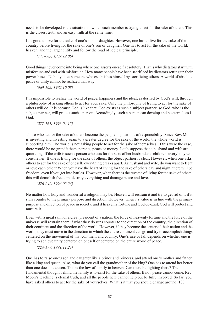needs to be developed is the situation in which each member is trying to act for the sake of others. This is the closest truth and an easy truth at the same time.

It is good to live for the sake of one's son or daughter. However, one has to live for the sake of the country before living for the sake of one's son or daughter. One has to act for the sake of the world, heaven, and the larger entity and follow the road of logical principle.

#### *(171-087, 1987.12.06)*

Good things never come into being where one asserts oneself absolutely. That is why dictators start with misfortune and end with misfortune. How many people have been sacrificed by dictators setting up their power-bases! Nobody likes someone who establishes himself by sacrificing others. A world of absolute peace or unity cannot be realized that way.

*(063-102, 1972.10.08)*

It is impossible to realize the world of peace, happiness and the ideal, as desired by God's will, through a philosophy of asking others to act for your sake. Only the philosophy of trying to act for the sake of others will do. It is because God is like that. God exists as such a subject partner, so God, who is the subject partner, will protect such a person. Accordingly, such a person can develop and be eternal, as is God.

*(277-161, 1996.04.15)*

Those who act for the sake of others become the people in positions of responsibility. Since Rev. Moon is investing and investing again to a greater degree for the sake of the world, the whole world is supporting him. The world is not asking people to act for the sake of themselves. If this were the case, there would be no grandfathers, parents, peace or money. Let's suppose that a husband and wife are quarreling. If the wife is such a person who acts for the sake of her husband and children, everybody will console her. If one is living for the sake of others, the object partner is clear. However, when one asks others to act for the sake of oneself, everything breaks apart. As husband and wife, do you want to fight or love each other? When you have the heart of living for the sake of others day and night, there will be freedom, even if you get into battles. However, when there is the reverse of living for the sake of others, this will demolish freedom, destroy everything and damage peace and love.

*(276-242, 1996.02.24)*

No matter how holy and wonderful a religion may be, Heaven will restrain it and try to get rid of it if it runs counter to the primary purpose and direction. However, when its value is in line with the primary purpose and direction of peace in society, and if heavenly fortune and God do exist, God will protect and nurture it.

Even with a great saint or a great president of a nation, the force of heavenly fortune and the force of the universe will restrain them if what they do runs counter to the direction of the country, the direction of their continent and the direction of the world. However, if they become the center of their nation and the world, they must move in the direction in which the entire continent can go and try to accomplish things centered on the movement of that continent and country. One's rise or fall depends on whether one is trying to achieve unity centered on oneself or centered on the entire world of peace.

#### *(224-199, 1991.11.24)*

One has to raise one's son and daughter like a prince and princess, and attend one's mother and father like a king and queen. Also, what do you call the grandmother of the king? One has to attend her better than one does the queen. This is the law of family in heaven. Can there be fighting there? The fundamental thought behind the family is to exist for the sake of others. If not, peace cannot come. Rev. Moon's teaching is eternal truth, and all the people here cannot help but be fully involved. So far, you have asked others to act for the sake of yourselves. What is it that you should change around, 180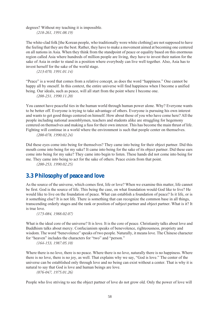degrees? Without my teaching it is impossible.

*(218-261, 1991.08.19)*

The white-clad folk [the Korean people, who traditionally wore white clothing] are not supposed to have the feeling that they are the best. Rather, they have to make a movement aimed at becoming one centered on all nations in Asia. When they think from the standpoint of peace or equality based on this enormous region called Asia where hundreds of million people are living, they have to invest their nation for the sake of Asia in order to stand in a position where everybody can live well together. Also, Asia has to invest herself for the sake of the world stage.

*(213-070, 1991.01.14)*

"Peace" is a word that comes from a relative concept, as does the word "happiness." One cannot be happy all by oneself. In this context, the entire universe will find happiness when I become a unified being. Our ideals, such as peace, will all start from the point where I become one.

*(208-231, 1990.11.20)*

You cannot have peaceful ties in the human world through human power alone. Why? Everyone wants to be better off. Everyone is trying to take advantage of others. Everyone is pursuing his own interest and wants to get good things centered on himself. How about those of you who have come here? All the people including national assemblymen, teachers and students alike are struggling for hegemony centered on themselves and making a fuss for their own interest. This has become the main thrust of life. Fighting will continue in a world where the environment is such that people center on themselves.

*(200-078, 1990.02.24)*

Did these eyes come into being for themselves? They came into being for their object partner. Did this mouth come into being for my sake? It came into being for the sake of its object partner. Did these ears come into being for my sake? They came into begin to listen. These hands did not come into being for me. They came into being to act for the sake of others. Peace exists from that point.

*(200-253, 1990.02.25)*

### **3.3 Philosophy of peace and love**

As the source of the universe, which comes first, life or love? When we examine this matter, life cannot be first. God is the source of life. This being the case, on what foundation would God like to live? He would like to live on the foundation of peace. What can establish a foundation of peace? Is it life, or is it something else? It is not life. There is something that can recognize the common base in all things, transcending orderly stages and the rank or position of subject partner and object partner. What is it? It is true love.

*(173-084, 1988.02.07)*

What is the ideal core of the universe? It is love. It is the core of peace. Christianity talks about love and Buddhism talks about mercy. Confucianism speaks of benevolence, righteousness, propriety and wisdom. The word "benevolence" speaks of two people. Naturally, it means love. The Chinese character for "heaven" includes the characters for "two" and "person."

*(164-153, 1987.05.10)*

Where there is no love, there is no peace. Where there is no love, naturally there is no happiness. Where there is no love, there is no joy, as well. That explains why we say, "God is love." The center of the universe can be established only through love and no being can exist without a center. That is why it is natural to say that God is love and human beings are love.

*(076-047, 1975.01.26)*

People who live striving to see the object partner of love do not grow old. Only the power of love will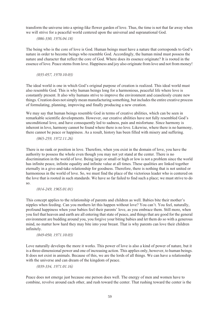transform the universe into a spring-like flower garden of love. Thus, the time is not that far away when we will strive for a peaceful world centered upon the universal and supranational God.

*(086-330, 1976.04.18)*

The being who is the core of love is God. Human beings must have a nature that corresponds to God's nature in order to become beings who resemble God. Accordingly, the human mind must possess the nature and character that reflect the core of God. Where does its essence originate? It is rooted in the essence of love. Peace stems from love. Happiness and joy also originate from love and not from money!

*(035-057, 1970.10.03)*

The ideal world is one in which God's original purpose of creation is realized. This ideal world must also resemble God. This is why human beings long for a harmonious, peaceful life where love is constantly present. It also why humans strive to improve the environment and ceaselessly create new things. Creation does not simply mean manufacturing something, but includes the entire creative process of formulating, planning, improving and finally producing a new creation.

We may say that human beings resemble God in terms of creative abilities, which can be seen in remarkable scientific developments. However, our creative abilities have not fully resembled God's unconditional love, and have consequently led to sadness, pain and misfortune. Since harmony is inherent in love, harmony cannot be found where there is no love. Likewise, where there is no harmony, there cannot be peace or happiness. As a result, history has been filled with misery and suffering.

*(065-259, 1972.11.26)*

There is no rank or position in love. Therefore, when you exist in the domain of love, you have the authority to possess the whole even though you may not yet stand at the center. There is no discrimination in the world of love. Being large or small or high or low is not a problem since the world has infinite peace, infinite equality and infinite value at all times. These qualities are linked together eternally in a give-and-take relationship for goodness. Therefore, there is nothing that is not united or harmonious in the world of love. So, we must find the place of the victorious leader who is centered on the love that is rooted in such standards. We have so far failed to find such a place; we must strive to do so.

*(014-249, 1965.01.01)*

This concept applies to the relationship of parents and children as well. Babies bite their mother's nipples when feeding. Can you mothers let this happen without love? You can't. You feel, naturally, profound happiness when your babies feel their parents' love, as you embrace them. Still more, when you feel that heaven and earth are all entering that state of peace, and things that are good for the general environment are budding around you, you forgive your biting babies and let them do so with a generous mind, no matter how hard they may bite into your breast. That is why parents can love their children infinitely.

*(049-050, 1971.10.03)*

Love naturally develops the more it works. This power of love is also a kind of power of nature, but it is a three-dimensional power and one of increasing action. This applies only, however, to human beings. It does not exist in animals. Because of this, we are the lords of all things. We can have a relationship with the universe and can dream of the kingdom of peace.

*(039-334, 1971.01.16)*

Peace does not emerge just because one person does well. The energy of men and women have to combine, revolve around each other, and rush toward the center. That rushing toward the center is the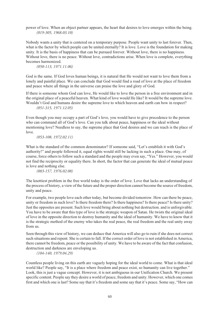power of love. When an object partner appears, the heart that desires to love emerges within the being. *(019-305, 1968.03.10)*

Nobody wants a unity that is centered on a temporary purpose. People want unity to last forever. Then, what is the factor by which people can be united eternally? It is love. Love is the foundation for making unity. It is the basis of happiness that can be pursued forever. Without love, there is no happiness. Without love, there is no peace. Without love, contradictions arise. When love is complete, everything becomes harmonized.

*(050-113, 1971.11.06)*

God is the same. If God loves human beings, it is natural that He would not want to love them from a lonely and painful place. We can conclude that God would find a road of love at the place of freedom and peace where all things in the universe can praise the love and glory of God.

If there is someone whom God can love, He would like to love the person in a free environment and in the original place of a peaceful heaven. What kind of love would He like? It would be the supreme love. Wouldn't God and humans desire the supreme love to which heaven and earth can bow in respect? *(051-315, 1971.12.05)*

Even though you may occupy a part of God's love, you would have to give precedence to the person who can command all of God's love. Can you talk about peace, happiness or the ideal without mentioning love? Needless to say, the supreme place that God desires and we can reach is the place of love.

*(053-108, 1972.02.11)*

What is the standard of the common denominator? If someone said, "Let's establish it with God's authority!" and people followed it, equal rights would still be lacking in such a place. One may, of course, force others to follow such a standard and the people may even say, "Yes." However, you would not find the reciprocity or equality there. In short, the factor that can generate the ideal of mutual peace is love and nothing else.

*(083-157, 1976.02.08)*

The knottiest problem in the free world today is the order of love. Love that lacks an understanding of the process of history, a view of the future and the proper direction cannot become the source of freedom, unity and peace.

For example, two people love each other today, but become divided tomorrow. How can there be peace, unity or freedom in such love? Is there freedom there? Is there happiness? Is there peace? Is there unity? Just the opposites are present. Such love would bring about nothing but destruction. and is unforgivable. You have to be aware that this type of love is the strategic weapon of Satan. He twists the original ideal of love in the opposite direction to destroy humanity and the ideal of humanity. We have to know that it is the strategic method of the enemy who takes the real peace, the real freedom and the real unity away from us.

Seen through this view of history, we can deduce that America will also go to ruin if she does not correct such situations and repent. She is certain to fall. If the correct order of love is not established in America, there cannot be freedom, peace or the possibility of unity. We have to be aware of the fact that confusion, destruction and darkness are enveloping us.

*(104-140, 1979.04.29)*

Countless people living on this earth are vaguely hoping for the ideal world to come. What is that ideal world like? People say, "It is a place where freedom and peace exist, so humanity can live together." Look, this is just a vague concept. However, it is not ambiguous in our Unification Church. We present specific content. People say they desire a world of peace, freedom and unity. However, which one comes first and which one is last? Some say that it's freedom and some say that it's peace. Some say, "How can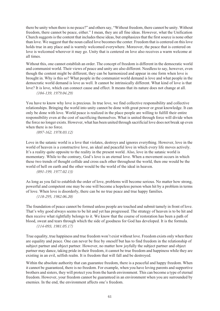there be unity when there is no peace?" and others say, "Without freedom, there cannot be unity. Without freedom, there cannot be peace, either." I mean, they are all fine ideas. However, what the Unification Church suggests is the content that includes these ideas, but emphasizes that the first source is none other than love. We suggest that the noun called love becomes the center. Freedom that is centered on this love holds true in any place and is warmly welcomed everywhere. Moreover, the peace that is centered on love is welcomed wherever it may go. Unity that is centered on love also receives a warm welcome at all times.

Without this, one cannot establish an order. The concept of freedom is different in the democratic world and communist world. Their views of peace and unity are also different. Needless to say, however, even though the content might be different, they can be harmonized and appear in one form when love is brought in. Why is this so? What people in the communist world demand is love and what people in the democratic world demand is love as well. It cannot be intrinsically different. What kind of love is that love? It is love, which can connect cause and effect. It means that its nature does not change at all.

*(104-139, 1979.04.29)*

You have to know why love is precious. In true love, we find collective responsibility and collective relationships. Bringing the world into unity cannot be done with great power or great knowledge. It can only be done with love. World peace is realized in the place people are willing to fulfill their entire responsibility even at the cost of sacrificing themselves. What is united through force will divide when the force no longer exists. However, what has been united through sacrificial love does not break up even when there is no force.

*(097-162, 1978.03.12)*

Love in the satanic world is a love that violates, destroys and ignores everything. However, love in the world of heaven is a constructive love, an ideal and peaceful love in which every life moves actively. It's a reality quite opposite to the reality in the present world. Also, love in the satanic world is momentary. While to the contrary, God's love is an eternal love. When a movement occurs in which these two trends of thought collide and cross each other throughout the world, then one would be the world of hell on earth and the other would be the world of the ideal in heaven.

*(091-199, 1977.02.13)*

As long as you fail to establish the order of love, problems will become serious. No matter how strong, powerful and competent one may be one will become a hopeless person when hit by a problem in terms of love. When love is disorderly, there can be no true peace and true happy families. *(118-295, 1982.06.20)*

The foundation of peace cannot be formed unless people are touched and submit tamely in front of love. That's why good always seems to be hit and yet has progressed. The strategy of heaven is to be hit and then receive what rightfully belongs to it. We know that the course of restoration has been a path of blood, sweat and tears through which the side of goodness for God has developed. It is the formula. *(114-093, 1981.05.17)*

True equality, true happiness and true freedom won't exist without love. Freedom exists only when there are equality and peace. One can never be free by oneself but has to find freedom in the relationship of subject partner and object partner. However, no matter how joyfully the subject partner and object partner may dance, taking pride in their freedom, it cannot be true freedom and happiness while they are existing in an evil, selfish realm. It is freedom that will fall and be destroyed.

Within the absolute authority that can guarantee freedom, there is a peaceful and happy freedom. When it cannot be guaranteed, there is no freedom. For example, when you have loving parents and supportive brothers and sisters, they will protect you from the harsh environment. This can become a type of eternal freedom. However, your freedom cannot be guaranteed in an environment when you are surrounded by enemies. In the end, the environment affects one's freedom.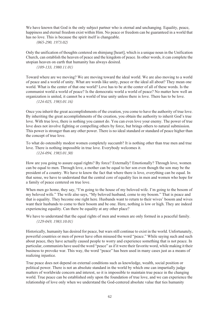We have known that God is the only subject partner who is eternal and unchanging. Equality, peace, happiness and eternal freedom exist within Him. No peace or freedom can be guaranteed in a world that has no love. This is because the spirit itself is changeable.

*(065-290, 1973.02)*

Only the unification of thoughts centered on shimjung [heart], which is a unique noun in the Unification Church, can establish the heaven of peace and the kingdom of peace. In other words, it can complete the utopian heaven on earth that humanity has always desired.

*(109-133, 1980.11.01)*

Toward where are we moving? We are moving toward the ideal world. We are also moving to a world of peace and a world of unity. What are words like unity, peace or the ideal all about? They mean one world. What is the center of that one world? Love has to be at the center of all of these words. Is the communist world a world of peace? Is the democratic world a world of peace? No matter how well an organization is united, it cannot be a world of true unity unless there is love. There has to be love.

*(124-025, 1983.01.16)*

Once you inherit the great accomplishments of the creation, you come to have the authority of true love. By inheriting the great accomplishments of the creation, you obtain the authority to inherit God's true love. With true love, there is nothing you cannot do. You can even love your enemy. The power of true love does not involve fighting or compelling others by force, but brings others to natural submission. This power is stronger than any other power. There is no ideal standard or standard of peace higher than the concept of true love.

To what do ostensibly modest women completely succumb? It is nothing other than true men and true love. There is nothing impossible in true love. Everybody welcomes it. *(124-094, 1983.01.30)*

How are you going to assure equal rights? By force? Externally? Emotionally? Through love, women can be equal to men. Through love, a mother can be equal to her son even though the son may be the president of a country. We have to know the fact that where there is love, everything can be equal. In that sense, we have to understand that the central core of equality lies in men and women who hope for a family of peace centered on true love.

When men go home, they say, "I'm going to the house of my beloved wife. I'm going to the bosom of my beloved wife." The wife also says, "My beloved husband, come to my bosom." That is peace and that is equality. They become one right here. Husbands want to return to their wives' bosom and wives want their husbands to come to their bosom and be one. Here, nothing is low or high. They are indeed experiencing equality. Can there be equality at any other place?

We have to understand that the equal rights of men and women are only formed in a peaceful family. *(129-049, 1983.10.01)*

Historically, humanity has desired for peace, but wars still continue to exist in the world. Unfortunately, powerful countries or men of power have often misused the word "peace." While saying such and such about peace, they have actually caused people to worry and experience something that is not peace. In particular, communists have used the word "peace" as if it were their favorite word, while making it their business to provoke war. This way, the word "peace" has been used in many cases just as a means of realizing injustice.

True peace does not depend on external conditions such as knowledge, wealth, social position or political power. There is not an absolute standard in the world by which one can impartially judge matters of worldwide concern and interest, so it is impossible to maintain true peace in the changing world. True peace can be established only upon the foundation of true love, and we can experience the relationship of love only when we understand the God-centered absolute value that ties humanity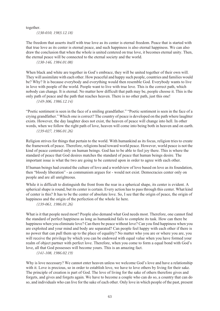together.

*(130-010, 1983.12.18)*

The freedom that asserts itself with true love as its center is eternal freedom. Peace that is started with that true love as its center is eternal peace, and such happiness is also eternal happiness. We can also draw the conclusion that when the whole is united centered on true love, it becomes eternal unity. Then, the eternal peace will be connected to the eternal society and the world.

*(130-146, 1984.01.08)*

When black and white are together in God's embrace, they will be united together of their own will. They will assimilate with each other. How peaceful and happy such people, countries and families would be? Why? It is because everybody and everything would then resemble God. Everybody wants to live in love with people of the world. People want to live with true love. This is the correct path, which nobody can change. It is eternal. No matter how difficult that path may be, people choose it. This is the only path of peace and the path that reaches heaven. There is no other path, just this one!

*(149-306, 1986.12.14)*

"Poetic sentiment is seen in the face of a smiling grandfather." "Poetic sentiment is seen in the face of a crying grandfather." Which one is correct? The country of peace is developed on the path where laughter exists. However, the day laughter does not exist, the heaven of peace will change into hell. In other words, when we follow the right path of love, heaven will come into being both in heaven and on earth. *(139-027, 1986.01.26)*

Religion strives for things that pertain to the world. With humankind as its focus, religion tries to create the framework of peace. Therefore, religions head toward world peace. However, world peace is not the kind of peace centered only on human beings. God has to be able to feel joy there. This is where the standard of peace that God desires matches the standard of peace that human beings desire. The important issue is what the two are going to be centered upon in order to agree with each other.

If human beings had created the culture of love and a worldview of love based on love as its foundation, then "bloody liberation" - as communism argues for - would not exist. Democracies center only on people and are all unrighteous.

While it is difficult to distinguish the front from the rear in a spherical shape, its center is evident. A spherical shape is round, but its center is certain. Every action has to pass through this center. What kind of center is this? It has to be the center of absolute love. So, I see that the origin of peace, the origin of happiness and the origin of the perfection of the whole lie here.

*(139-061, 1986.01.26)*

What is it that people need most? People also demand what God needs most. Therefore, one cannot find the standard of perfect happiness as long as humankind fails to complete its task. How can there be happiness when you eliminate love? Can there be peace without love? Can you find happiness when you are exploited and your mind and body are separated? Can people feel happy with each other if there is no power that can pull them up to the place of equality? No matter who you are or where you are, you will receive the privilege by which you can be endowed with equal value when you have formed your realm of object partner with perfect love. Therefore, when you come to form a equal bond with God's love, all that God possesses will become yours. This is an amazing fact.

*(141-108, 1986.02.19)*

Why is love necessary? We cannot enter heaven unless we welcome God's love and have a relationship with it. Love is precious, so in order to establish love, we have to love others by living for their sake. The principle of creation is part of God. The love of living for the sake of others therefore gives and forgets, and gives and forgets again. We have to become a couple who can do so, a country that can do so, and individuals who can live for the sake of each other. Only love in which people of the past, present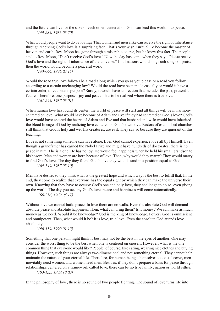and the future can live for the sake of each other, centered on God, can lead this world into peace. *(143-283, 1986.03.20)*

What would people want to do by loving? That women and men alike can receive the right of inheritance through receiving God's love is a surprising fact. That's your wish, isn't it? To become the master of heaven and earth. Rev. Moon has gone through a miserable course, but he knew this fact. The people said to Rev. Moon, "Don't receive God's love." Now the day has come when they say, "Please receive God's love and the right of inheritance of the universe." If all nations would sing such songs of praise, then the world would become a peaceful world.

*(143-066, 1986.03.15)*

Would the road true love follows be a road along which you go as you please or a road you follow according to a certain unchanging law? Would the road have been made casually or would it have a certain order, direction and purpose? Surely, it would have a direction that includes the past, present and future. Therefore, one purpose - joy and peace - has to be realized where there is true love. *(161-293, 1987.03.01)*

When human love has found its center, the world of peace will start and all things will be in harmony centered on love. What would have become of Adam and Eve if they had centered on God's love? God's love would have entered the hearts of Adam and Eve and that husband and wife would have inherited the blood lineage of God by realizing love centered on God's own love. Pastors of established churches still think that God is holy and we, His creatures, are evil. They say so because they are ignorant of this teaching.

Love is not something someone can have alone. Even God cannot experience love all by Himself. Even though a grandfather has earned the Nobel Prize and might have hundreds of doctorates, there is no peace in him if he is alone. He has no joy. He would feel happiness when he held his small grandson to his bosom. Men and women are born because of love. Then, why would they marry? They would marry to find God's love. The day they found God's love they would stand in a position equal to God's. *(164-149, 1987.05.10)*

Men have desire, so they think what is the greatest hope and which way is the best to fulfill that. In the end, they come to realize that everyone has the equal right by which they can make the universe their own. Knowing that they have to occupy God's one and only love, they challenge to do so, even giving up the world. The day you occupy God's love, peace and happiness will come automatically. *(160-236, 1969.05.17)*

Without love we cannot build peace. In love there are no walls. Even the absolute God will demand absolute peace and absolute happiness. Then, what can bring them? Is it money? We can make as much money as we need. Would it be knowledge? God is the king of knowledge. Power? God is omniscient and omnipotent. Then, what would it be? It is love, true love. Even the absolute God attends love absolutely.

*(196-319, 1990.01.12)*

Something that one person might think is best may not be the best in the eyes of another. One may consider the worst thing to be the best when one is centered on oneself. However, what is the one common thing that everyone would like? People, of course, like eating, wearing nice clothes and buying things. However, such things are always two-dimensional and not something eternal. They cannot help maintain the nature of your eternal life. Therefore, for human beings themselves to exist forever, men inevitably need women, and women need men. Besides, if they don't prepare a basis for peace through relationships centered on a framework called love, there can be no true family, nation or world either.

*(193-133, 1989.10.03)*

In the philosophy of love, there is no sound of two people fighting. The sound of love turns life into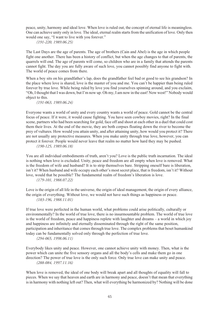peace, unity, harmony and ideal love. When love is ruled out, the concept of eternal life is meaningless. One can achieve unity only in love. The ideal, eternal realm starts from the unification of love. Only then would one say, "I want to live with you forever."

*(191-220, 1989.06.25)*

The Last Days are the age of parents. The age of brothers (Cain and Abel) is the age in which people fight one another. There has been a history of conflict, but when the age changes to that of parents, the quarrels will end. The age of parents will come, so children who are in a family that attends the parents cannot fight. The day you are fully aware of such love, you cannot possibly find anyone to fight with. The world of peace comes from there.

When a boy sits on his grandfather's lap, does the grandfather feel bad or good to see his grandson? In the place where love is shared, love is the master of you and me. You can't be happier than being ruled forever by true love. While being ruled by love you find yourselves spinning around, and you exclaim, "Oh, I thought that I was down, but I'm now up. Oh my, I am now in the east! Now west!" Nobody would object to this.

*(191-063, 1989.06.24)*

Everyone wants a world of unity and every country wants a world of peace. Gold cannot be the central focus of peace. If it were, it would cause fighting. You have seen cowboy movies, right? In the final scene, partners who had been searching for gold, face off and shoot at each other in a duel that could cost them their lives. At the end of the movie, they are both corpses floating down the river to become the prey of vultures. How would you attain unity, and after attaining unity, how would you protect it? There are not usually any protective measures. When you make unity through true love, however, you can protect it forever. People would never leave that realm no matter how hard they may be pushed.

*(190-125, 1989.06.18)*

You are all individual embodiments of truth, aren't you? Love is the public truth incarnation. The ideal is nothing when love is excluded. Unity, peace and freedom are all empty when love is removed. What is the freedom of wife and husband? It is to strip themselves bare. Stripping oneself bare is liberation, isn't it? When husband and wife occupy each other's most secret place, that is freedom, isn't it? Without love, would that be possible? The fundamental realm of freedom's liberation is love.

*(179-101, 1988.07.22)*

Love is the origin of all life in the universe, the origin of ideal management, the origin of every alliance, the origin of everything. Without love, we would not have such things as happiness or peace. *(183-196, 1988.11.01)*

If true love were perfected in the human world, what problems could arise politically, culturally or environmentally? In the world of true love, there is no insurmountable problem. The world of true love is the world of freedom, peace and happiness replete with laughter and dreams – a world in which joy and happiness are infinitely and eternally disseminated through the right of the same position, participation and inheritance that comes through true love. The complex problems that beset humankind today can be fundamentally solved only through the perfection of true love.

*(294-065, 1998.06.11)*

Everybody likes unity and peace. However, one cannot achieve unity with money. Then, what is the power which can unite the five sensory organs and all the body's cells and make them go in one direction? The power of true love is the only such force. Only true love can make unity and peace. *(288-084, 1997.11.16)*

When love is removed, the ideal of one body will break apart and all thoughts of equality will fall to pieces. When we say that heaven and earth are in harmony and peace, doesn't that mean that everything is in harmony with nothing left out? Then, what will everything be harmonized by? Nothing will be done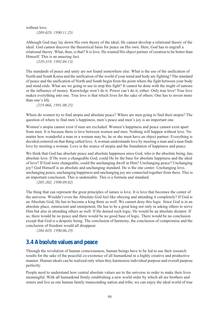without love.

*(209-029, 1990.11.25)*

Although God may lay down His own theory of the ideal, He cannot develop a relational theory of the ideal. God cannot discover the theoretical basis for peace on His own. Here, God has to engraft a relational theory. What, then, is that? It is love. He wanted His object partner of creation to be better than Himself. This is an amazing fact.

*(229-319, 1992.04.13)*

The standards of peace and unity are not found somewhere else. What is the use of the unification of North and South Korea and the unification of the world if your mind and body are fighting? The standard of peace and the unification of North and South begin from the point where the fight between your body and mind ends. What are we going to use to stop this fight? It cannot be done with the might of nations or the influence of money. Knowledge won't do it. Power can't do it, either. Only true love! True love makes everything into one. True love is that which lives for the sake of others. One has to invest more than one's life.

*(219-066, 1991.08.25)*

Where do women try to find utopia and absolute peace? Where are men going to find their utopia? The question of where to find men's happiness, men's peace and men's joy is an important one.

Women's utopia cannot exist if men are excluded. Women's happiness and peace cannot exist apart from men. It is because there is love between women and men. Nothing will happen without love. No matter how wonderful a man or a woman may be, he or she must have an object partner. Everything is decided centered on that thing called love. A woman understands love by meeting a man and a man finds love by meeting a woman. Love is the source of utopia and the foundation of happiness and peace.

We think that God has absolute peace and absolute happiness since God, who is the absolute being, has absolute love. If He were a changeable God, could He be the base for absolute happiness and the ideal of love? If God were changeable, could the unchanging dwell in Him? Unchanging peace? Unchanging joy? God Himself is an absolute and unchanging standard. He is the one center. Unchanging love, unchanging peace, unchanging happiness and unchanging joy are connected together from there. This is an important conclusion. This is undeniable. This is a formula and standard.

*(205-202, 1990.09.02)*

The thing that can represent the great principles of nature is love. It is love that becomes the center of the universe. Wouldn't even the Absolute God feel like obeying and attending it completely? If God is an Absolute God, He has to become a king there as well. We cannot deny this logic. Since God is in an absolute place, omniscient and omnipotent, He has to be a great king not only in asking others to serve Him but also in attending others as well. If He denied such logic, He would be an absolute dictator. If so, there would be no peace and there would be no good base of logic. There would be no conclusion except that God is a despotic being. The conclusion of harmony, the conclusion of compromise and the conclusion of freedom would all disappear.

*(204-029, 1990.06.29)*

### **3.4 Absolute values and peace**

Through the revolution of human consciousness, human beings have to be led to use their research results for the sake of the peaceful co-existence of all humankind in a highly creative and productive manner. Human ideals can be realized only when they harmonize individual purpose and overall purpose perfectly.

People need to understand how central absolute values are to the universe in order to make their lives meaningful. With all humankind firmly establishing a new world order by which all are brothers and sisters and live as one human family transcending nation and tribe, we can enjoy the ideal world of true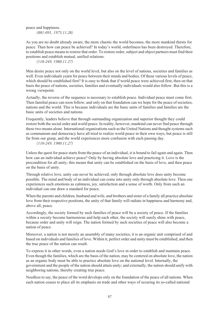peace and happiness. *(081-091, 1975.11.28)*

As you are no doubt already aware, the more chaotic the world becomes, the more mankind thirsts for peace. Then how can peace be achieved? In today's world, orderliness has been destroyed. Therefore, to establish peace means to restore that order. To restore order, subject and object partners must find their positions and establish mutual, unified relations.

*(110-249, 1980.11.27)*

Men desire peace not only on the world level, but also on the level of nations, societies and families as well. Even individuals yearn for peace between their minds and bodies. Of these various levels of peace, which should be established first? It is easy to think that if world peace were achieved first, then on that basis the peace of nations, societies, families and eventually individuals would also follow. But this is a wrong viewpoint.

Actually, the reverse of the sequence is necessary to establish peace. Individual peace must come first. Then familial peace can soon follow, and only on that foundation can we hope for the peace of societies, nations and the world. This is because individuals are the basic units of families and families are the basic units of societies and nations.

Frequently, leaders believe that through outstanding organization and superior thought they could restore both the social order and world peace. In reality, however, mankind can never find peace through these two means alone. International organizations such as the United Nations and thought systems such as communism and democracy have all tried to realize world peace in their own ways, but peace is still far from our grasp, and the world experiences more confusion with each passing day.

*(110-249, 1980.11.27)*

Unless the quest for peace starts from the peace of an individual, it is bound to fail again and again. Then how can an individual achieve peace? Only by having absolute love and practicing it. Love is the precondition for all unity; this means that unity can be established on the basis of love, and then peace on the basis of unity.

Through relative love, unity can never be achieved; only through absolute love does unity become possible. The mind and body of an individual can come into unity only through absolute love. Then one experiences such emotions as calmness, joy, satisfaction and a sense of worth. Only from such an individual can one draw a standard for peace.

When the parents and children, husband and wife, and brothers and sister of a family all practice absolute love from their respective positions, the unity of that family will radiate in happiness and harmony and, above all, peace.

Accordingly, the society formed by such families of peace will be a society of peace. If the families within a society become harmonious and help each other, the society will surely shine with peace, because order and unity will reign. The nation formed by such societies of peace will also become a nation of peace.

Moreover, a nation is not merely an assembly of many societies; it is an organic unit comprised of and based on individuals and families of love. Within it, perfect order and unity must be established, and then the true peace of the nation can result.

To express it in other words, even a nation needs God's love in order to establish and maintain peace. Even though the families, which are the basis of the nation, may be centered on absolute love, the nation as an organic body must be able to practice absolute love on the national level. Internally, the government and the people of the nation should attain unity; and externally, the nation should unify with neighboring nations, thereby creating true peace.

Needless to say, the peace of the word develops only on the foundation of the peace of all nations. When each nation ceases to place all its emphasis on trade and other ways of securing its so-called national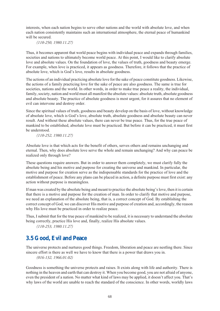interests, when each nation begins to serve other nations and the world with absolute love, and when each nation consistently maintains such an international atmosphere, the eternal peace of humankind will be secured.

*(110-250, 1980.11.27)*

Thus, it becomes apparent that world peace begins with individual peace and expands through families, societies and nations to ultimately become world peace. At this point, I would like to clarify absolute love and absolute values. On the foundation of love, the values of truth, goodness and beauty emerge. For example, when love is practiced, it appears as goodness. Therefore, it follows that the practice of absolute love, which is God's love, results in absolute goodness.

The actions of an individual practicing absolute love for the sake of peace constitute goodness. Likewise, the actions of a family practicing love for the sake of peace are also goodness. The same is true for societies, nations and the world. In other words, in order to make true peace a reality, the individual, family, society, nation and world must all manifest the absolute values: absolute truth, absolute goodness and absolute beauty. The practice of absolute goodness is most urgent, for it assures that no element of evil can intervene and destroy order.

Since the spiritual values of truth, goodness and beauty develop on the basis of love, without knowledge of absolute love, which is God's love, absolute truth, absolute goodness and absolute beauty can never result. And without these absolute values, there can never be true peace. Thus, for the true peace of mankind to be established, absolute love must be practiced. But before it can be practiced, it must first be understood.

*(110-252, 1980.11.27)*

Absolute love is that which acts for the benefit of others, serves others and remains unchanging and eternal. Then, why does absolute love serve the whole and remain unchanging? And why can peace be realized only through love?

These questions require answers. But in order to answer them completely, we must clarify fully the absolute being and his motive and purpose for creating the universe and mankind. In particular, the motive and purpose for creation serve as the indispensable standards for the practice of love and the establishment of peace. Before any plans can be placed in action, a definite purpose must first exist: any action without purpose is meaningless.

If man was created by the absolute being and meant to practice the absolute being's love, then it is certain that there is a motive and purpose for the creation of man. In order to clarify that motive and purpose, we need an explanation of the absolute being, that is, a correct concept of God. By establishing the correct concept of God, we can discover His motive and purpose of creation and, accordingly, the reason why His love must be practiced in order to realize peace.

Thus, I submit that for the true peace of mankind to be realized, it is necessary to understand the absolute being correctly, practice His love and, finally, realize His absolute values.

*(110-253, 1980.11.27)*

# **3.5 Good, Evil and Peace**

The universe protects and nurtures good things. Freedom, liberation and peace are nestling there. Since sincere effort is there as well we have to know that there is a power that draws you in. *(016-132, 1966.01.02)*

Goodness is something the universe protects and raises. It exists along with life and authority. There is nothing in the heaven and earth that can destroy it. When you become good, you are not afraid of anyone, even the president of a nation. No matter what kind of laws may be applied, it doesn't affect you. That's why laws of the world are unable to reach the standard of the conscience. In other words, worldly laws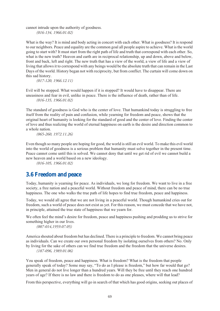cannot intrude upon the authority of goodness.

*(016-134, 1966.01.02)*

What is the way? It is mind and body acting in concert with each other. What is goodness? It is respond to our neighbors. Peace and equality are the common goal all people aspire to achieve. What is the world going to start with? It must start from the right path of life and truth that correspond with each other. So, what is the new truth? Heaven and earth are in reciprocal relationship, up and down, above and below, front and back, left and right. The new truth that has a view of the world, a view of life and a view of living that allows it to correspond with any beings would be the absolute truth that can remain in the Last Days of the world. History began not with reciprocity, but from conflict. The curtain will come down on this sad history.

*(017-120, 1966.12.11)*

Evil will be stopped. What would happen if it is stopped? It would have to disappear. There are uneasiness and fear in evil, unlike in peace. There is the influence of death, rather than of life. *(016-135, 1966.01.02)*

The standard of goodness is God who is the center of love. That humankind today is struggling to free itself from the reality of pain and confusion, while yearning for freedom and peace, shows that the original heart of humanity is looking for the standard of good and the center of love. Finding the center of love and thus realizing the world of eternal happiness on earth is the desire and direction common to a whole nation.

*(065-260, 1972.11.26)*

Even though so many people are hoping for good, the world is still an evil world. To make this evil world into the world of goodness is a serious problem that humanity must solve together in the present time. Peace cannot come until this is solved. We cannot deny that until we get rid of evil we cannot build a new heaven and a world based on a new ideology.

*(016-105, 1966.01.02)*

# **3.6 Freedom and peace**

Today, humanity is yearning for peace. As individuals, we long for freedom. We want to live in a free society, a free nation and a peaceful world. Without freedom and peace of mind, there can be no true happiness. The one who walks the true path of life hopes to find true freedom, peace and happiness.

Today, we would all agree that we are not living in a peaceful world. Though humankind cries out for freedom, such a world of peace does not exist as yet. For this reason, we must concede that we have not, in principle, attained the true state of happiness that we yearn for.

We often feel the mind's desire for freedom, peace and happiness pushing and prodding us to strive for something higher in our lives.

*(007-014,1959.07.05)*

America shouted about freedom but has declined. There is a principle to freedom. We cannot bring peace as individuals. Can we create our own personal freedom by isolating ourselves from others? No. Only by living for the sake of others can we find true freedom and the freedom that the universe desires. *(187-096, 1989.01.06)*

You speak of freedom, peace and happiness. What is freedom? What is the freedom that people generally speak of today? Some may say, "To do as I please is freedom," but how far would that go? Men in general do not live longer than a hundred years. Will they be free until they reach one hundred years of age? If there is no law and there is freedom to do as one pleases, where will that lead?

From this perspective, everything will go in search of that which has good origins, seeking out places of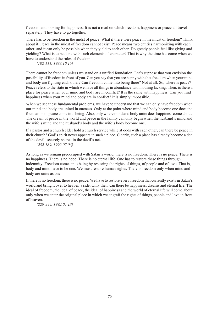freedom and looking for happiness. It is not a road on which freedom, happiness or peace all travel separately. They have to go together.

There has to be freedom in the midst of peace. What if there were peace in the midst of freedom? Think about it. Peace in the midst of freedom cannot exist. Peace means two entities harmonizing with each other, and it can only be possible when they yield to each other. Do greedy people feel like giving and yielding? What is to be done with such elements of character? That is why the time has come when we have to understand the rules of freedom.

*(182-111, 1988.10.16)*

There cannot be freedom unless we stand on a unified foundation. Let's suppose that you envision the possibility of freedom in front of you. Can you say that you are happy with that freedom when your mind and body are fighting each other? Can freedom come into being there? Not at all. So, where is peace? Peace refers to the state in which we have all things in abundance with nothing lacking. Then, is there a place for peace when your mind and body are in conflict? It is the same with happiness. Can you find happiness when your mind and body are in conflict? It is simply impossible.

When we see these fundamental problems, we have to understand that we can only have freedom when our mind and body are united in oneness. Only at the point where mind and body become one does the foundation of peace come into being. Also, only where mind and body unite does happiness come about. The dream of peace in the world and peace in the family can only begin when the husband's mind and the wife's mind and the husband's body and the wife's body become one.

If a pastor and a church elder hold a church service while at odds with each other, can there be peace in their church? God's spirit never appears in such a place. Clearly, such a place has already become a den of the devil, securely snared in the devil's net.

*(232-189, 1992.07.06)*

As long as we remain preoccupied with Satan's world, there is no freedom. There is no peace. There is no happiness. There is no hope. There is no eternal life. One has to restore these things through indemnity. Freedom comes into being by restoring the rights of things, of people and of love. That is, body and mind have to be one. We must restore human rights. There is freedom only when mind and body are unite as one.

If there is no freedom, there is no peace. We have to restore every freedom that currently exists in Satan's world and bring it over to heaven's side. Only then, can there be happiness, dreams and eternal life. The ideal of freedom, the ideal of peace, the ideal of happiness and the world of eternal life will come about only when we enter the original place in which we engraft the rights of things, people and love in front of heaven.

*(229-355, 1992.04.13)*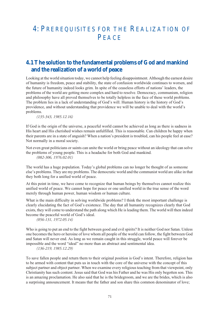# 4: PREREQUISITES FOR THE REALIZATION OF PEACE

## **4.1 The solution to the fundamental problems of God and mankind and the realization of a world of peace**

Looking at the world situation today, we cannot help feeling disappointment. Although the earnest desire of humanity is freedom, peace and stability, the state of confusion worldwide continues to worsen, and the future of humanity indeed looks grim. In spite of the ceaseless efforts of nations' leaders, the problems of the world are getting more complex and hard to resolve. Democracy, communism, religion and philosophy have all proved themselves to be totally helpless in the face of these world problems. The problem lies in a lack of understanding of God's will. Human history is the history of God's providence, and without understanding that providence we will be unable to deal with the world's problems.

*(135-343, 1985.12.16)*

If God is the origin of the universe, a peaceful world cannot be achieved as long as there is sadness in His heart and His cherished wishes remain unfulfilled. This is reasonable. Can children be happy when their parents are in a state of anguish? When a nation's president is troubled, can his people feel at ease? Not normally in a moral society.

Not even great politicians or saints can unite the world or bring peace without an ideology that can solve the problems of young people. This is a headache for both God and mankind. *(082-306, 1976.02.01)*

The world has a huge population. Today's global problems can no longer be thought of as someone else's problems. They are my problems. The democratic world and the communist world are alike in that they both long for a unified world of peace.

At this point in time, we have come to recognize that human beings by themselves cannot realize this unified world of peace. We cannot hope for peace or one unified world in the true sense of the word merely through human power, human wisdom or human culture.

What is the main difficulty in solving worldwide problems? I think the most important challenge is clearly elucidating the fact of God's existence. The day that all humanity recognizes clearly that God exists, they will come to understand the path along which He is leading them. The world will then indeed become the peaceful world of God's ideal.

*(056-131, 1972.05.14)*

Who is going to put an end to the fight between good and evil spirits? It is neither God nor Satan. Unless one becomes the hero or heroine of love whom all people of the world can follow, the fight between God and Satan will never end. As long as we remain caught in this struggle, world peace will forever be impossible and the word "ideal" no more than an abstract and sentimental idea.

*(136-219, 1985.12.29)*

To save fallen people and return them to their original position is God's intent. Therefore, religion has to be armed with content that puts us in touch with the core of the universe with the concept of this subject partner and object partner. When we examine every religious teaching from that viewpoint, only Christianity has such content. Jesus said that God was his Father and he was His only begotten son. This is an amazing proclamation. He also said that he is the bridegroom, and we are the brides, which is also a surprising announcement. It means that the father and son share this common denominator of love;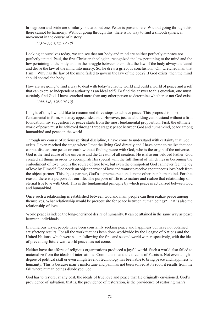bridegroom and bride are similarly not two, but one. Peace is present here. Without going through this, there cannot be harmony. Without going through this, there is no way to find a smooth spherical movement in the course of history.

#### *(137-059, 1985.12.18)*

Looking at ourselves today, we can see that our body and mind are neither perfectly at peace nor perfectly united. Paul, the first Christian theologian, recognized the law pertaining to the mind and the law pertaining to the body and, in the struggle between them, that the law of the body always defeated and drove the law of the mind into misery. So, he drew a grievous conclusion, "Oh, wretched man that I am!" Why has the law of the mind failed to govern the law of the body? If God exists, then the mind should control the body.

How are we going to find a way to deal with today's chaotic world and build a world of peace and a self that can exercise independent authority as an ideal self? To find the answer to this question, one must certainly find God. I have searched more than any other person to determine whether or not God exists.

#### *(144-148, 1986.04.12)*

In light of this, I would like to recommend three steps to achieve peace. This proposal is most fundamental in form, so it may appear idealistic. However, just as a building cannot stand without a firm foundation, my suggestion for peace starts from the most fundamental proposition. First, the ultimate world of peace must be achieved through three stages: peace between God and humankind, peace among humankind and peace in the world.

Through my course of serious spiritual discipline, I have come to understand with certainty that God exists. I even reached the stage where I met the living God directly and I have come to realize that one cannot discuss true peace on earth without finding peace with God, who is the origin of the universe. God is the first cause of the universe and the Creator of all creation. He is also our beloved Father. God created all things in order to accomplish His special will, the fulfillment of which lies in becoming the embodiment of love. God is the source of true love, but even the omnipotent God can never feel the joy of love by Himself. God needs an object partner of love and wants to receive spontaneous love back from the object partner. This object partner, God's supreme creation, is none other than humankind. For that reason, there is a purpose for our life. The purpose of life is to mature and realize that relationship of eternal true love with God. This is the fundamental principle by which peace is actualized between God and humankind.

Once such a relationship is established between God and man, people can then realize peace among themselves. What relationship would be prerequisite for peace between human beings? That is also the relationship of love.

World peace is indeed the long-cherished desire of humanity. It can be attained in the same way as peace between individuals.

In numerous ways, people have been constantly seeking peace and happiness but have not obtained satisfactory results. For all the work that has been done worldwide by the League of Nations and the United Nations, which were set up following the first and second world wars respectively, with the idea of preventing future war, world peace has not come.

Neither have the efforts of religious organizations produced a joyful world. Such a world also failed to materialize from the ideals of international Communism and the dreams of Fascism. Not even a high degree of political skill or even a high level of technology has been able to bring peace and happiness to humanity. This is because man's misfortune and pain has not been solved at its root; it results from the fall where human beings disobeyed God.

God has to restore, at any cost, the ideals of true love and peace that He originally envisioned. God's providence of salvation, that is, the providence of restoration, is the providence of restoring man's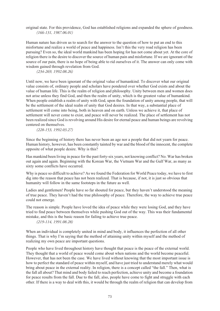original state. For this providence, God has established religions and expanded the sphere of goodness. *(166-131, 1987.06.01)*

Human nature has driven us to search for the answer to the question of how to put an end to this misfortune and realize a world of peace and happiness. Isn't this the very road religion has been pursuing? Even so, the ideal world mankind has been hoping for has not come about yet. At the core of religion there is the desire to discover the source of human pain and misfortune. If we are ignorant of the source of our pain, there is no hope of being able to rid ourselves of it. The answer can only come with wisdom gained through revelation from God.

*(234-269, 1992.08.26)*

Until now, we have been ignorant of the original value of humankind. To discover what our original value consists of, ordinary people and scholars have pondered over whether God exists and about the value of human life. This is the realm of religion and philosophy. Unity between men and women does not arise unless they find God, and then the realm of unity, which is the greatest value of humankind. When people establish a realm of unity with God, upon the foundation of unity among people, that will be the settlement of the ideal realm of unity that God desires. In that way, a substantial place of settlement will come into being, both in heaven and on earth. Unless we achieve it, that place of settlement will never come to exist, and peace will never be realized. The place of settlement has not been realized since God is revolving around His desire for eternal peace and human beings are revolving centered on themselves.

*(228-153, 1992.03.27)*

Since the beginning of history there has never been an age nor a people that did not yearn for peace. Human history, however, has been constantly tainted by war and the blood of the innocent, the complete opposite of what people desire. Why is this?

Has mankind been living in peace for the past forty-six years, not knowing conflict? No. War has broken out again and again. Beginning with the Korean War, the Vietnam War and the Gulf War, as many as sixty some conflicts have occurred.

Why is peace so difficult to achieve? As we found the Federation for World Peace today, we have to first dig into the reason that peace has not been realized. That is because, if not, it is just so obvious that humanity will follow in the same footsteps in the future as well.

Ladies and gentlemen! People have so far shouted for peace, but they haven't understood the meaning of true peace. They haven't had the true philosophy of peace. Therefore, the way to achieve true peace could not emerge.

The reason is simple. People have loved the idea of peace while they were losing God, and they have tried to find peace between themselves while pushing God out of the way. This was their fundamental mistake, and this is the basic reason for failing to achieve true peace.

*(219-114, 1991.08.28)*

When an individual is completely united in mind and body, it influences the perfection of all other things. That is why I'm saying that the method of attaining unity within myself and the method of realizing my own peace are important questions.

People who have lived throughout history have thought that peace is the peace of the external world. They thought that a world of peace would come about when nations and the world become peaceful. However, that has not been the case. We have lived without knowing that the most important issue is how to perfect the standard of peace within myself, and have just tried to understand merely what would bring about peace in the external reality. In religion, there is a concept called "the fall." Then, what is the fall all about? That mind and body failed to reach perfection, achieve unity and become a foundation for peace results from the fall. Due to the fall, also, people have come to fight and struggle with each other. If there is a way to deal with this, it would be through the realm of religion that can develop from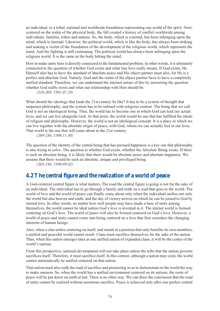an individual, to a tribal, national and worldwide foundation representing one world of the spirit. Next, centered on the realm of the physical body, the fall created a history of conflict worldwide among individuals, families, tribes and nations. So, the body, which is external, has been infringing upon the mind, which is internal. Likewise, the political world, which is like the body, has always been striking and making a victim of the foundation of the development of the religious world, which represents the mind. And the fighting is still continuing. The political world has always been infringing upon the religious world. It is the same as the body hitting the mind.

How to make unity here is directly connected to the fundamental problem. In other words, it is ultimately connected to the question of whether God exists and what true love really means. If God exists, He Himself also has to have the standard of absolute peace and His object partner must also, for He is a perfect and absolute God. Namely, God and the realm of the object partner have to have a completely unified standard. Therefore, we can understand the internal nature of this by answering the question whether God really exists and what our relationship with Him should be.

*(218-205, 1991.07.29)*

What should the ideology that leads the 21st century be like? It has to be a system of thought that surpasses philosophy, and the system has to be imbued with religious content. The being that we call God is not an ideological being. Thus, the world has to become one in which God can lead our actual lives, and we can live alongside God. At that point, the world would be one that has fulfilled the ideals of religion and philosophy. However, the world is not an ideological concept. It is a place in which we can live together with the absolute origin of peace, with God, whom we can actually feel in our lives. That world is the one that will come about in the 21st century.

*(209-236, 1990.11.30)*

The question of the identity of the central being that has pursued happiness is a key one that philosophy is also trying to solve. The question is whether God exists, whether the Absolute Being exists. If there is such an absolute being, it is likely that there would be absolute peace and absolute happiness. We assume that there would be such an absolute, unique and privileged being.

*(205-196, 1990.09.02)*

### **4.2 The central figure and the realization of a world of peace**

A God-centered central figure is what matters. The road the central figure is going is not for the sake of an individual. The individual has to go through a family and walk on a road that goes to the world. The world of love and the world of peace can finally come about only when the individual unifies not only the world but also heaven and earth, and the day of victory arrives on which he can be joined to God by eternal love. In other words, no matter how well people may have made a base of unity among themselves, the world cannot be ideal unless God's love is invested in it. The eternal world is formed centering on God's love. The world of peace will also be formed centered on God's love. However, a world of peace and unity cannot come into being centered on a love that first considers the changing interests of human beings.

Also, when a clan settles centering on itself, and stands in a position that only benefits its own members, a unified and peaceful world cannot result. Clans must sacrifice themselves for the sake of the nation. Thus, when this nation emerges later as one unified nation of expanded clans, it will be the center of the world's nations.

From this perspective, national development will not take place unless the tribe that the nation governs sacrifices itself. Therefore, it must sacrifice itself. In this context, although a nation may exist, the world cannot automatically be unified centered on that nation.

That nation must also walk the road of sacrifice and pioneering so as to demonstrate to the world the way to make oneness. So, when the world has a unified environment centered on its nations, the roots of peace will be put down on earth at last. There is no other way. We can draw the conclusion that the road of unity cannot be realized without enormous sacrifice. Peace is achieved only after one perfect central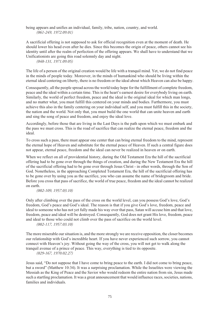being appears and unifies an individual, family, tribe, nation, country, and world. *(061-249, 1972.09.01)*

A sacrificial offering is not supposed to ask for official recognition even at the moment of death. He should lower his head even after he dies. Since this becomes the origin of peace, others cannot see his identity until after the realm of perfection of the offering appears. We shall have to understand that we Unificationists are going this road solemnly day and night.

*(048-131, 1971.09.05)*

The life of a person of the original creation would be life with a tranquil mind. Yet, we do not find peace in the minds of people today. Moreover, in the minds of humankind who should be living within the eternal ideal centering on liberty, there is no freedom or the ideal about which Heaven can also be happy.

Consequently, all the people spread across the world today hope for the fulfillment of complete freedom, peace and the ideal within a certain time. This is the heart's earnest desire for everybody living on earth. Similarly, the world of perfect freedom, peace and the ideal is the original ideal for which man longs, and no matter what, you must fulfill this centered on your minds and bodies. Furthermore, you must achieve this also in the family centering on your individual self, and you must fulfill this in the society, the nation and the world. Not only that, you must build the one world that can unite heaven and earth and sing the song of peace and freedom, and enjoy the ideal love.

Accordingly, before those that are living in the Last Days is the path upon which we must embark and the pass we must cross. This is the road of sacrifice that can realize the eternal peace, freedom and the ideal.

To cross such a pass, there must appear one center that can bring eternal freedom to the mind, represent the eternal hope of Heaven and substitute for the eternal peace of Heaven. If such a central figure does not appear, eternal peace, freedom and the ideal can never be realized in heaven or on earth.

When we reflect on all of providential history, during the Old Testament Era the hill of the sacrificial offering had to be gone over through the things of creation, and during the New Testament Era the hill of the sacrificial offering had to be gone over through Jesus Christ - in other words, through the Son of God. Nonetheless, in the approaching Completed Testament Era, the hill of the sacrificial offering has to be gone over by using you as the sacrifice, you who can assume the name of bridegroom and bride. Before you cross that pass of sacrifice, the world of true peace, freedom and the ideal cannot be realized on earth.

*(002-109, 1957.03.10)*

Only after climbing over the pass of the cross on the world level, can you possess God's love, God's freedom, God's peace and God's ideal. The reason is that if you give God's love, freedom, peace and ideal to someone who has not yet fully made his way over that pass, Satan will accuse him and that love, freedom, peace and ideal will be destroyed. Consequently, God does not grant His love, freedom, peace and ideal to those who could not climb over the pass of sacrifice on the world level.

*(002-117, 1957.03.10)*

The more miserable our situation is, and the more strongly we are receive opposition, the closer becomes our relationship with God's incredible heart. If you have never experienced such sorrow, you cannot connect with Heaven's joy. Without going the way of the cross, you will not get to walk along the tranquil avenue of a prince of peace. This way, everything is tied to its opposite.

*(029-167, 1970.02.27)*

Jesus said, "Do not suppose that I have come to bring peace to the earth. I did not come to bring peace, but a sword" (Matthew 10:34). It was a surprising proclamation. While the Israelites were viewing the Messiah as the King of Peace and the Savior who would redeem the entire nation from sin, Jesus made such a startling proclamation. It was a great announcement that would influence races, societies, nations, families and individuals.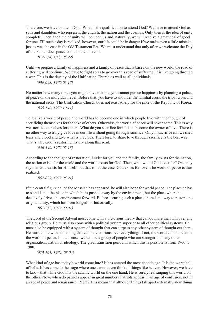Therefore, we have to attend God. What is the qualification to attend God? We have to attend God as sons and daughters who represent the church, the nation and the cosmos. Only then is the idea of unity complete. Then, the time of unity will be upon us and, naturally, we will receive a great deal of good fortune. Till such a day is realized, however, our life could be in danger if we make even a little mistake, just as was the case in the Old Testament Era. We must understand that only after we welcome the Day of the Father does peace come to the universe.

*(012-254, 1963.05.22)*

Until we prepare a family of happiness and a family of peace that is based on the new world, the road of suffering will continue. We have to fight so as to go over this road of suffering. It is like going through a war. This is the destiny of the Unification Church as well as all individuals.

*(030-098, 1970.03.17)*

No matter how many times you might have met me, you cannot pursue happiness by planning a palace of peace on the individual level. Before that, you have to shoulder the familial cross, the tribal cross and the national cross. The Unification Church does not exist solely for the sake of the Republic of Korea. *(035-140, 1970.10.11)*

To realize a world of peace, the world has to become one in which people live with the thought of sacrificing themselves for the sake of others. Otherwise, the world of peace will never come. This is why we sacrifice ourselves for others. What do you sacrifice for? It is to become the owner of love. There is no other way to truly give love in our life without going through sacrifice. Only in sacrifice can we shed tears and blood and give what is precious. Therefore, to share love through sacrifice is the best way. That's why God is restoring history along this road.

*(056-340, 1972.05.18)*

According to the thought of restoration, I exist for you and the family, the family exists for the nation, the nation exists for the world and the world exists for God. Then, what would God exist for? One may say that God exists for Himself, but that is not the case. God exists for love. The world of peace is thus realized.

*(057-029, 1972.05.21)*

If the central figure called the Messiah has appeared, he will also hope for world peace. The place he has to stand is not the place in which he is pushed away by the environment, but the place where he decisively drives the environment forward. Before securing such a place, there is no way to restore the original unity, which has been longed for historically.

*(061-252, 1972.09.01)*

The Lord of the Second Advent must come with a victorious theory that can do more than win over any religious group. He must also come with a political system superior to all other political systems. He must also be equipped with a system of thought that can surpass any other system of thought out there. He must come with something that can be victorious over everything. If not, the world cannot become the world of peace. In that sense, we will be a group of people who are stronger than any other organization, nation or ideology. The great transition period in which this is possible is from 1960 to 1980.

*(073-101, 1974, 08.04)*

What kind of age has today's world come into? It has entered the most chaotic age. It is the worst hell of hells. It has come to the stage where one cannot even think of things like heaven. However, we have to know that while God hits the satanic world on the one hand, He is surely rearranging this world on the other. Now, when do patriots appear in great number? Patriots appear in an age of confusion, not in an age of peace and renaissance. Right? This means that although things fall apart externally, new things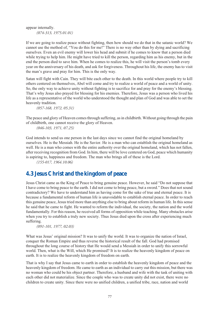appear internally. *(074-313, 1975.01.01)*

If we are going to realize peace without fighting, then how should we do that in the satanic world? We cannot use the method of, "You do this for me!" There is no way other than by dying and sacrificing ourselves. Even an evil enemy will lower his head and submit if he comes to know that a person died while trying to help him. He might have tried to kill the person, regarding him as his enemy, but in the end the person died to save him. When he comes to realize this, he will visit the person's tomb every year on the anniversary of his death, and ask for forgiveness. Throughout his life, the enemy has to visit the man's grave and pray for him. This is the only way.

Satan will fight with Cain. They will bite each other to the death. In this world where people try to kill others centered on themselves, Abel will come and try to realize a world of peace and a world of unity. So, the only way to achieve unity without fighting is to sacrifice for and pray for the enemy's blessing. That's why Jesus also prayed for blessing for his enemies. Therefore, Jesus was a person who lived his life as a representative of the world who understood the thought and plan of God and was able to set the heavenly tradition.

*(057-168, 1972, 05.31)*

The peace and glory of Heaven comes through suffering, as in childbirth. Without going through the pain of childbirth, one cannot receive the glory of Heaven.

*(046-103, 1971, 07.25)*

God intends to send us one person in the last days since we cannot find the original homeland by ourselves. He is the Messiah. He is the Savior. He is a man who can establish the original homeland as well. He is a man who comes with the entire authority over the original homeland, which has not fallen, after receiving recognition from God. In him, there will be love centered on God, peace which humanity is aspiring to, happiness and freedom. The man who brings all of these is the Lord.

*(155-017, 1964.10.06)*

### **4.3 Jesus Christ and the kingdom of peace**

Jesus Christ came as the King of Peace to bring genuine peace. However, he said "Do not suppose that I have come to bring peace to the earth. I did not come to bring peace, but a sword." Does that not sound contradictory? We have to understand him as having come for the sake of true and eternal peace. It is because a fundamental reform of human life is unavoidable to establish eternal peace. In order to reach this genuine peace, Jesus tried more than anything else to bring about reform in human life. In this sense he said that he came to fight. He wanted to reform the individual, the society, the nation and the world fundamentally. For this reason, he received all forms of opposition while teaching. Many obstacles arise when you try to establish a truly new society. Thus Jesus died upon the cross after experiencing much suffering.

*(091-101, 1977, 02.03)*

What was Jesus' original mission? It was to unify the world. It was to organize the nation of Israel, conquer the Roman Empire and thus reverse the historical result of the fall. God had promised throughout the long course of history that He would send a Messiah in order to unify this sorrowful world. Then, what is the Will, which He promised? It is to realize the heavenly kingdom of peace on earth. It is to realize the heavenly kingdom of freedom on earth.

That is why I say that Jesus came to earth in order to establish the heavenly kingdom of peace and the heavenly kingdom of freedom. He came to earth as an individual to carry out this mission, but there was no woman who could be his object partner. Therefore, a husband and wife with the task of uniting with each other did not materialize. Since the couple who was to create unity did not exist, there were no children to create unity. Since there were no unified children, a unified tribe, race, nation and world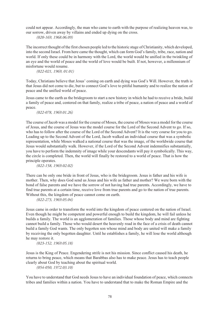could not appear. Accordingly, the man who came to earth with the purpose of realizing heaven was, to our sorrow, driven away by villains and ended up dying on the cross.

*(020-169, 1968.06.09)*

The incorrect thought of the first chosen people led to the historic stage of Christianity, which developed, into the second Israel. From here came the thought, which can form God's family, tribe, race, nation and world. If only these could be in harmony with the Lord, the world would be unified in the twinkling of an eye and the world of peace and the world of love would be built. If not, however, a millennium of misfortune would resume.

*(022-021, 1969, 01.01)*

Today, Christians believe that Jesus' coming on earth and dying was God's Will. However, the truth is that Jesus did not come to die, but to connect God's love to pitiful humanity and to realize the nation of peace and the unified world of peace.

Jesus came to the earth as the bridegroom to start a new history in which he had to receive a bride, build a family of peace and, centered on that family, realize a tribe of peace, a nation of peace and a world of peace.

*(022-078, 1969.01.26)*

The course of Jacob was a model for the course of Moses, the course of Moses was a model for the course of Jesus, and the course of Jesus was the model course for the Lord of the Second Advent to go. If so, who has to follow after the course of the Lord of the Second Advent? It is the very course for you to go. Leading up to the Second Advent of the Lord, Jacob walked an individual course that was a symbolic representation, while Moses walked a national course that was the image, of the worldwide course that Jesus would substantially walk. However, if the Lord of the Second Advent indemnifies substantially, you have to perform the indemnity of image while your descendants will pay it symbolically. This way, the circle is completed. Then, the world will finally be restored to a world of peace. That is how the principle operates.

*(022-158, 1969.02.02)*

There can be only one bride in front of Jesus, who is the bridegroom. Jesus is father and his wife is mother. Then, why does God send us Jesus and his wife as father and mother? We were born with the bond of false parents and we have the sorrow of not having had true parents. Accordingly, we have to find true parents at a certain time, receive love from true parents and go to the nation of true parents. Without this, the kingdom of peace cannot come on earth.

*(022-273, 1969.05.04)*

Jesus came in order to transform the world into the kingdom of peace centered on the nation of Israel. Even though he might be competent and powerful enough to build the kingdom, he will fail unless he builds a family. The world is an agglomeration of families. Those whose body and mind are fighting cannot build a family. Those who would desert the heavenly road in the face of a crisis of death cannot build a family God wants. The only begotten son whose mind and body are united will make a family by receiving the only begotten daughter. Until he establishes a family, he will lose the world although he may restore it.

*(023-152, 1969.05.18)*

Jesus is the King of Peace. Engendering strife is not his mission. Since conflict caused his death, he returns to bring peace, which means that Barabbas also has to make peace. Jesus has to teach people clearly about God by teaching about the spiritual world.

*(054-050, 1972.03.10)*

You have to understand that God needs Jesus to have an individual foundation of peace, which connects tribes and families within a nation. You have to understand that to make the Roman Empire and the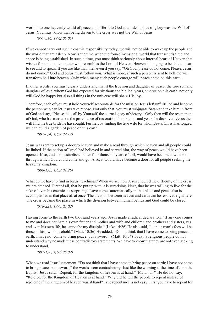world into one heavenly world of peace and offer it to God at an ideal place of glory was the Will of Jesus. You must know that being driven to the cross was not the Will of Jesus.

*(057-316, 1972.06.05)*

If we cannot carry out such a cosmic responsibility today, we will not be able to wake up the people and the world that are asleep. Now is the time when the four-dimensional world that transcends time and space is being established. In such a time, you must think seriously about internal heart of Heaven that wishes for a man of character who resembles the Lord of Heaven. Heaven is longing to be able to hear, to see and to speak. If you are like that, then even if you say, "Oh God, please do not come. Please, Jesus, do not come." God and Jesus must follow you. What is more, if such a person is sent to hell, he will transform hell into heaven. Only when many such people emerge will peace come on this earth.

In other words, you must clearly understand that if the true son and daughter of peace, the true son and daughter of love, whom God has expected for six thousand biblical years, emerge on this earth, not only will God be happy but also all things in the universe will share His joy.

Therefore, each of you must hold yourself accountable for the mission Jesus left unfulfilled and become the person who can let Jesus take repose. Not only that, you must subjugate Satan and take him in front of God and say, "Please take, all by Yourself, the eternal glory of victory." Only then will the resentment of God, who has carried on the providence of restoration for six thousand years, be dissolved. Jesus then will find the true bride he has sought. Further, by finding the true wife for whom Jesus Christ has longed, we can build a garden of peace on this earth.

*(002-054, 1957.02.17)*

Jesus was sent to set up a door to heaven and make a road through which heaven and all people could be linked. If the nation of Israel had believed in and served him, the way of peace would have been opened. If so, Judaism, established after four thousand years of toil, would have become a wide road through which God could come and go. Also, it would have become a door for all people seeking the heavenly kingdom.

*(006-175, 1959.04.26)*

What do we have to find in Jesus' teachings? When we see how Jesus endured the difficulty of the cross, we are amazed. First of all, that he put up with it is surprising. Next, that he was willing to live for the sake of even his enemies is surprising. Love comes automatically in that place and peace also is accomplished in that place all at once. The division between heaven and earth can be resolved right here. The cross became the place in which the division between human beings and God could be closed.

*(076-221, 1975.03.02)*

Having come to the earth two thousand years ago, Jesus made a radical declaration. "If any one comes to me and does not hate his own father and mother and wife and children and brothers and sisters, yes, and even his own life, he cannot be my disciple." (Luke 14:26) He also said, "...and a man's foes will be those of his own household." (Matt. 10:36) He added, "Do not think that I have come to bring peace on earth; I have not come to bring peace, but a sword." (Matt. 10:34) Today's religious people do not understand why he made these contradictory statements. We have to know that they are not even seeking to understand.

*(087-178, 1976.06.02)*

When we read Jesus' statement, "Do not think that I have come to bring peace on earth; I have not come to bring peace, but a sword," the words seem contradictory. Just like the warning at the time of John the Baptist, Jesus said, "Repent, for the kingdom of heaven is at hand." (Matt. 4:17) He did not say, "Rejoice, for the Kingdom of Heaven is at hand." Why did he tell the people to repent instead of rejoicing if the kingdom of heaven was at hand? True repentance is not easy. First you have to repent for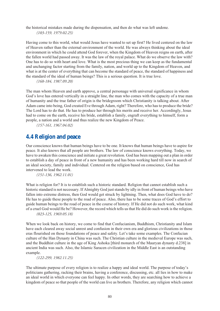the historical mistakes made during the dispensation, and then do what was left undone. *(103-159, 1979.02.25)*

Having come to this world, what would Jesus have wanted to set up first? He lived centered on the law of Heaven rather than the external environment of the world. He was always thinking about the ideal environment in which he could attend God forever, when the Kingdom of Heaven reigns on earth, after the fallen world had passed away. It was the law of the royal palace. What do we observe the law with? One has to do so with heart and love. What is the most precious thing we can keep as the fundamental and unchanging factor starting from the family, nation, and world up to the Kingdom of Heaven, and what is at the center of everything that can become the standard of peace, the standard of happiness and the standard of the ideal of human beings? This is a serious question. It is true love.

*(168-184, 1987.09.20)*

The man whom Heaven and earth approve, a central personage with universal significance in whom God's love has entered vertically in a straight line, the man who comes with the capacity of a true man of humanity and the true father of origin is the bridegroom which Christianity is talking about. After Adam came into being, God created Eve through Adam, right? Therefore, who has to produce the bride? The Lord has to do that. He has to produce her through his merits and receive her. Accordingly, Jesus had to come on the earth, receive his bride, establish a family, engraft everything to himself, form a people, a nation and a world and thus realize the new Kingdom of Peace.

*(157-161, 1967.04.02)*

### **4.4 Religion and peace**

Our conscience knows that human beings have to be one. It knows that human beings have to aspire for peace. It also knows that all people are brothers. The law of conscience knows everything. Today, we have to awaken this conscience and initiate a great revolution. God has been mapping out a plan in order to establish a day of peace in front of a new humanity and has been working hard till now in search of an ideal society, family and individual. Centered on the religion based on conscience, God has intervened to lead the work.

*(151-136, 1962.11.01)*

What is religion for? It is to establish such a historic standard. Religion that cannot establish such a historic standard is not necessary. If Almighty God just stands by idly in front of human beings who have fallen into extreme distress, then God would get struck by lightning. Then, what does God have to do? He has to guide these people to the road of peace. Also, there has to be some traces of God's effort to guide human beings to the road of peace in the course of history. If He did not do such work, what kind of a cruel God would He be? However, the record which tells us that He did do such work is the religion. *(023-125, 1969.05.18)*

When we look back on history, we come to find that Confucianism, Buddhism, Christianity and Islam have each cleared away social unrest and confusion in their own era and glorious civilizations in those eras flourished on those foundations of peace and safety. Let's take some examples. The Confucian culture of the Han Dynasty in China was such. The Christian culture in the medieval Europe was such, and the Buddhist culture in the age of King Ashoka [third monarch of the Mauryan dynasty d.238] in ancient India was such. Also, the Islamic Saracen civilization in the Middle East is an outstanding example.

*(122-299, 1982.11.25)*

The ultimate purpose of every religion is to realize a happy and ideal world. The purpose of today's politicians gathering, racking their brains, having a conference, discussing, etc. all lies in how to make an ideal world in which everyone can feel happy. In other words, they are searching how to achieve a kingdom of peace so that people of the world can live as brothers. Therefore, any religion which cannot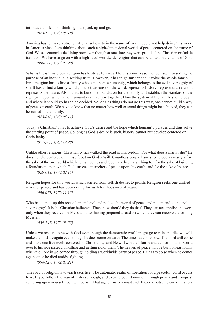introduce this kind of thinking must pack up and go.

*(023-122, 1969.05.18)*

America has to make a strong national solidarity in the name of God. I could not help doing this work in America since I am thinking about such a high-dimensional world of peace centered on the name of God. We see countries declining now even though at one time they were proud of the Christian or Judaic tradition. We have to go on with a high-level worldwide religion that can be united in the name of God. *(086-208, 1976.03.29)*

What is the ultimate goal religion has to strive toward? There is some reason, of course, in asserting the purpose of an individual's seeking truth. However, it has to go further and involve the whole family. First, religion has to find a family who can liberate humanity, which belongs to the evil sovereignty of sin. It has to find a family which, in the true sense of the word, represents history, represents an era and represents the future. Also, it has to build the foundation for the family and establish the standard of the right path upon which all of humanity can feel joy together. How the system of the family should begin and where it should go has to be decided. So long as things do not go this way, one cannot build a way of peace on earth. We have to know that no matter how well external things might be achieved, they can be ruined in the family.

*(023-010, 1969.05.11)*

Today's Christianity has to achieve God's desire and the hope which humanity pursues and thus solve the starting point of peace. So long as God's desire is such, history cannot but develop centered on Christianity.

*(027-305, 1969.12.28)*

Unlike other religions, Christianity has walked the road of martyrdom. For what does a martyr die? He does not die centered on himself, but on God's Will. Countless people have shed blood as martyrs for the sake of the one world which human beings and God have been searching for, for the sake of building a foundation upon which God can cast an anchor of peace upon this earth, and for the sake of peace.

*(029-018, 1970.02.15)*

Religion hopes for this world, which started from selfish desire, to perish. Religion seeks one unified world of peace, and has been crying for such for thousands of years.

*(036-071, 1970.11.15)*

Who has to pull up this root of sin and evil and realize the world of peace and put an end to the evil sovereignty? It is the Christian believers. Then, how should they do that? They can accomplish the work only when they receive the Messiah, after having prepared a road on which they can receive the coming Messiah.

*(054-147, 1972.03.22)*

Unless we resolve to be with God even though the democratic world might go to ruin and die, we will make the lord die again even though he does come on earth. The time has come now. The Lord will come and make one free world centered on Christianity, and He will win the Islamic and evil communist world over to his side instead of killing and getting rid of them. The heaven of peace will be built on earth only when the Lord is welcomed through holding a worldwide party of peace. He has to do so when he comes again since he died amidst fighting.

*(054-127, 1972.03.21)*

The road of religion is to teach sacrifice. The automatic realm of liberation for a peaceful world occurs here. If you follow the way of history, though, and expand your dominion through power and conquest centering upon yourself, you will perish. That age of history must end. If God exists, the end of that era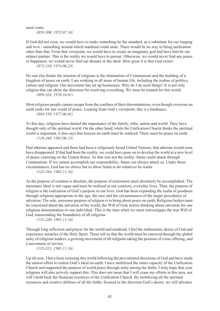must come.

*(059-200, 1972.07.16)*

If God did not exist, we would have to make something be the standard, as a substitute for our longing and love - something around which mankind could unite. There would be no way to bring unification other than that. From that viewpoint, we would have to create an imaginary god and have him be our subject partner. This is the reality we would have to pursue. Otherwise, we would never find any peace or happiness; we would never find our dreams or the ideal. How great it is that God exists! *(072-210, 1974.06.23)*

No one else thinks the mission of religions is the elimination of Communism and the building of a kingdom of peace on earth. I am working in all areas of human life, including the realms of politics, culture and religion. Our movement has set up businesses. Why do I do such things? It is not only religion that can show the direction for resolving everything. We must be trained for this world. *(099-324, 1978.10.01)*

Most religious people cannot escape from the confines of their denominations, even though everyone on earth seeks for one world of peace. Looking from God's viewpoint, this is a hindrance. *(093-199, 1977.06.01)*

To this day, religions have denied the importance of the family, tribe, nation and world. They have thought only of the spiritual world. On the other hand, while the Unification Church thinks the spiritual world is important, it also says that heaven on earth must be realized. There must be peace on earth. *(118-248, 1982.06.13)*

Had atheism appeared and there had been a religiously based United Nations, that atheism would soon have disappeared. If that had been the reality, we could have gone on to develop the world at a new level of peace centering on the United States. As that was not the reality, Satan could attack through Communism. If we cannot accomplish our responsibility, Satan can always attack us. Under those circumstances, God has no choice but to allow Satan to do whatever he wants.

*(122-244, 1982.11.16)*

As the purpose of creation is absolute, the purpose of restoration must absolutely be accomplished. The messianic ideal is not vague and must be realized in our concrete, everyday lives. Thus, the purpose of religion is the realization of God's purpose in our lives. God has been expanding the realm of goodness through religions appropriate to the age, the race and the circumstances of the larger providence of salvation. The sole, awesome purpose of religion is to bring about peace on earth. Religious bodies must be concerned about the salvation of the world, the Will of God, before thinking about salvation for one religious denomination or one individual. This is the time when we must reinvestigate the true Will of God, transcending the boundaries of all religions.

*(135-220, 1985.11.16)*

Through long reflection and prayer for the world and mankind, I feel the enthusiastic desire of God and experience miracles of the Holy Spirit. These tell us that the world must be renewed through the global unity of religious leaders, a growing movement of all religions taking the position of a true offering, and a movement of service.

*(135-221, 1985.11.16)*

Up till now, I have been restoring this world following the providential directions of God and have made the utmost effort to realize God's ideal on earth. I have mobilized the entire capacity of the Unification Church and supported the purpose of world peace through unity among the faiths. I truly hope that your religions will also actively support this. This does not mean that I will cease my efforts in this area, nor will I hold back the financial resources of the Unification Church. By mobilizing all the spiritual resources and creative abilities of all the faiths, focused in the direction God's desire, we will advance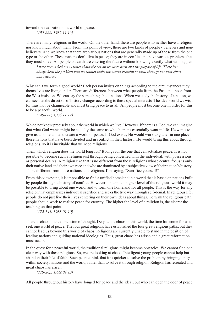toward the realization of a world of peace.

*(135-222, 1985.11.16)*

There are many religions in the world. On the other hand, there are people who neither have a religion nor know much about them. From this point of view, there are two kinds of people - believers and nonbelievers. And we know that there are various nations that are generally made up of those from the one type or the other. These nations don't live in peace; they are in conflict and have various problems that they must solve. All people on earth are entering the future without knowing exactly what will happen.

*I have been asked many times about the reason we were born and the purpose of life. There has always been the problem that we cannot make this world peaceful or ideal through our own effort and research.* 

Why can't we form a good world? Each person insists on things according to the circumstances they themselves are living under. There are differences between what people from the East and those from the West insist on. We can say the same thing about nations. When we study the history of a nation, we can see that the direction of history changes according to these special interests. The ideal world we wish for must not be changeable and must bring peace to us all. All people must become one in order for this to be a peaceful world.

*(149-080, 1986.11.17)*

We do not know precisely about the world in which we live. However, if there is a God, we can imagine that what God wants might be actually the same as what humans essentially want in life. He wants to give us a homeland and create a world of peace. If God exists, He would work to gather in one place those nations that have been divided and in conflict in their history. He would bring this about through religions, so it is inevitable that we need religions.

Then, which religion does the world long for? It longs for the one that can actualize peace. It is not possible to become such a religion just through being concerned with the individual, with possessions or personal desires. A religion like that is no different from those religions whose central focus is only their native land and their own race and who are dominated by a subjective view of their nation's history. To be different from those nations and religions, I'm saying, "Sacrifice yourself!"

From this viewpoint, it is impossible to find a unified homeland in a world that is based on nations built by people through a history of conflict. However, on a much higher level of the religious world it may be possible to bring about one world, and to form one homeland for all people. This is the way for any religion that emphasizes individual sacrifice and seeks the true way through self-denial. In religious life, people do not just live their lives centering on their own ideas about things. To walk the religious path, people should work to realize peace for eternity. The higher the level of a religion is, the clearer the teaching on that point.

*(172-143, 1988.01.10)*

There is chaos in the dimension of thought. Despite the chaos in this world, the time has come for us to seek one world of peace. The four great religions have established the four great religious paths, but they cannot lead us beyond this world of chaos. Religions are currently unable to stand in the position of leading nations and guiding national ideologies. Thus, great chaos has arisen and a great reformation must occur.

In the quest for a peaceful world, the traditional religions might become obstacles. We cannot find one clear way with these religions. So, we are looking at chaos. Intelligent young people cannot help but abandon their life of faith. Such people think that it is quicker to solve the problem by bringing unity within society, nations and the world, rather than to solve it through religion. Religion has retreated and great chaos has arisen.

*(229-263, 1992.04.13)*

All people throughout history have longed for peace and the ideal, but who can open the door of peace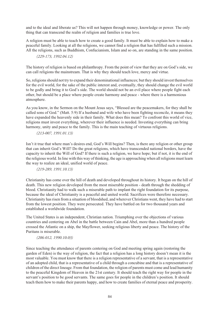and to the ideal and liberate us? This will not happen through money, knowledge or power. The only thing that can transcend the realm of religion and families is true love.

A religion must be able to teach how to create a good family. It must be able to explain how to make a peaceful family. Looking at all the religions, we cannot find a religion that has fulfilled such a mission. All the religions, such as Buddhism, Confucianism, Islam and so on, are standing in the same position.

#### *(229-173, 1992.04.12)*

The history of religion is based on philanthropy. From the point of view that they are on God's side, we can call religions the mainstream. That is why they should teach love, mercy and virtue.

So, religions should not try to expand their denominational influences; but they should invest themselves for the evil world, for the sake of the public interest and, eventually, they should change the evil world to be godly and bring it to God's side. The world should not be an evil place where people fight each other, but should be a place where people create harmony and peace - where there is a harmonious atmosphere.

As you know, in the Sermon on the Mount Jesus says, "Blessed are the peacemakers, for they shall be called sons of God." (Matt. 5:9) If a husband and wife who have been fighting reconcile, it means they have expanded the heavenly side in their family. What does this mean? To confront this world of vice, religions must invest everything, wherever their influence is needed. Investing everything can bring harmony, unity and peace to the family. This is the main teaching of virtuous religions.

*(213-007, 1991.01.13)*

Isn't it true that where man's desires end, God's Will begins? Then, is there any religion or other group that can inherit God's Will? Do the great religions, which have transcended national borders, have the capacity to inherit the Will of God? If there is such a religion, we have hope; but if not, it is the end of the religious world. In line with this way of thinking, the age is approaching when all religions must learn the way to realize an ideal, unified world of peace.

*(219-289, 1991.10.13)*

Christianity has come over the hill of death and developed throughout its history. It began on the hill of death. This new religion developed from the most miserable position - death through the shedding of blood. Christianity had to walk such a miserable path to implant the right foundation for its purpose, because the ideal of Christianity is a peaceful and united world. Sacrifices were therefore necessary. Christianity has risen from a situation of bloodshed, and wherever Christians went, they have had to start from the lowest position. They were persecuted. They have battled on for two thousand years and established a worldwide foundation.

The United States is an independent, Christian nation. Triumphing over the objections of various countries and centering on Abel in the battle between Cain and Abel, more than a hundred people crossed the Atlantic on a ship, the Mayflower, seeking religious liberty and peace. The history of the Puritans is miserable.

#### *(206-012, 1990.10.03)*

Since teaching the attendance of parents centering on God and meeting spring again (restoring the garden of Eden) is the way of religion, the fact that a religion has a long history doesn't mean it is the most valuable. You must know that there is a religion representative of a servant, that is a representative of an adopted child, that is a representative of a child through a concubine and that is a representative of children of the direct lineage. From that foundation, the religion of parents must come and lead humanity to the peaceful Kingdom of Heaven in the 21st century. It should teach the right way for people in the servant's position to be good servants. The same goes for people in the children's position. It should teach them how to make their parents happy, and how to create families of eternal peace and prosperity.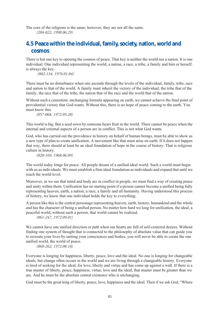The core of the religions is the same; however, they are not all the same. *(204-022, 1990.06.29)*

### **4.5 Peace within the individual, family, society, nation, world and cosmos**

There is but one key to opening the cosmos of peace. That key is neither the world nor a nation. It is one individual. One individual representing the world, a nation, a race, a tribe, a family and him or herself, is always the key.

 *(082-134, 1976.01.04)*

There must be no disturbance when one ascends through the levels of the individual, family, tribe, race and nation to that of the world. A family must inherit the victory of the individual, the tribe that of the family, the race that of the tribe, the nation that of the race and the world that of the nation.

Without such a consistent, unchanging formula appearing on earth, we cannot achieve the final point of providential victory that God wants. Without this, there is no hope of peace coming to the earth. You must know this.

*(057-068, 1972.05.28)*

This world is big. But a seed sown by someone bears fruit in the world. There cannot be peace when the internal and external aspects of a person are in conflict. This is not what God wants.

God, who has carried out the providence in history on behalf of human beings, must be able to show us a new type of plan to create unification. A movement like that must arise on earth. If it does not happen that way, there should at least be an ideal foundation of hope in the course of history. That is religious culture in history.

*(020-169, 1968.06.09)*

The world today longs for peace. All people dream of a unified ideal world. Such a world must begin with us as individuals. We must establish a firm ideal foundation as individuals and expand that until we reach the world level.

Moreover, as we see that mind and body are in conflict in people, we must find a way of creating peace and unity within them. Unification has no starting point if a person cannot become a unified being fully representing heaven, earth, a nation, a race, a family and all humanity. Having understood this process of history, we know that one individual holds the key to everything.

A person like this is the central personage representing heaven, earth, history, humankind and the whole and has the character of being a unified person. No matter how hard we long for unification, the ideal, a peaceful world, without such a person, that world cannot be realized.

*(061-247, 1972.09.01)*

We cannot have one unified direction or path when our hearts are full of self-centered desires. Without finding one system of thought that is connected to the philosophy of absolute value that can guide you to recreate your lives by uniting your consciences and bodies, you will never be able to create the one unified world, the world of peace.

*(060-262, 1972.08.18)*

Everyone is longing for happiness, liberty, peace, love and the ideal. No one is longing for changeable ideals, but change often occurs in the world and we are living through a changeable history. Everyone is tired of seeking for the ideal, for love, liberty and virtue and has come up against a wall. If there is a true master of liberty, peace, happiness, virtue, love and the ideal, that master must be greater than we are. And he must be the absolute central existence who is unchanging.

God must be the great king of liberty, peace, love, happiness and the ideal. Then if we ask God, "Where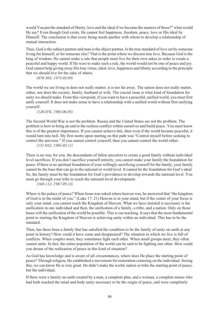would You put the standard of liberty, love and the ideal if we become the masters of those?" what would He say? Even though God exists, He cannot feel happiness, freedom, peace, love or His ideal by Himself. The conclusion is that every being needs another with whom to develop a relationship of mutual interaction.

Thus, God is the subject partner and man is the object partner. Is the true standard of love set by someone living for himself, or for someone else? That is the point where we discern true love. Because God is the king of wisdom, He cannot make a rule that people must live for their own sakes in order to create a peaceful and happy world. If He were to make such a rule, the world would not be one of peace and joy. God cannot help giving away His true virtue, ideal, love, happiness and liberty according to the principle that we should live for the sake of others.

*(070-303, 1974.03.09)*

The world we are living in does not really matter; it is too far away. The nation does not really matter, either, nor does the society, family, husband or wife. The crucial issue is what kind of foundation for unity we should make. From this viewpoint, if you want to have a peaceful, unified world, you must first unify yourself. It does not make sense to have a relationship with a unified world without first unifying yourself.

#### *(128-076, 1983.06.05)*

The Second World War is not the problem. Russia and the United States are not the problem. The problem is how to bring an end to the restless conflict within ourselves and build peace. You must know this is of the greatest importance. If you cannot achieve this, then even if the world became peaceful, it would turn into hell. My first motto upon starting on this path was "Control myself before seeking to control the universe." If you cannot control yourself, then you cannot control the world either.

*(131-032, 1984.03.11)*

There is no way for you, the descendants of fallen ancestors to create a good family without individual level sacrifices. If you don't sacrifice yourself entirely, you cannot make your family the foundation for peace. If there is no spiritual foundation of your willingly sacrificing yourself for the family, your family cannot be the base that can go to the national or world level. It cannot be the foundation for God's ideal. So, the family must be the foundation for God's providence to develop towards the national level. You must go through your tribe to reach the national-level development.

*(168-112, 1987.09.13)*

Where is the palace of peace? When Jesus was asked where heaven was, he answered that "the kingdom" of God is in the midst of you." (Luke 17: 21) Heaven is in your mind, but if the center of your focus is only your mind, you cannot reach the Kingdom of Heaven. What we have insisted is necessary is the unification in one individual and then, the unification of a family, a tribe, and a nation. Only on those bases will the unification of the world be possible. This is our teaching. It says that the most fundamental point to starting the Kingdom of Heaven is achieving unity within an individual. This has to be the standard.

Then, has there been a family that has satisfied the condition to be the family of unity on earth at any point in history? How could it have come and disappeared? The situation in which we live is full of conflicts. When couples meet, they sometimes fight each other. When small groups meet, they often cannot unite. In fact, the entire population of the world can be said to be fighting one other. How could you dream of the realization of peace in this kind of situation?

As God has knowledge and is aware of all circumstances, where does He place the starting point of peace? Through religion, He established a movement for restoration centering on the individual. Seeing this, we can know He is very great. He didn't make the world, nation or tribe the starting point of peace, but the individual.

If there were a family on earth created by a man, a complete plus, and a woman, a complete minus who had both reached the mind and body unity necessary to be the origin of peace, and were completely